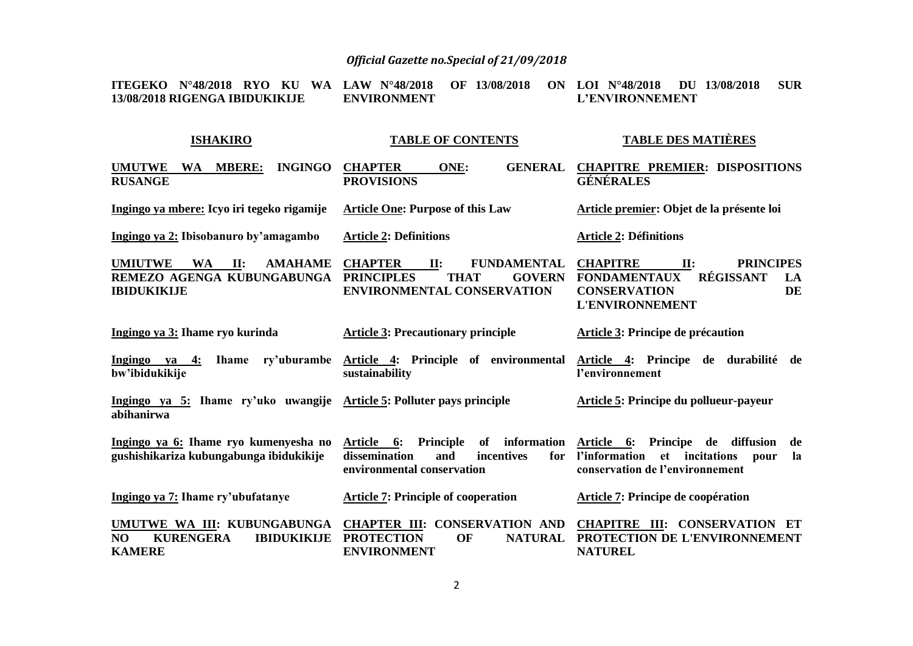| N°48/2018 RYO KU<br><b>WA</b><br><b>ITEGEKO</b><br>13/08/2018 RIGENGA IBIDUKIKIJE                        | 13/08/2018<br>LAW $N^{\circ}48/2018$<br><b>OF</b><br>ON<br><b>ENVIRONMENT</b>                                                  | <b>SUR</b><br>LOI $N^{\circ}48/2018$<br>DU 13/08/2018<br>L'ENVIRONNEMENT                                                                    |
|----------------------------------------------------------------------------------------------------------|--------------------------------------------------------------------------------------------------------------------------------|---------------------------------------------------------------------------------------------------------------------------------------------|
| <b>ISHAKIRO</b>                                                                                          | <b>TABLE OF CONTENTS</b>                                                                                                       | <b>TABLE DES MATIÈRES</b>                                                                                                                   |
| <b>MBERE:</b><br><b>UMUTWE</b><br><b>INGINGO</b><br><b>WA</b><br><b>RUSANGE</b>                          | <b>CHAPTER</b><br>ONE:<br><b>GENERAL</b><br><b>PROVISIONS</b>                                                                  | <b>CHAPITRE PREMIER: DISPOSITIONS</b><br><b>GÉNÉRALES</b>                                                                                   |
| Ingingo ya mbere: Icyo iri tegeko rigamije                                                               | <b>Article One: Purpose of this Law</b>                                                                                        | Article premier: Objet de la présente loi                                                                                                   |
| Ingingo ya 2: Ibisobanuro by'amagambo                                                                    | <b>Article 2: Definitions</b>                                                                                                  | <b>Article 2: Définitions</b>                                                                                                               |
| <b>UMIUTWE</b><br><b>WA</b><br>II:<br><b>AMAHAME</b><br>REMEZO AGENGA KUBUNGABUNGA<br><b>IBIDUKIKIJE</b> | <b>CHAPTER</b><br>II:<br><b>FUNDAMENTAL</b><br><b>PRINCIPLES</b><br><b>GOVERN</b><br><b>THAT</b><br>ENVIRONMENTAL CONSERVATION | <b>CHAPITRE</b><br>II:<br><b>PRINCIPES</b><br>RÉGISSANT<br><b>FONDAMENTAUX</b><br>LA<br><b>CONSERVATION</b><br>DE<br><b>L'ENVIRONNEMENT</b> |
| Ingingo ya 3: Ihame ryo kurinda                                                                          | <b>Article 3: Precautionary principle</b>                                                                                      | Article 3: Principe de précaution                                                                                                           |
| Ingingo ya 4:<br>bw'ibidukikije                                                                          | Ihame ry'uburambe Article 4: Principle of environmental<br>sustainability                                                      | Article 4: Principe de durabilité de<br>l'environnement                                                                                     |
| Ingingo ya 5: Ihame ry'uko uwangije<br>abihanirwa                                                        | Article 5: Polluter pays principle                                                                                             | Article 5: Principe du pollueur-payeur                                                                                                      |
| Ingingo ya 6: Ihame ryo kumenyesha no<br>gushishikariza kubungabunga ibidukikije                         | information<br>Principle<br>of<br>Article 6:<br>dissemination<br>and<br>incentives<br>for<br>environmental conservation        | Article 6: Principe de diffusion<br>de<br>l'information<br>et incitations<br>la<br>pour<br>conservation de l'environnement                  |
| Ingingo ya 7: Ihame ry'ubufatanye                                                                        | <b>Article 7: Principle of cooperation</b>                                                                                     | Article 7: Principe de coopération                                                                                                          |
| UMUTWE WA III: KUBUNGABUNGA<br>NO<br><b>KURENGERA</b><br><b>IBIDUKIKIJE</b><br><b>KAMERE</b>             | <b>CHAPTER III: CONSERVATION AND</b><br><b>PROTECTION</b><br><b>NATURAL</b><br>OF<br><b>ENVIRONMENT</b>                        | <b>CHAPITRE III: CONSERVATION</b><br>ET<br>PROTECTION DE L'ENVIRONNEMENT<br><b>NATUREL</b>                                                  |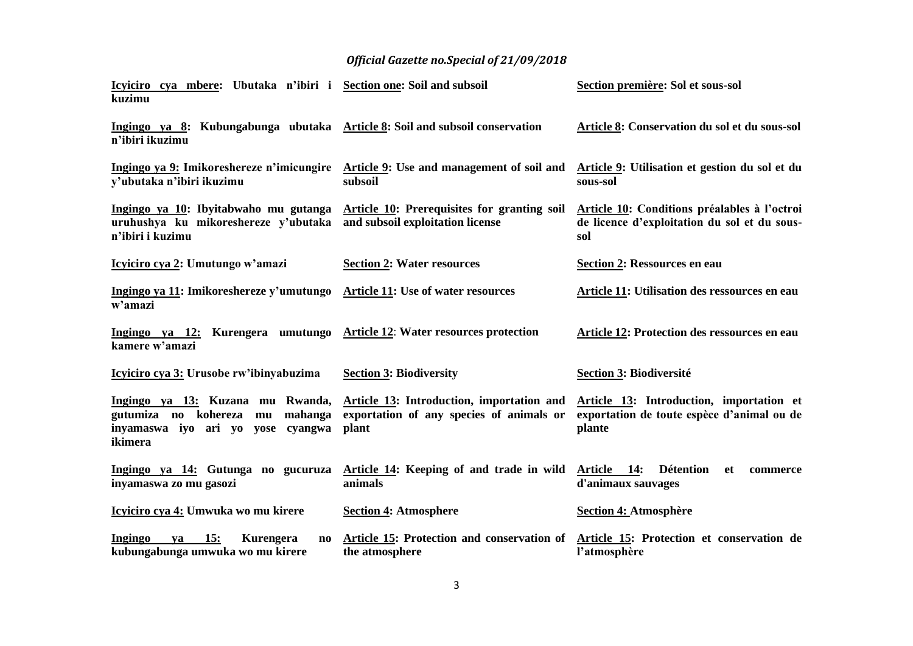| Icyiciro cya mbere: Ubutaka n'ibiri i Section one: Soil and subsoil<br>kuzimu                                             |                                                                                                | Section première: Sol et sous-sol                                                                   |
|---------------------------------------------------------------------------------------------------------------------------|------------------------------------------------------------------------------------------------|-----------------------------------------------------------------------------------------------------|
| Ingingo ya 8: Kubungabunga ubutaka Article 8: Soil and subsoil conservation<br>n'ibiri ikuzimu                            |                                                                                                | Article 8: Conservation du sol et du sous-sol                                                       |
| y'ubutaka n'ibiri ikuzimu                                                                                                 | Ingingo ya 9: Imikoreshereze n'imicungire Article 9: Use and management of soil and<br>subsoil | Article 9: Utilisation et gestion du sol et du<br>sous-sol                                          |
| Ingingo ya 10: Ibyitabwaho mu gutanga<br>uruhushya ku mikoreshereze y'ubutaka<br>n'ibiri i kuzimu                         | <b>Article 10: Prerequisites for granting soil</b><br>and subsoil exploitation license         | Article 10: Conditions préalables à l'octroi<br>de licence d'exploitation du sol et du sous-<br>sol |
| Icyliciro cya 2: Umutungo w'amazi                                                                                         | <b>Section 2: Water resources</b>                                                              | <b>Section 2: Ressources en eau</b>                                                                 |
| Ingingo ya 11: Imikoreshereze y'umutungo<br>w'amazi                                                                       | <b>Article 11: Use of water resources</b>                                                      | Article 11: Utilisation des ressources en eau                                                       |
| Ingingo ya 12: Kurengera umutungo Article 12: Water resources protection<br>kamere w'amazi                                |                                                                                                | Article 12: Protection des ressources en eau                                                        |
| Icyliciro cya 3: Urusobe rw'ibinyabuzima                                                                                  | <b>Section 3: Biodiversity</b>                                                                 | <b>Section 3: Biodiversité</b>                                                                      |
| Ingingo ya 13: Kuzana mu Rwanda,<br>gutumiza no kohereza<br>mahanga<br>mu<br>inyamaswa iyo ari yo yose cyangwa<br>ikimera | Article 13: Introduction, importation and<br>exportation of any species of animals or<br>plant | Article 13: Introduction, importation et<br>exportation de toute espèce d'animal ou de<br>plante    |
| Ingingo ya 14: Gutunga no gucuruza<br>inyamaswa zo mu gasozi                                                              | Article 14: Keeping of and trade in wild<br>animals                                            | Article 14:<br>Détention<br>et<br>commerce<br>d'animaux sauvages                                    |
| Icyiciro cya 4: Umwuka wo mu kirere                                                                                       | <b>Section 4: Atmosphere</b>                                                                   | <b>Section 4: Atmosphère</b>                                                                        |
| Ingingo<br>15:<br><b>Kurengera</b><br>ya<br>$\mathbf{n}\mathbf{o}$<br>kubungabunga umwuka wo mu kirere                    | Article 15: Protection and conservation of<br>the atmosphere                                   | Article 15: Protection et conservation de<br>l'atmosphère                                           |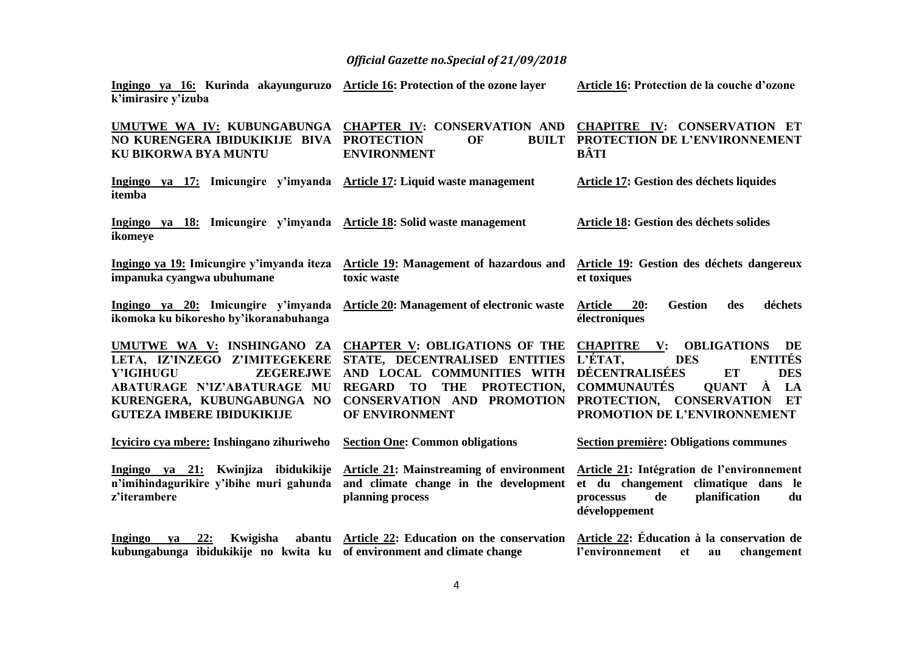| Ingingo ya 16: Kurinda akayunguruzo Article 16: Protection of the ozone layer<br>k'imirasire y'izuba                                                                                                 |                                                                                                                                                                                                                                 | Article 16: Protection de la couche d'ozone                                                                                                                                                                                                                              |
|------------------------------------------------------------------------------------------------------------------------------------------------------------------------------------------------------|---------------------------------------------------------------------------------------------------------------------------------------------------------------------------------------------------------------------------------|--------------------------------------------------------------------------------------------------------------------------------------------------------------------------------------------------------------------------------------------------------------------------|
| NO KURENGERA IBIDUKIKIJE BIVA PROTECTION<br>KU BIKORWA BYA MUNTU                                                                                                                                     | UMUTWE WA IV: KUBUNGABUNGA CHAPTER IV: CONSERVATION AND<br>OF<br><b>ENVIRONMENT</b>                                                                                                                                             | CHAPITRE IV: CONSERVATION ET<br><b>BUILT PROTECTION DE L'ENVIRONNEMENT</b><br>BÂTI                                                                                                                                                                                       |
| Ingingo ya 17: Imicungire y'imyanda Article 17: Liquid waste management<br>itemba                                                                                                                    |                                                                                                                                                                                                                                 | <b>Article 17: Gestion des déchets liquides</b>                                                                                                                                                                                                                          |
| Ingingo ya 18: Imicungire y'imyanda Article 18: Solid waste management<br>ikomeye                                                                                                                    |                                                                                                                                                                                                                                 | Article 18: Gestion des déchets solides                                                                                                                                                                                                                                  |
| impanuka cyangwa ubuhumane                                                                                                                                                                           | Ingingo ya 19: Imicungire y'imyanda iteza Article 19: Management of hazardous and Article 19: Gestion des déchets dangereux<br>toxic waste                                                                                      | et toxiques                                                                                                                                                                                                                                                              |
| Ingingo ya 20: Imicungire y'imyanda<br>ikomoka ku bikoresho by'ikoranabuhanga                                                                                                                        | Article 20: Management of electronic waste                                                                                                                                                                                      | <b>Gestion</b><br>déchets<br><b>Article</b><br>20:<br>des<br>électroniques                                                                                                                                                                                               |
| UMUTWE WA V: INSHINGANO ZA<br>LETA, IZ'INZEGO Z'IMITEGEKERE<br><b>ZEGEREJWE</b><br>Y'IGIHUGU<br><b>ABATURAGE N'IZ'ABATURAGE MU</b><br>KURENGERA, KUBUNGABUNGA NO<br><b>GUTEZA IMBERE IBIDUKIKIJE</b> | <b>CHAPTER V: OBLIGATIONS OF THE</b><br>STATE, DECENTRALISED ENTITIES<br>AND LOCAL COMMUNITIES WITH<br><b>REGARD</b><br><b>TO</b><br><b>THE</b><br>PROTECTION.<br><b>CONSERVATION AND</b><br><b>PROMOTION</b><br>OF ENVIRONMENT | <b>CHAPITRE</b><br><b>OBLIGATIONS</b><br>$\mathbf{V}$ :<br>DE<br>L'ÉTAT,<br><b>ENTITÉS</b><br><b>DES</b><br>DÉCENTRALISÉES<br><b>ET</b><br><b>DES</b><br>À<br><b>COMMUNAUTÉS</b><br>LA<br><b>OUANT</b><br>PROTECTION, CONSERVATION<br>ET<br>PROMOTION DE L'ENVIRONNEMENT |
| Icyiciro cya mbere: Inshingano zihuriweho                                                                                                                                                            | <b>Section One: Common obligations</b>                                                                                                                                                                                          | <b>Section première: Obligations communes</b>                                                                                                                                                                                                                            |
| n'imihindagurikire y'ibihe muri gahunda<br>z'iterambere                                                                                                                                              | Ingingo ya 21: Kwinjiza ibidukikije Article 21: Mainstreaming of environment<br>and climate change in the development<br>planning process                                                                                       | Article 21: Intégration de l'environnement<br>et du changement climatique dans le<br>planification<br>de<br>processus<br>du<br>développement                                                                                                                             |
| Ingingo<br>22:<br>Kwigisha<br>va<br>kubungabunga ibidukikije no kwita ku of environment and climate change                                                                                           | abantu Article 22: Education on the conservation Article 22: Éducation à la conservation de                                                                                                                                     | l'environnement<br>changement<br>et<br>au                                                                                                                                                                                                                                |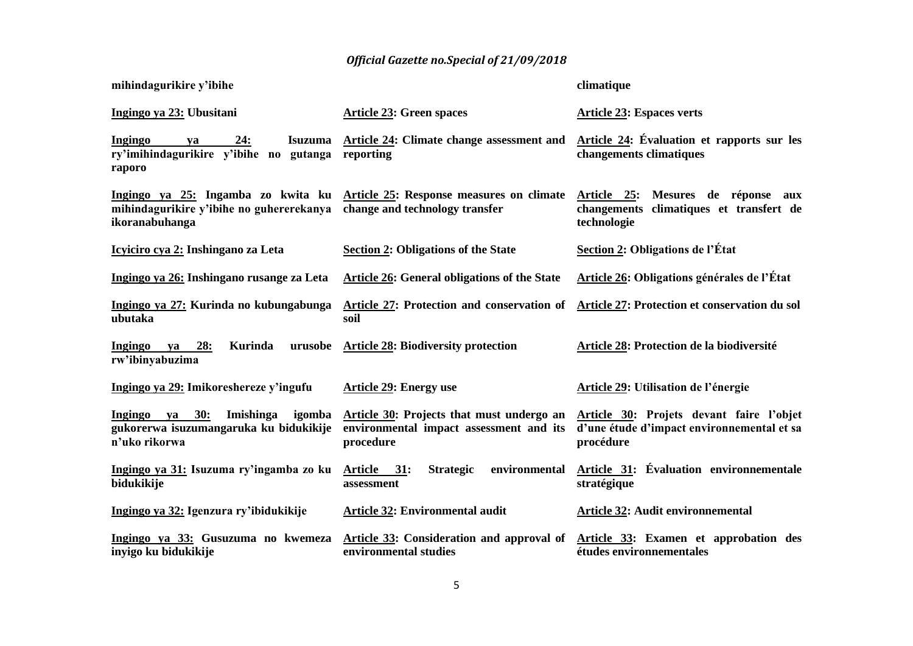| mihindagurikire y'ibihe                                                                             |                                                                                                               | climatique                                                                                          |
|-----------------------------------------------------------------------------------------------------|---------------------------------------------------------------------------------------------------------------|-----------------------------------------------------------------------------------------------------|
| Ingingo ya 23: Ubusitani                                                                            | <b>Article 23: Green spaces</b>                                                                               | <b>Article 23: Espaces verts</b>                                                                    |
| 24:<br><b>Isuzuma</b><br>Ingingo<br>va<br>ry'imihindagurikire v'ibihe no gutanga<br>raporo          | Article 24: Climate change assessment and<br>reporting                                                        | Article 24: Évaluation et rapports sur les<br>changements climatiques                               |
| mihindagurikire y'ibihe no guhererekanya<br>ikoranabuhanga                                          | Ingingo ya 25: Ingamba zo kwita ku Article 25: Response measures on climate<br>change and technology transfer | Article 25:<br>Mesures de réponse aux<br>changements climatiques et transfert de<br>technologie     |
| Icyiciro cya 2: Inshingano za Leta                                                                  | <b>Section 2: Obligations of the State</b>                                                                    | <b>Section 2: Obligations de l'État</b>                                                             |
| Ingingo ya 26: Inshingano rusange za Leta                                                           | <b>Article 26: General obligations of the State</b>                                                           | <b>Article 26: Obligations générales de l'État</b>                                                  |
| Ingingo ya 27: Kurinda no kubungabunga<br>ubutaka                                                   | Article 27: Protection and conservation of<br>soil                                                            | Article 27: Protection et conservation du sol                                                       |
| 28:<br>Kurinda<br>urusobe<br>Ingingo ya<br>rw'ibinyabuzima                                          | <b>Article 28: Biodiversity protection</b>                                                                    | Article 28: Protection de la biodiversité                                                           |
| Ingingo ya 29: Imikoreshereze y'ingufu                                                              | <b>Article 29: Energy use</b>                                                                                 | Article 29: Utilisation de l'énergie                                                                |
| ya 30:<br>Ingingo<br>Imishinga<br>igomba<br>gukorerwa isuzumangaruka ku bidukikije<br>n'uko rikorwa | Article 30: Projects that must undergo an<br>environmental impact assessment and its<br>procedure             | Article 30: Projets devant faire l'objet<br>d'une étude d'impact environnemental et sa<br>procédure |
| Ingingo ya 31: Isuzuma ry'ingamba zo ku<br>bidukikije                                               | environmental<br>Article 31:<br><b>Strategic</b><br>assessment                                                | Article 31: Évaluation environnementale<br>stratégique                                              |
| Ingingo ya 32: Igenzura ry'ibidukikije                                                              | <b>Article 32: Environmental audit</b>                                                                        | <b>Article 32: Audit environnemental</b>                                                            |
| Ingingo ya 33: Gusuzuma no kwemeza<br>inyigo ku bidukikije                                          | Article 33: Consideration and approval of<br>environmental studies                                            | Article 33: Examen et approbation des<br>études environnementales                                   |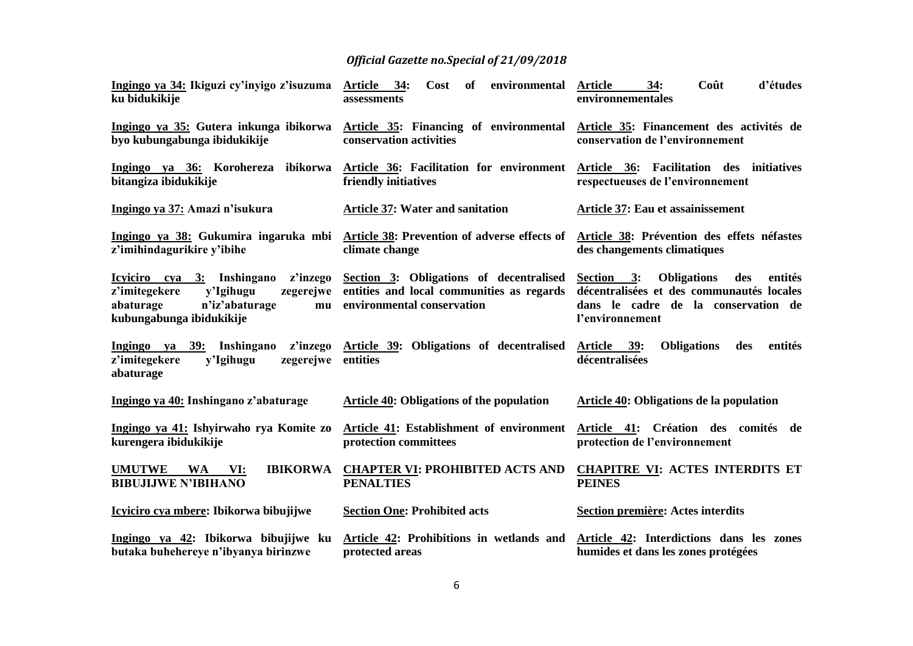| Ingingo ya 34: Ikiguzi cy'inyigo z'isuzuma<br>ku bidukikije                                                                                        | Article 34:<br>of<br>environmental<br>Cost<br>assessments                                                          | 34:<br>Coût<br>d'études<br><b>Article</b><br>environnementales                                                                                  |
|----------------------------------------------------------------------------------------------------------------------------------------------------|--------------------------------------------------------------------------------------------------------------------|-------------------------------------------------------------------------------------------------------------------------------------------------|
| Ingingo ya 35: Gutera inkunga ibikorwa<br>byo kubungabunga ibidukikije                                                                             | Article 35: Financing of environmental<br>conservation activities                                                  | Article 35: Financement des activités de<br>conservation de l'environnement                                                                     |
| Ingingo ya 36: Korohereza ibikorwa<br>bitangiza ibidukikije                                                                                        | Article 36: Facilitation for environment Article 36: Facilitation des initiatives<br>friendly initiatives          | respectueuses de l'environnement                                                                                                                |
| Ingingo ya 37: Amazi n'isukura                                                                                                                     | <b>Article 37: Water and sanitation</b>                                                                            | Article 37: Eau et assainissement                                                                                                               |
| z'imihindagurikire y'ibihe                                                                                                                         | Ingingo ya 38: Gukumira ingaruka mbi Article 38: Prevention of adverse effects of<br>climate change                | Article 38: Prévention des effets néfastes<br>des changements climatiques                                                                       |
| Icyiciro cya 3: Inshingano<br>z'inzego<br>z'imitegekere<br>y'Igihugu<br>zegerejwe<br>abaturage<br>n'iz'abaturage<br>mu<br>kubungabunga ibidukikije | Section 3: Obligations of decentralised<br>entities and local communities as regards<br>environmental conservation | Section 3: Obligations<br>des<br>entités<br>décentralisées et des communautés locales<br>dans le cadre de la conservation de<br>l'environnement |
| z'imitegekere<br>zegerejwe entities<br>y'Igihugu<br>abaturage                                                                                      | Ingingo ya 39: Inshingano z'inzego Article 39: Obligations of decentralised                                        | Article 39:<br><b>Obligations</b><br>entités<br>des<br>décentralisées                                                                           |
| Ingingo ya 40: Inshingano z'abaturage                                                                                                              | <b>Article 40: Obligations of the population</b>                                                                   | Article 40: Obligations de la population                                                                                                        |
| Ingingo ya 41: Ishyirwaho rya Komite zo<br>kurengera ibidukikije                                                                                   | Article 41: Establishment of environment<br>protection committees                                                  | Article 41: Création des comités de<br>protection de l'environnement                                                                            |
| <b>IBIKORWA</b><br><b>UMUTWE</b><br>WA<br>VI:<br><b>BIBUJIJWE N'IBIHANO</b>                                                                        | <b>CHAPTER VI: PROHIBITED ACTS AND</b><br><b>PENALTIES</b>                                                         | <b>CHAPITRE VI: ACTES INTERDITS ET</b><br><b>PEINES</b>                                                                                         |
| Icyiciro cya mbere: Ibikorwa bibujijwe                                                                                                             | <b>Section One: Prohibited acts</b>                                                                                | Section première: Actes interdits                                                                                                               |
| Ingingo ya 42: Ibikorwa bibujijwe ku<br>butaka buhehereye n'ibyanya birinzwe                                                                       | Article 42: Prohibitions in wetlands and<br>protected areas                                                        | Article 42: Interdictions dans les zones<br>humides et dans les zones protégées                                                                 |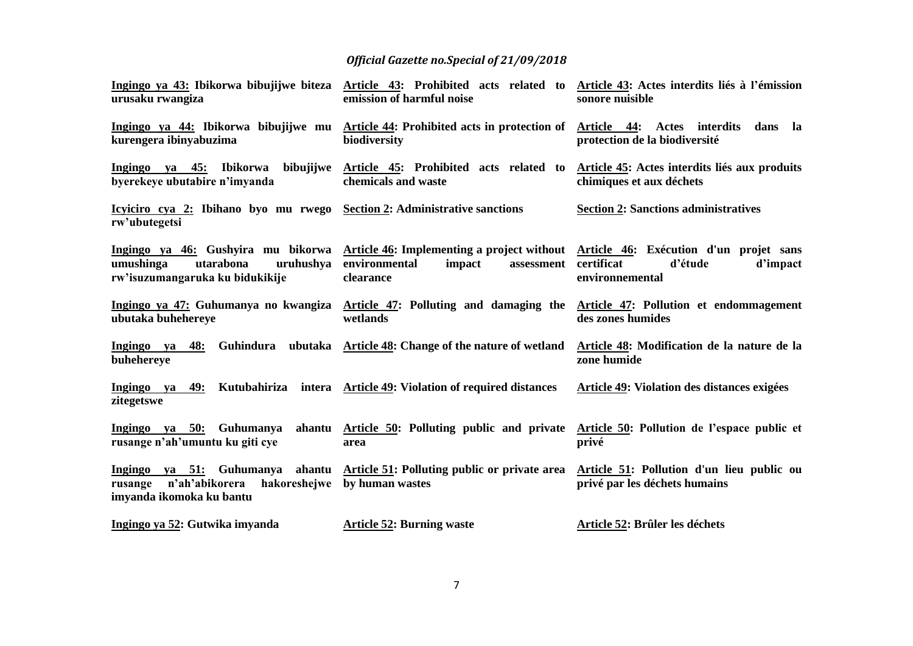| Ingingo ya 43: Ibikorwa bibujijwe biteza<br>urusaku rwangiza                               | Article 43: Prohibited acts related to Article 43: Actes interdits liés à l'émission<br>emission of harmful noise                                                          | sonore nuisible                                                         |
|--------------------------------------------------------------------------------------------|----------------------------------------------------------------------------------------------------------------------------------------------------------------------------|-------------------------------------------------------------------------|
| Ingingo ya 44: Ibikorwa bibujijwe mu<br>kurengera ibinyabuzima                             | <b>Article 44: Prohibited acts in protection of</b><br>biodiversity                                                                                                        | Article 44: Actes interdits<br>dans la<br>protection de la biodiversité |
| Ingingo ya 45: Ibikorwa<br>byerekeye ubutabire n'imyanda                                   | bibujijwe Article 45: Prohibited acts related to Article 45: Actes interdits liés aux produits<br>chemicals and waste                                                      | chimiques et aux déchets                                                |
| Icyliciro cya 2: Ibihano byo mu rwego Section 2: Administrative sanctions<br>rw'ubutegetsi |                                                                                                                                                                            | <b>Section 2: Sanctions administratives</b>                             |
| umushinga<br>utarabona<br>uruhushya<br>rw'isuzumangaruka ku bidukikije                     | Ingingo ya 46: Gushyira mu bikorwa Article 46: Implementing a project without Article 46: Exécution d'un projet sans<br>environmental<br>impact<br>assessment<br>clearance | certificat<br>d'étude<br>d'impact<br>environnemental                    |
| ubutaka buhehereye                                                                         | Ingingo ya 47: Guhumanya no kwangiza Article 47: Polluting and damaging the Article 47: Pollution et endommagement<br>wetlands                                             | des zones humides                                                       |
| Ingingo ya<br>48:<br>buhehereye                                                            | Guhindura ubutaka Article 48: Change of the nature of wetland                                                                                                              | Article 48: Modification de la nature de la<br>zone humide              |
| Kutubahiriza<br>Ingingo ya 49:<br>zitegetswe                                               | intera Article 49: Violation of required distances                                                                                                                         | Article 49: Violation des distances exigées                             |
| Ingingo ya 50: Guhumanya<br>rusange n'ah'umuntu ku giti cye                                | ahantu Article 50: Polluting public and private Article 50: Pollution de l'espace public et<br>area                                                                        | privé                                                                   |
| n'ah'abikorera<br>rusange<br>imyanda ikomoka ku bantu                                      | Ingingo ya 51: Guhumanya ahantu Article 51: Polluting public or private area Article 51: Pollution d'un lieu public ou<br>hakoreshejwe by human wastes                     | privé par les déchets humains                                           |
| Ingingo ya 52: Gutwika imyanda                                                             | <b>Article 52: Burning waste</b>                                                                                                                                           | Article 52: Brûler les déchets                                          |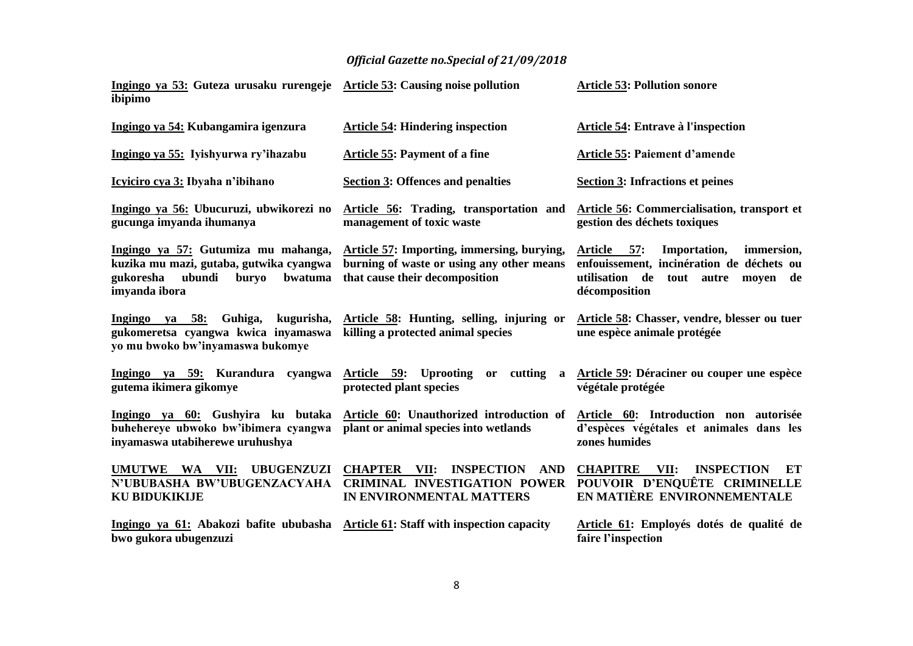| Ingingo ya 53: Guteza urusaku rurengeje Article 53: Causing noise pollution<br>ibipimo                                                     |                                                                                                                           | <b>Article 53: Pollution sonore</b>                                                                                                           |
|--------------------------------------------------------------------------------------------------------------------------------------------|---------------------------------------------------------------------------------------------------------------------------|-----------------------------------------------------------------------------------------------------------------------------------------------|
| Ingingo ya 54: Kubangamira igenzura                                                                                                        | <b>Article 54: Hindering inspection</b>                                                                                   | Article 54: Entrave à l'inspection                                                                                                            |
| Ingingo ya 55: Iyishyurwa ry'ihazabu                                                                                                       | <b>Article 55: Payment of a fine</b>                                                                                      | Article 55: Paiement d'amende                                                                                                                 |
| Icyiciro cya 3: Ibyaha n'ibihano                                                                                                           | <b>Section 3: Offences and penalties</b>                                                                                  | <b>Section 3: Infractions et peines</b>                                                                                                       |
| Ingingo ya 56: Ubucuruzi, ubwikorezi no<br>gucunga imyanda ihumanya                                                                        | Article 56: Trading, transportation and<br>management of toxic waste                                                      | Article 56: Commercialisation, transport et<br>gestion des déchets toxiques                                                                   |
| Ingingo ya 57: Gutumiza mu mahanga,<br>kuzika mu mazi, gutaba, gutwika cyangwa<br>ubundi<br>gukoresha<br>buryo<br>bwatuma<br>imyanda ibora | Article 57: Importing, immersing, burying,<br>burning of waste or using any other means<br>that cause their decomposition | Article 57:<br>Importation,<br>immersion,<br>enfouissement, incinération de déchets ou<br>utilisation de tout autre moyen de<br>décomposition |
| Ingingo ya 58:<br>Guhiga,<br>kugurisha,<br>gukomeretsa cyangwa kwica inyamaswa<br>yo mu bwoko bw'inyamaswa bukomye                         | Article 58: Hunting, selling, injuring or<br>killing a protected animal species                                           | Article 58: Chasser, vendre, blesser ou tuer<br>une espèce animale protégée                                                                   |
| Ingingo ya 59: Kurandura cyangwa<br>gutema ikimera gikomye                                                                                 | Article 59: Uprooting or cutting<br>a<br>protected plant species                                                          | Article 59: Déraciner ou couper une espèce<br>végétale protégée                                                                               |
| Ingingo ya 60: Gushyira ku butaka<br>buhehereye ubwoko bw'ibimera cyangwa<br>inyamaswa utabiherewe uruhushya                               | Article 60: Unauthorized introduction of<br>plant or animal species into wetlands                                         | Article 60: Introduction non autorisée<br>d'espèces végétales et animales dans les<br>zones humides                                           |
| UMUTWE WA VII:<br><b>UBUGENZUZI</b><br>N'UBUBASHA BW'UBUGENZACYAHA<br><b>KU BIDUKIKIJE</b>                                                 | <b>INSPECTION</b><br><b>AND</b><br><b>CHAPTER VII:</b><br><b>CRIMINAL INVESTIGATION POWER</b><br>IN ENVIRONMENTAL MATTERS | <b>CHAPITRE</b><br>VII:<br><b>INSPECTION</b><br>ET<br>POUVOIR D'ENQUÊTE CRIMINELLE<br>EN MATIÈRE ENVIRONNEMENTALE                             |
| Ingingo ya 61: Abakozi bafite ububasha Article 61: Staff with inspection capacity<br>bwo gukora ubugenzuzi                                 |                                                                                                                           | Article 61: Employés dotés de qualité de<br>faire l'inspection                                                                                |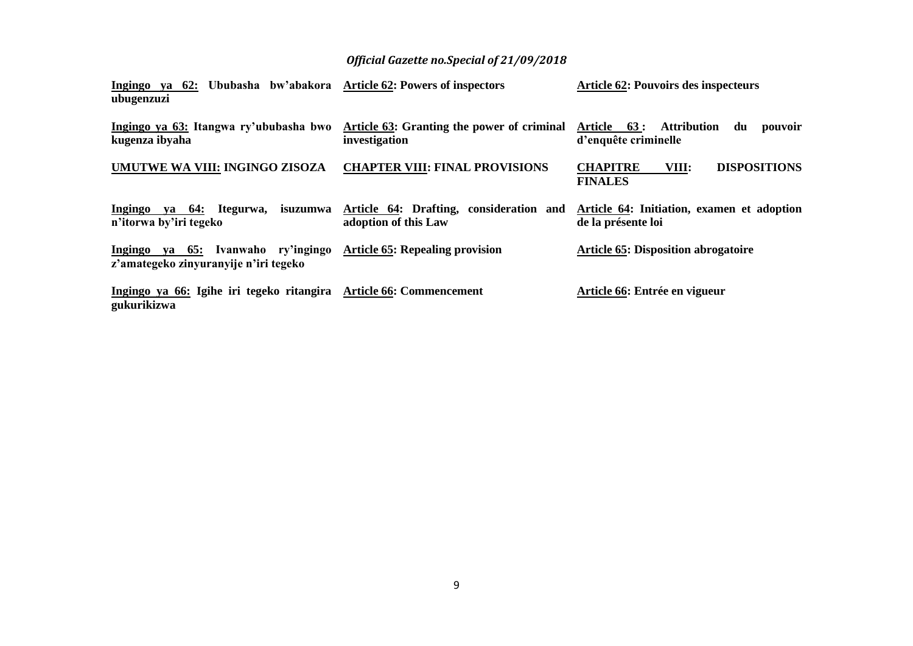| Ingingo ya 62: Ububasha bw'abakora Article 62: Powers of inspectors<br>ubugenzuzi |                                                                 | <b>Article 62: Pouvoirs des inspecteurs</b>                         |
|-----------------------------------------------------------------------------------|-----------------------------------------------------------------|---------------------------------------------------------------------|
| Ingingo ya 63: Itangwa ry'ububasha bwo<br>kugenza ibyaha                          | Article 63: Granting the power of criminal<br>investigation     | Attribution<br>Article 63:<br>du<br>pouvoir<br>d'enquête criminelle |
| UMUTWE WA VIII: INGINGO ZISOZA                                                    | <b>CHAPTER VIII: FINAL PROVISIONS</b>                           | <b>DISPOSITIONS</b><br><b>CHAPITRE</b><br>VIII:<br><b>FINALES</b>   |
| Ingingo ya 64: Itegurwa, isuzumwa<br>n'itorwa by'iri tegeko                       | Article 64: Drafting, consideration and<br>adoption of this Law | Article 64: Initiation, examen et adoption<br>de la présente loi    |
| ya 65: Ivanwaho ry'ingingo<br>Ingingo<br>z'amategeko zinyuranyije n'iri tegeko    | <b>Article 65: Repealing provision</b>                          | <b>Article 65: Disposition abrogatoire</b>                          |
| Ingingo ya 66: Igihe iri tegeko ritangira Article 66: Commencement<br>gukurikizwa |                                                                 | Article 66: Entrée en vigueur                                       |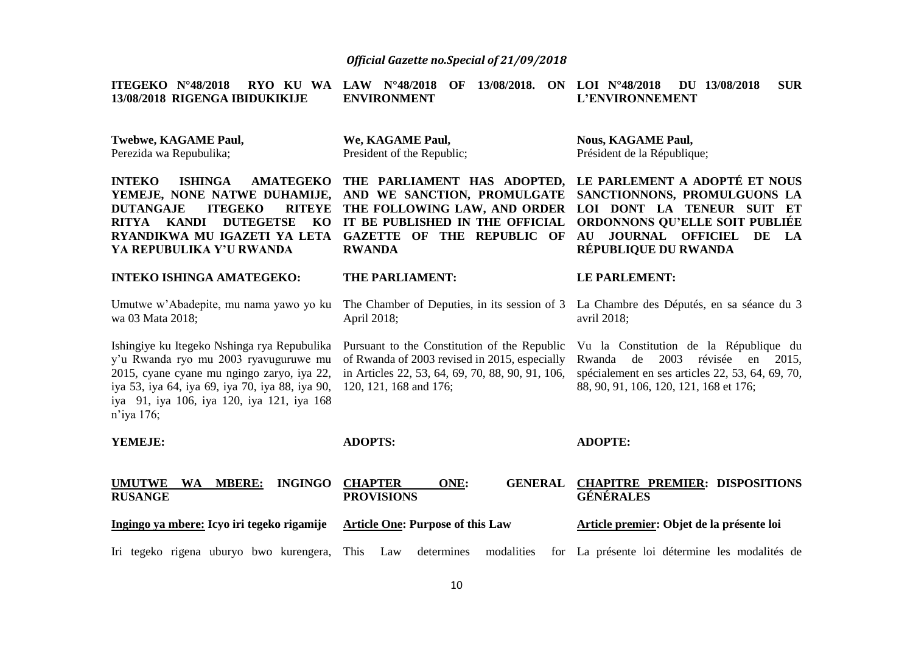| ITEGEKO $N^{\circ}48/2018$<br>RYO KU WA<br>13/08/2018 RIGENGA IBIDUKIKIJE                                                                                                                                                                         | 13/08/2018. ON LOI N°48/2018<br>LAW $N^{\circ}48/2018$<br>OF<br><b>ENVIRONMENT</b>                                                                                                  | DU 13/08/2018<br><b>SUR</b><br>L'ENVIRONNEMENT                                                                                                                                                            |
|---------------------------------------------------------------------------------------------------------------------------------------------------------------------------------------------------------------------------------------------------|-------------------------------------------------------------------------------------------------------------------------------------------------------------------------------------|-----------------------------------------------------------------------------------------------------------------------------------------------------------------------------------------------------------|
| <b>Twebwe, KAGAME Paul,</b><br>Perezida wa Repubulika;                                                                                                                                                                                            | We, KAGAME Paul,<br>President of the Republic;                                                                                                                                      | <b>Nous, KAGAME Paul,</b><br>Président de la République;                                                                                                                                                  |
| <b>INTEKO</b><br><b>ISHINGA</b><br><b>AMATEGEKO</b><br>YEMEJE, NONE NATWE DUHAMIJE,<br><b>ITEGEKO</b><br><b>RITEYE</b><br><b>DUTANGAJE</b><br><b>DUTEGETSE</b><br>RITYA KANDI<br>KO<br>RYANDIKWA MU IGAZETI YA LETA<br>YA REPUBULIKA Y'U RWANDA   | THE PARLIAMENT HAS ADOPTED,<br>AND WE SANCTION, PROMULGATE<br>THE FOLLOWING LAW, AND ORDER<br>IT BE PUBLISHED IN THE OFFICIAL<br><b>GAZETTE OF THE REPUBLIC OF</b><br><b>RWANDA</b> | LE PARLEMENT A ADOPTÉ ET NOUS<br>SANCTIONNONS, PROMULGUONS LA<br>LOI DONT LA TENEUR SUIT ET<br><b>ORDONNONS QU'ELLE SOIT PUBLIÉE</b><br><b>JOURNAL OFFICIEL</b><br>AU<br>DE<br>LA<br>RÉPUBLIQUE DU RWANDA |
| <b>INTEKO ISHINGA AMATEGEKO:</b>                                                                                                                                                                                                                  | <b>THE PARLIAMENT:</b>                                                                                                                                                              | <b>LE PARLEMENT:</b>                                                                                                                                                                                      |
| Umutwe w'Abadepite, mu nama yawo yo ku<br>wa 03 Mata 2018;                                                                                                                                                                                        | The Chamber of Deputies, in its session of 3<br>April 2018;                                                                                                                         | La Chambre des Députés, en sa séance du 3<br>avril 2018;                                                                                                                                                  |
| Ishingiye ku Itegeko Nshinga rya Repubulika<br>y'u Rwanda ryo mu 2003 ryavuguruwe mu<br>2015, cyane cyane mu ngingo zaryo, iya 22,<br>iya 53, iya 64, iya 69, iya 70, iya 88, iya 90,<br>iya 91, iya 106, iya 120, iya 121, iya 168<br>n'iya 176; | Pursuant to the Constitution of the Republic<br>of Rwanda of 2003 revised in 2015, especially<br>in Articles 22, 53, 64, 69, 70, 88, 90, 91, 106,<br>120, 121, 168 and 176;         | Vu la Constitution de la République du<br>révisée en 2015,<br>Rwanda de<br>2003<br>spécialement en ses articles 22, 53, 64, 69, 70,<br>88, 90, 91, 106, 120, 121, 168 et 176;                             |
| YEMEJE:                                                                                                                                                                                                                                           | <b>ADOPTS:</b>                                                                                                                                                                      | <b>ADOPTE:</b>                                                                                                                                                                                            |
| <b>INGINGO</b><br><b>UMUTWE</b><br><b>WA</b><br><b>MBERE:</b><br><b>RUSANGE</b>                                                                                                                                                                   | <b>CHAPTER</b><br>ONE:<br><b>GENERAL</b><br><b>PROVISIONS</b>                                                                                                                       | <b>CHAPITRE PREMIER: DISPOSITIONS</b><br><b>GÉNÉRALES</b>                                                                                                                                                 |
| Ingingo ya mbere: Icyo iri tegeko rigamije                                                                                                                                                                                                        | <b>Article One: Purpose of this Law</b>                                                                                                                                             | Article premier: Objet de la présente loi                                                                                                                                                                 |
| Iri tegeko rigena uburyo bwo kurengera,                                                                                                                                                                                                           | This<br>determines<br>modalities<br>Law                                                                                                                                             | for La présente loi détermine les modalités de                                                                                                                                                            |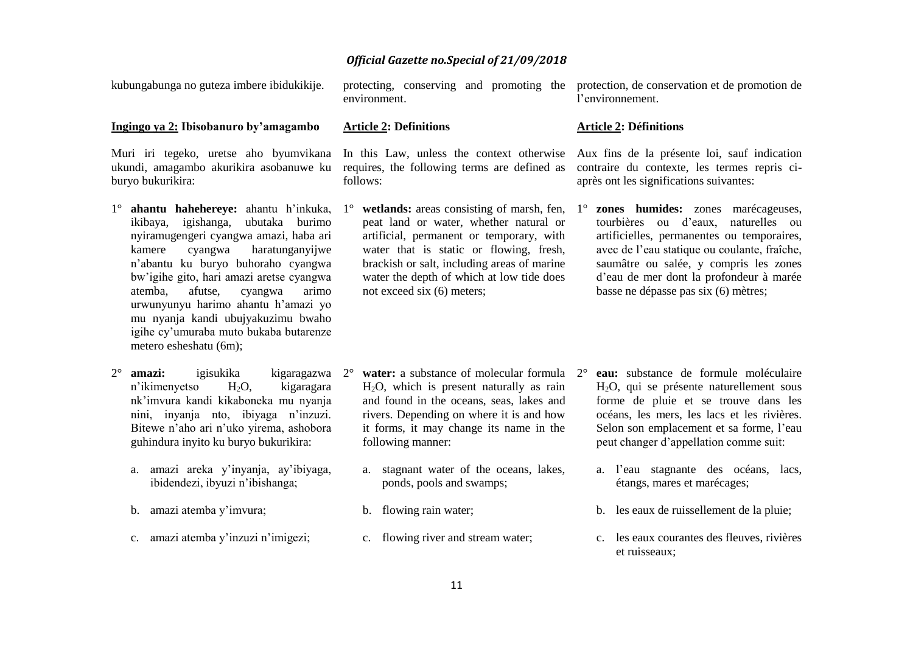kubungabunga no guteza imbere ibidukikije.

#### **Ingingo ya 2: Ibisobanuro by'amagambo**

Muri iri tegeko, uretse aho byumvikana ukundi, amagambo akurikira asobanuwe ku buryo bukurikira:

- 1° **ahantu hahehereye:** ahantu h'inkuka, 1° **wetlands:** areas consisting of marsh, fen, ikibaya, igishanga, ubutaka burimo nyiramugengeri cyangwa amazi, haba ari kamere cyangwa haratunganyijwe n'abantu ku buryo buhoraho cyangwa bw'igihe gito, hari amazi aretse cyangwa atemba, afutse, cyangwa arimo urwunyunyu harimo ahantu h'amazi yo mu nyanja kandi ubujyakuzimu bwaho igihe cy'umuraba muto bukaba butarenze metero esheshatu (6m);
- 2° **amazi:** igisukika kigaragazwa n'ikimenyetso H2O, kigaragara nk'imvura kandi kikaboneka mu nyanja nini, inyanja nto, ibiyaga n'inzuzi. Bitewe n'aho ari n'uko yirema, ashobora guhindura inyito ku buryo bukurikira:
	- a. amazi areka y'inyanja, ay'ibiyaga, ibidendezi, ibyuzi n'ibishanga;
	- b. amazi atemba y'imvura;
	- c. amazi atemba y'inzuzi n'imigezi;

protecting, conserving and promoting the environment.

#### **Article 2: Definitions**

In this Law, unless the context otherwise Aux fins de la présente loi, sauf indication requires, the following terms are defined as follows:

peat land or water, whether natural or artificial, permanent or temporary, with water that is static or flowing, fresh, brackish or salt, including areas of marine water the depth of which at low tide does not exceed six (6) meters;

protection, de conservation et de promotion de l'environnement.

#### **Article 2: Définitions**

contraire du contexte, les termes repris ciaprès ont les significations suivantes:

**zones humides:** zones marécageuses, tourbières ou d'eaux, naturelles ou artificielles, permanentes ou temporaires, avec de l'eau statique ou coulante, fraîche, saumâtre ou salée, y compris les zones d'eau de mer dont la profondeur à marée basse ne dépasse pas six (6) mètres;

- **water:** a substance of molecular formula 2<sup>°</sup> H2O, which is present naturally as rain and found in the oceans, seas, lakes and rivers. Depending on where it is and how it forms, it may change its name in the following manner:
- a. stagnant water of the oceans, lakes, ponds, pools and swamps;
- b. flowing rain water;
- c. flowing river and stream water;
- **eau:** substance de formule moléculaire H2O, qui se présente naturellement sous forme de pluie et se trouve dans les océans, les mers, les lacs et les rivières. Selon son emplacement et sa forme, l'eau peut changer d'appellation comme suit:
	- a. l'eau stagnante des océans, lacs, étangs, mares et marécages;
	- b. les eaux de ruissellement de la pluie;
	- c. les eaux courantes des fleuves, rivières et ruisseaux;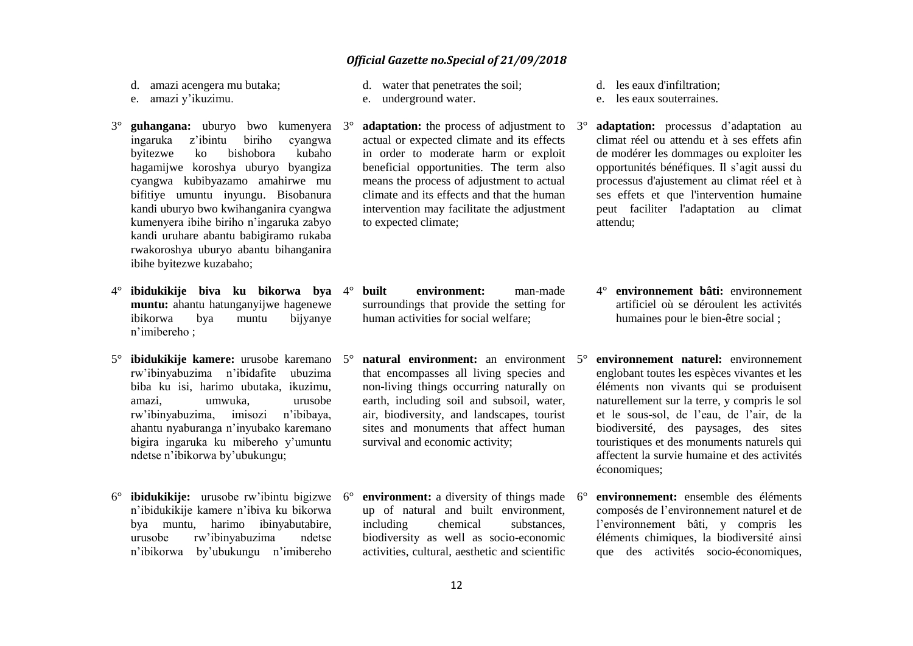d. amazi acengera mu butaka;

- e. amazi y'ikuzimu.
- 3° **guhangana:** uburyo bwo kumenyera ingaruka z'ibintu biriho cyangwa byitezwe ko bishobora kubaho hagamijwe koroshya uburyo byangiza cyangwa kubibyazamo amahirwe mu bifitiye umuntu inyungu. Bisobanura kandi uburyo bwo kwihanganira cyangwa kumenyera ibihe biriho n'ingaruka zabyo kandi uruhare abantu babigiramo rukaba rwakoroshya uburyo abantu bihanganira ibihe byitezwe kuzabaho;
- 4° **ibidukikije biva ku bikorwa bya muntu:** ahantu hatunganyijwe hagenewe ibikorwa bya muntu bijyanye n'imibereho ;
- 5° **ibidukikije kamere:** urusobe karemano rw'ibinyabuzima n'ibidafite ubuzima biba ku isi, harimo ubutaka, ikuzimu, amazi, umwuka, urusobe rw'ibinyabuzima, imisozi n'ibibaya, ahantu nyaburanga n'inyubako karemano bigira ingaruka ku mibereho y'umuntu ndetse n'ibikorwa by'ubukungu;
- 6° **ibidukikije:** urusobe rw'ibintu bigizwe n'ibidukikije kamere n'ibiva ku bikorwa bya muntu, harimo ibinyabutabire, urusobe rw'ibinyabuzima ndetse n'ibikorwa by'ubukungu n'imibereho
- d. water that penetrates the soil;
- e. underground water.
- **adaptation:** the process of adjustment to 3<sup>°</sup> actual or expected climate and its effects in order to moderate harm or exploit beneficial opportunities. The term also means the process of adjustment to actual climate and its effects and that the human intervention may facilitate the adjustment to expected climate;
- 4° **built environment:** man-made surroundings that provide the setting for human activities for social welfare;
- 5° **natural environment:** an environment that encompasses all living species and non-living things occurring naturally on earth, including soil and subsoil, water, air, biodiversity, and landscapes, tourist sites and monuments that affect human survival and economic activity;
- **environment:** a diversity of things made  $6^\circ$ up of natural and built environment, including chemical substances, biodiversity as well as socio-economic activities, cultural, aesthetic and scientific
- d. les eaux d'infiltration;
- e. les eaux souterraines.
- adaptation: processus d'adaptation au climat réel ou attendu et à ses effets afin de modérer les dommages ou exploiter les opportunités bénéfiques. Il s'agit aussi du processus d'ajustement au climat réel et à ses effets et que l'intervention humaine peut faciliter l'adaptation au climat attendu;
- 4° **environnement bâti:** environnement artificiel où se déroulent les activités humaines pour le bien-être social ;
- 5° **environnement naturel:** environnement englobant toutes les espèces vivantes et les éléments non vivants qui se produisent naturellement sur la terre, y compris le sol et le sous-sol, de l'eau, de l'air, de la biodiversité, des paysages, des sites touristiques et des monuments naturels qui affectent la survie humaine et des activités économiques;
- 6° **environnement:** ensemble des éléments composés de l'environnement naturel et de l'environnement bâti, y compris les éléments chimiques, la biodiversité ainsi que des activités socio-économiques,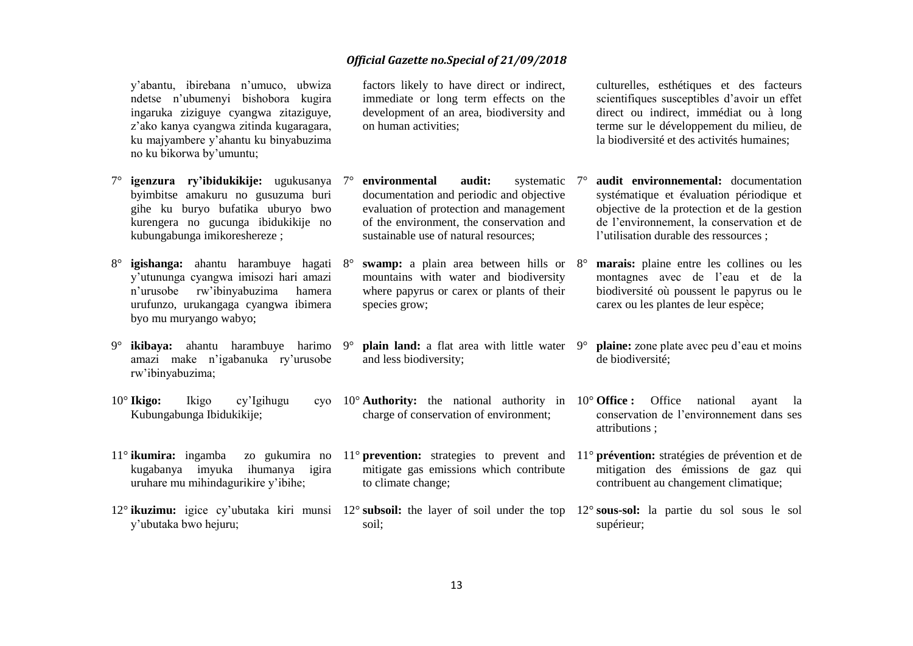y'abantu, ibirebana n'umuco, ubwiza ndetse n'ubumenyi bishobora kugira ingaruka ziziguye cyangwa zitaziguye, z'ako kanya cyangwa zitinda kugaragara, ku majyambere y'ahantu ku binyabuzima no ku bikorwa by'umuntu;

- 7° **igenzura ry'ibidukikije:** ugukusanya byimbitse amakuru no gusuzuma buri gihe ku buryo bufatika uburyo bwo kurengera no gucunga ibidukikije no kubungabunga imikoreshereze ;
- 8° **igishanga:** ahantu harambuye hagati y'utununga cyangwa imisozi hari amazi n'urusobe rw'ibinyabuzima hamera urufunzo, urukangaga cyangwa ibimera byo mu muryango wabyo;
- 9° **ikibaya:** ahantu harambuye harimo amazi make n'igabanuka ry'urusobe rw'ibinyabuzima;
- 10° **Ikigo:** Ikigo cy'Igihugu Kubungabunga Ibidukikije;
- 11° **ikumira:** ingamba kugabanya imyuka ihumanya igira uruhare mu mihindagurikire y'ibihe;
- y'ubutaka bwo hejuru;

factors likely to have direct or indirect, immediate or long term effects on the development of an area, biodiversity and on human activities;

documentation and periodic and objective

mountains with water and biodiversity where papyrus or carex or plants of their

charge of conservation of environment;

mitigate gas emissions which contribute

sustainable use of natural resources;

species grow;

and less biodiversity;

to climate change;

soil;

culturelles, esthétiques et des facteurs scientifiques susceptibles d'avoir un effet direct ou indirect, immédiat ou à long terme sur le développement du milieu, de la biodiversité et des activités humaines;

- 7° **environmental audit:** systematic evaluation of protection and management of the environment, the conservation and **audit** environnemental: documentation systématique et évaluation périodique et objective de la protection et de la gestion de l'environnement, la conservation et de l'utilisation durable des ressources ;
- **swamp:** a plain area between hills or 8° marais: plaine entre les collines ou les montagnes avec de l'eau et de la biodiversité où poussent le papyrus ou le carex ou les plantes de leur espèce;
- **plain land:** a flat area with little water 9° **plaine:** zone plate avec peu d'eau et moins de biodiversité;
- 10° **Authority:** the national authority in 10° **Office :** Office national ayant la conservation de l'environnement dans ses attributions ;
- 11° **prevention:** strategies to prevent and 11° **prévention:** stratégies de prévention et de mitigation des émissions de gaz qui contribuent au changement climatique;
- 12° **ikuzimu:** igice cy'ubutaka kiri munsi 12° **subsoil:** the layer of soil under the top 12° **sous-sol:** la partie du sol sous le sol supérieur;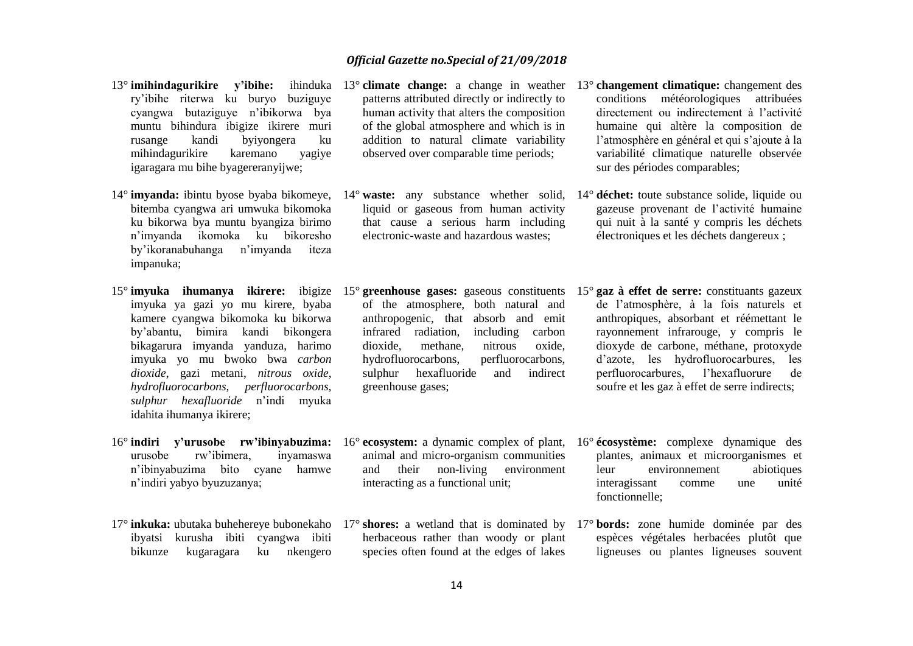- 13<sup>°</sup> imihindagurikire v'ihihe: ry'ibihe riterwa ku buryo buziguye cyangwa butaziguye n'ibikorwa bya muntu bihindura ibigize ikirere muri rusange kandi byiyongera ku mihindagurikire karemano yagiye igaragara mu bihe byagereranyijwe;
- 14° **imyanda:** ibintu byose byaba bikomeye, bitemba cyangwa ari umwuka bikomoka ku bikorwa bya muntu byangiza birimo n'imyanda ikomoka ku bikoresho by'ikoranabuhanga n'imyanda iteza impanuka;
- imyuka ya gazi yo mu kirere, byaba kamere cyangwa bikomoka ku bikorwa by'abantu, bimira kandi bikongera bikagarura imyanda yanduza, harimo imyuka yo mu bwoko bwa *carbon dioxide*, gazi metani, *nitrous oxide*, *hydrofluorocarbons, perfluorocarbons, sulphur hexafluoride* n'indi myuka idahita ihumanya ikirere;
- urusobe rw'ibimera, inyamaswa n'ibinyabuzima bito cyane hamwe n'indiri yabyo byuzuzanya;
- 17° **inkuka:** ubutaka buhehereye bubonekaho 17° **shores:** a wetland that is dominated by 17° **bords:** zone humide dominée par des ibyatsi kurusha ibiti cyangwa ibiti bikunze kugaragara ku nkengero
- patterns attributed directly or indirectly to human activity that alters the composition of the global atmosphere and which is in addition to natural climate variability observed over comparable time periods;
- liquid or gaseous from human activity that cause a serious harm including electronic-waste and hazardous wastes;
- of the atmosphere, both natural and anthropogenic, that absorb and emit infrared radiation, including carbon dioxide, methane, nitrous oxide, hydrofluorocarbons, perfluorocarbons, sulphur hexafluoride and indirect greenhouse gases;
- animal and micro-organism communities and their non-living environment interacting as a functional unit;
- herbaceous rather than woody or plant species often found at the edges of lakes
- 13° **climate change:** a change in weather 13° **changement climatique:** changement des conditions météorologiques attribuées directement ou indirectement à l'activité humaine qui altère la composition de l'atmosphère en général et qui s'ajoute à la variabilité climatique naturelle observée sur des périodes comparables;
- 14° **waste:** any substance whether solid, 14° **déchet:** toute substance solide, liquide ou gazeuse provenant de l'activité humaine qui nuit à la santé y compris les déchets électroniques et les déchets dangereux ;
- 15° **imyuka ihumanya ikirere:** ibigize 15° greenhouse gases: gaseous constituents 15° gaz à effet de serre: constituants gazeux de l'atmosphère, à la fois naturels et anthropiques, absorbant et réémettant le rayonnement infrarouge, y compris le dioxyde de carbone, méthane, protoxyde d'azote, les hydrofluorocarbures, les perfluorocarbures, l'hexafluorure de soufre et les gaz à effet de serre indirects;
- 16° **indiri y'urusobe rw'ibinyabuzima:** 16° **ecosystem:** a dynamic complex of plant, 16° **écosystème:** complexe dynamique des plantes, animaux et microorganismes et leur environnement abiotiques interagissant comme une unité fonctionnelle;
	- espèces végétales herbacées plutôt que ligneuses ou plantes ligneuses souvent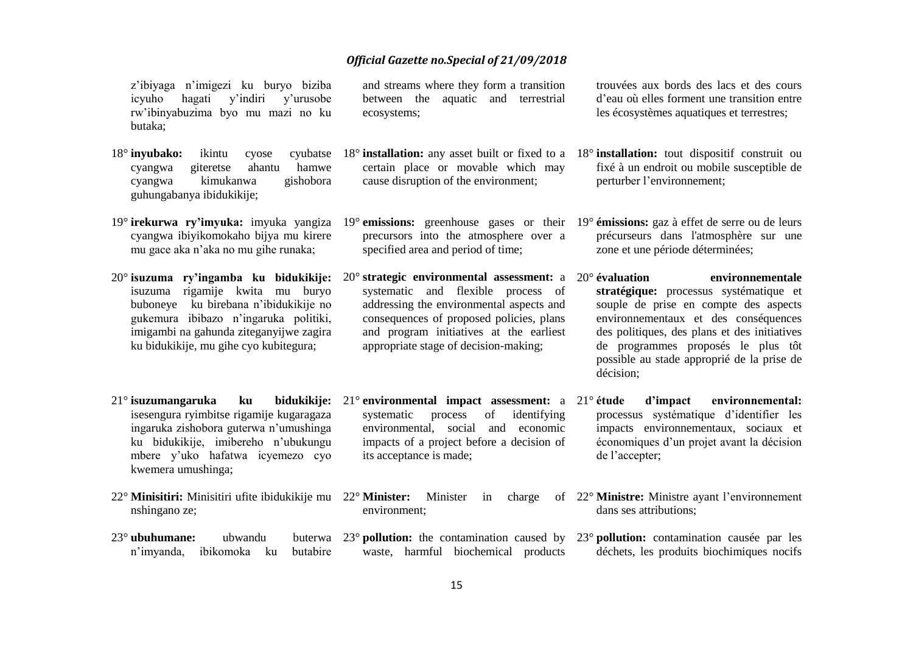z'ibiyaga n'imigezi ku buryo biziba icyuho hagati y'indiri y'urusobe rw'ibinyabuzima byo mu mazi no ku butaka;

- 18° **inyubako:** ikintu cyose cyangwa giteretse ahantu hamwe cyangwa kimukanwa gishobora guhungabanya ibidukikije;
- 19° **irekurwa ry'imyuka:** imyuka yangiza 19° **emissions:** greenhouse gases or their 19° **émissions:** gaz à effet de serre ou de leurs cyangwa ibiyikomokaho bijya mu kirere mu gace aka n'aka no mu gihe runaka;
- 20° **isuzuma ry'ingamba ku bidukikije:**  20° **strategic environmental assessment:** a isuzuma rigamije kwita mu buryo buboneye ku birebana n'ibidukikije no gukemura ibibazo n'ingaruka politiki, imigambi na gahunda ziteganyijwe zagira ku bidukikije, mu gihe cyo kubitegura;
- 21° **isuzumangaruka ku bidukikije:** isesengura ryimbitse rigamije kugaragaza ingaruka zishobora guterwa n'umushinga ku bidukikije, imibereho n'ubukungu mbere y'uko hafatwa icyemezo cyo kwemera umushinga;
- 22° **Minisitiri:** Minisitiri ufite ibidukikije mu nshingano ze;
- 23° **ubuhumane:** ubwandu n'imyanda, ibikomoka ku butabire

and streams where they form a transition between the aquatic and terrestrial ecosystems;

- 18° **installation:** any asset built or fixed to a 18° **installation:** tout dispositif construit ou certain place or movable which may cause disruption of the environment;
- precursors into the atmosphere over a specified area and period of time;
- systematic and flexible process of addressing the environmental aspects and consequences of proposed policies, plans and program initiatives at the earliest appropriate stage of decision-making;
- 21° **environmental impact assessment:** a systematic process of identifying environmental, social and economic impacts of a project before a decision of its acceptance is made;
- environment;
- 23° **pollution:** the contamination caused by 23° **pollution:** contamination causée par les waste, harmful biochemical products

trouvées aux bords des lacs et des cours d'eau où elles forment une transition entre les écosystèmes aquatiques et terrestres;

- fixé à un endroit ou mobile susceptible de perturber l'environnement;
- précurseurs dans l'atmosphère sur une zone et une période déterminées;
- 20° **évaluation environnementale stratégique:** processus systématique et souple de prise en compte des aspects environnementaux et des conséquences des politiques, des plans et des initiatives de programmes proposés le plus tôt possible au stade approprié de la prise de décision;
	- d'impact environnemental: processus systématique d'identifier les impacts environnementaux, sociaux et économiques d'un projet avant la décision de l'accepter;
- 22° **Minister:** Minister in charge of 22° **Ministre:** Ministre ayant l'environnement dans ses attributions;
	- déchets, les produits biochimiques nocifs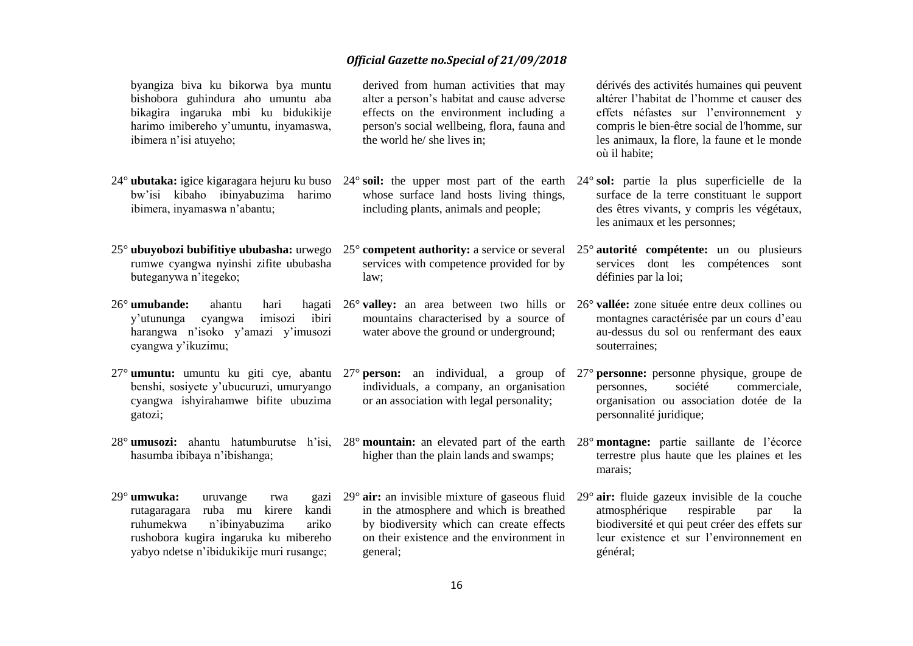byangiza biva ku bikorwa bya muntu bishobora guhindura aho umuntu aba bikagira ingaruka mbi ku bidukikije harimo imibereho y'umuntu, inyamaswa, ibimera n'isi atuyeho;

- bw'isi kibaho ibinyabuzima harimo ibimera, inyamaswa n'abantu;
- rumwe cyangwa nyinshi zifite ububasha buteganywa n'itegeko;
- 26° **umubande:** ahantu hari hagati y'utununga cyangwa imisozi ibiri harangwa n'isoko y'amazi y'imusozi cyangwa y'ikuzimu;
- benshi, sosiyete y'ubucuruzi, umuryango cyangwa ishyirahamwe bifite ubuzima gatozi;
- hasumba ibibaya n'ibishanga;
- 29° **umwuka:** uruvange rwa gazi rutagaragara ruba mu kirere kandi ruhumekwa n'ibinyabuzima ariko rushobora kugira ingaruka ku mibereho yabyo ndetse n'ibidukikije muri rusange;

derived from human activities that may alter a person's habitat and cause adverse effects on the environment including a person's social wellbeing, flora, fauna and the world he/ she lives in;

whose surface land hosts living things, including plants, animals and people;

services with competence provided for by law;

mountains characterised by a source of water above the ground or underground;

individuals, a company, an organisation or an association with legal personality;

higher than the plain lands and swamps;

29° **air:** an invisible mixture of gaseous fluid 29° **air:** fluide gazeux invisible de la couche in the atmosphere and which is breathed by biodiversity which can create effects on their existence and the environment in general;

dérivés des activités humaines qui peuvent altérer l'habitat de l'homme et causer des effets néfastes sur l'environnement y compris le bien-être social de l'homme, sur les animaux, la flore, la faune et le monde où il habite;

- 24° **ubutaka:** igice kigaragara hejuru ku buso 24° **soil:** the upper most part of the earth 24° **sol:** partie la plus superficielle de la surface de la terre constituant le support des êtres vivants, y compris les végétaux, les animaux et les personnes;
- 25<sup>°</sup> **ubuyobozi bubifitiye ububasha:** urwego 25<sup>°</sup> competent authority: a service or several 25<sup>°</sup> autorité compétente: un ou plusieurs services dont les compétences sont définies par la loi;
	- 26° **valley:** an area between two hills or 26° **vallée:** zone située entre deux collines ou montagnes caractérisée par un cours d'eau au-dessus du sol ou renfermant des eaux souterraines;
- 27° **umuntu:** umuntu ku giti cye, abantu 27° **person:** an individual, a group of 27° **personne:** personne physique, groupe de personnes, société commerciale, organisation ou association dotée de la personnalité juridique;
- 28° **umusozi:** ahantu hatumburutse h'isi, 28° **mountain:** an elevated part of the earth 28° **montagne:** partie saillante de l'écorce terrestre plus haute que les plaines et les marais;
	- atmosphérique respirable par la biodiversité et qui peut créer des effets sur leur existence et sur l'environnement en général;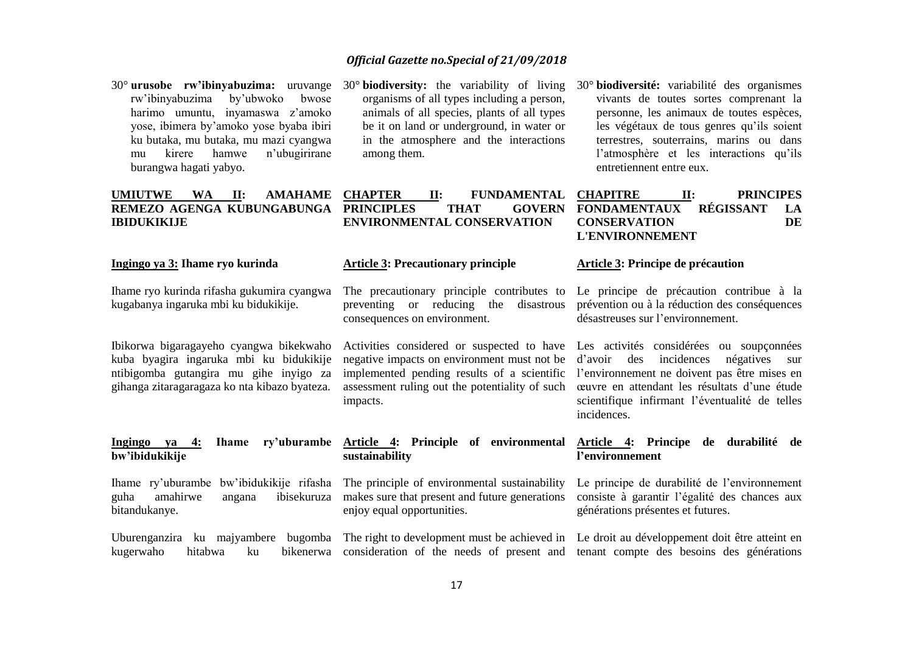- 30° **urusobe rw'ibinyabuzima:** uruvange rw'ibinyabuzima by'ubwoko bwose harimo umuntu, inyamaswa z'amoko yose, ibimera by'amoko yose byaba ibiri ku butaka, mu butaka, mu mazi cyangwa mu kirere hamwe n'ubugirirane burangwa hagati yabyo.
- 30° **biodiversity:** the variability of living organisms of all types including a person, animals of all species, plants of all types be it on land or underground, in water or in the atmosphere and the interactions among them.
- 30° **biodiversité:** variabilité des organismes vivants de toutes sortes comprenant la personne, les animaux de toutes espèces, les végétaux de tous genres qu'ils soient terrestres, souterrains, marins ou dans l'atmosphère et les interactions qu'ils entretiennent entre eux.

| <b>UMIUTWE</b>     | <b>WA</b> | $\Pi$ : | <b>AMAHAME CHAPTER</b> |                                       | П: |             | FUNDAMENTAL | <b>CHAPITRE</b>        | <b>PRINCIPES</b> |    |
|--------------------|-----------|---------|------------------------|---------------------------------------|----|-------------|-------------|------------------------|------------------|----|
|                    |           |         |                        | REMEZO AGENGA KUBUNGABUNGA PRINCIPLES |    | <b>THAT</b> |             | GOVERN FONDAMENTAUX    | <b>REGISSANT</b> | LA |
| <b>IBIDUKIKLIE</b> |           |         |                        | <b>ENVIRONMENTAL CONSERVATION</b>     |    |             |             | <b>CONSERVATION</b>    |                  | DE |
|                    |           |         |                        |                                       |    |             |             | <b>L'ENVIRONNEMENT</b> |                  |    |
|                    |           |         |                        |                                       |    |             |             |                        |                  |    |

**Article 3: Precautionary principle**

consequences on environment.

impacts.

**sustainability** 

**Ingingo ya 3: Ihame ryo kurinda** 

Ihame ryo kurinda rifasha gukumira cyangwa kugabanya ingaruka mbi ku bidukikije.

Ibikorwa bigaragayeho cyangwa bikekwaho kuba byagira ingaruka mbi ku bidukikije ntibigomba gutangira mu gihe inyigo za gihanga zitaragaragaza ko nta kibazo byateza.

#### **Ingingo ya 4: Ihame ry'uburambe Article 4: Principle of environmental Article 4: Principe de durabilité de bw'ibidukikije**

Ihame ry'uburambe bw'ibidukikije rifasha guha amahirwe angana ibisekuruza bitandukanye.

The principle of environmental sustainability enjoy equal opportunities.

The precautionary principle contributes to Le principe de précaution contribue à la preventing or reducing the disastrous prévention ou à la réduction des conséquences désastreuses sur l'environnement.

**Article 3: Principe de précaution**

Activities considered or suspected to have Les activités considérées ou soupçonnées negative impacts on environment must not be d'avoir des incidences négatives sur implemented pending results of a scientific l'environnement ne doivent pas être mises en assessment ruling out the potentiality of such œuvre en attendant les résultats d'une étude scientifique infirmant l'éventualité de telles incidences.

# **l'environnement**

makes sure that present and future generations consiste à garantir l'égalité des chances aux Le principe de durabilité de l'environnement générations présentes et futures.

Uburenganzira ku majyambere bugomba The right to development must be achieved in Le droit au développement doit être atteint en kugerwaho hitabwa ku bikenerwa consideration of the needs of present and tenant compte des besoins des générations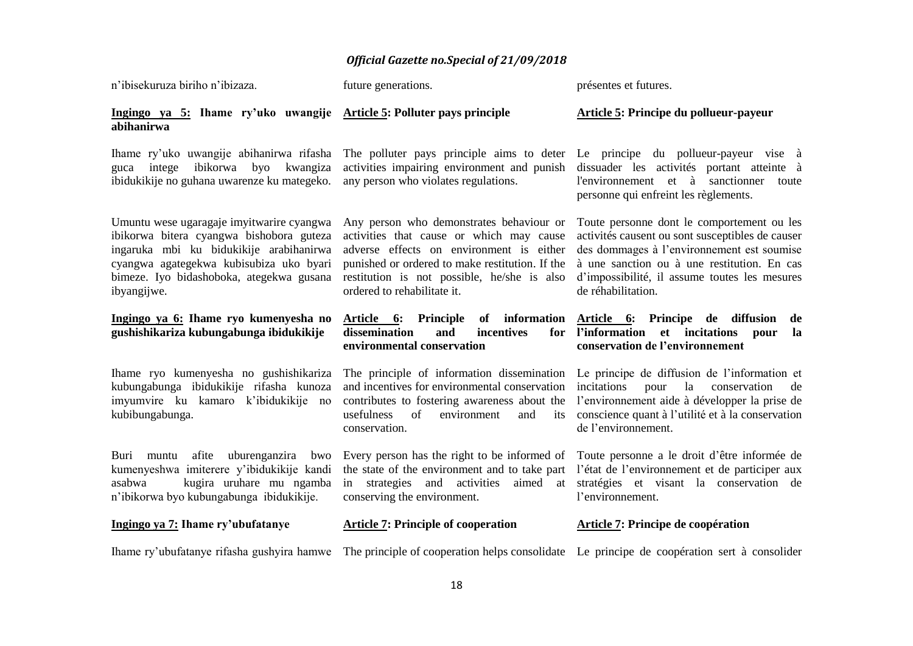| n'ibisekuruza biriho n'ibizaza.                                                                                                                                                                                                        | future generations.                                                                                                                                                                                                                                               | présentes et futures.                                                                                                                                                                                                                                              |
|----------------------------------------------------------------------------------------------------------------------------------------------------------------------------------------------------------------------------------------|-------------------------------------------------------------------------------------------------------------------------------------------------------------------------------------------------------------------------------------------------------------------|--------------------------------------------------------------------------------------------------------------------------------------------------------------------------------------------------------------------------------------------------------------------|
| Ingingo ya 5: Ihame ry'uko uwangije Article 5: Polluter pays principle<br>abihanirwa                                                                                                                                                   |                                                                                                                                                                                                                                                                   | Article 5: Principe du pollueur-payeur                                                                                                                                                                                                                             |
| Ihame ry'uko uwangije abihanirwa rifasha<br>ibikorwa<br>intege<br>byo<br>kwangiza<br>guca<br>ibidukikije no guhana uwarenze ku mategeko.                                                                                               | The polluter pays principle aims to deter Le principe du pollueur-payeur vise à<br>activities impairing environment and punish<br>any person who violates regulations.                                                                                            | dissuader les activités portant atteinte à<br>l'environnement et à sanctionner<br>toute<br>personne qui enfreint les règlements.                                                                                                                                   |
| Umuntu wese ugaragaje imyitwarire cyangwa<br>ibikorwa bitera cyangwa bishobora guteza<br>ingaruka mbi ku bidukikije arabihanirwa<br>cyangwa agategekwa kubisubiza uko byari<br>bimeze. Iyo bidashoboka, ategekwa gusana<br>ibyangijwe. | Any person who demonstrates behaviour or<br>activities that cause or which may cause<br>adverse effects on environment is either<br>punished or ordered to make restitution. If the<br>restitution is not possible, he/she is also<br>ordered to rehabilitate it. | Toute personne dont le comportement ou les<br>activités causent ou sont susceptibles de causer<br>des dommages à l'environnement est soumise<br>à une sanction ou à une restitution. En cas<br>d'impossibilité, il assume toutes les mesures<br>de réhabilitation. |
| Ingingo ya 6: Ihame ryo kumenyesha no<br>gushishikariza kubungabunga ibidukikije                                                                                                                                                       | Article 6: Principle<br>dissemination<br>and<br>incentives<br>environmental conservation                                                                                                                                                                          | of information Article 6: Principe de diffusion<br>de<br>for l'information<br>et incitations<br>la<br>pour<br>conservation de l'environnement                                                                                                                      |
| Ihame ryo kumenyesha no gushishikariza<br>kubungabunga ibidukikije rifasha kunoza<br>imyumvire ku kamaro k'ibidukikije no<br>kubibungabunga.                                                                                           | The principle of information dissemination<br>and incentives for environmental conservation<br>contributes to fostering awareness about the<br>usefulness<br>of<br>environment<br>and<br>its<br>conservation.                                                     | Le principe de diffusion de l'information et<br>incitations<br>la<br>pour<br>conservation<br>de<br>l'environnement aide à développer la prise de<br>conscience quant à l'utilité et à la conservation<br>de l'environnement.                                       |
| afite uburenganzira bwo<br>Buri muntu<br>kumenyeshwa imiterere y'ibidukikije kandi<br>kugira uruhare mu ngamba<br>asabwa<br>n'ibikorwa byo kubungabunga ibidukikije.                                                                   | Every person has the right to be informed of<br>the state of the environment and to take part<br>strategies and activities<br>aimed at<br>in<br>conserving the environment.                                                                                       | Toute personne a le droit d'être informée de<br>l'état de l'environnement et de participer aux<br>stratégies et visant la conservation de<br>l'environnement.                                                                                                      |
| Ingingo ya 7: Ihame ry'ubufatanye                                                                                                                                                                                                      | <b>Article 7: Principle of cooperation</b>                                                                                                                                                                                                                        | Article 7: Principe de coopération                                                                                                                                                                                                                                 |
| Ihame ry'ubufatanye rifasha gushyira hamwe                                                                                                                                                                                             | The principle of cooperation helps consolidate                                                                                                                                                                                                                    | Le principe de coopération sert à consolider                                                                                                                                                                                                                       |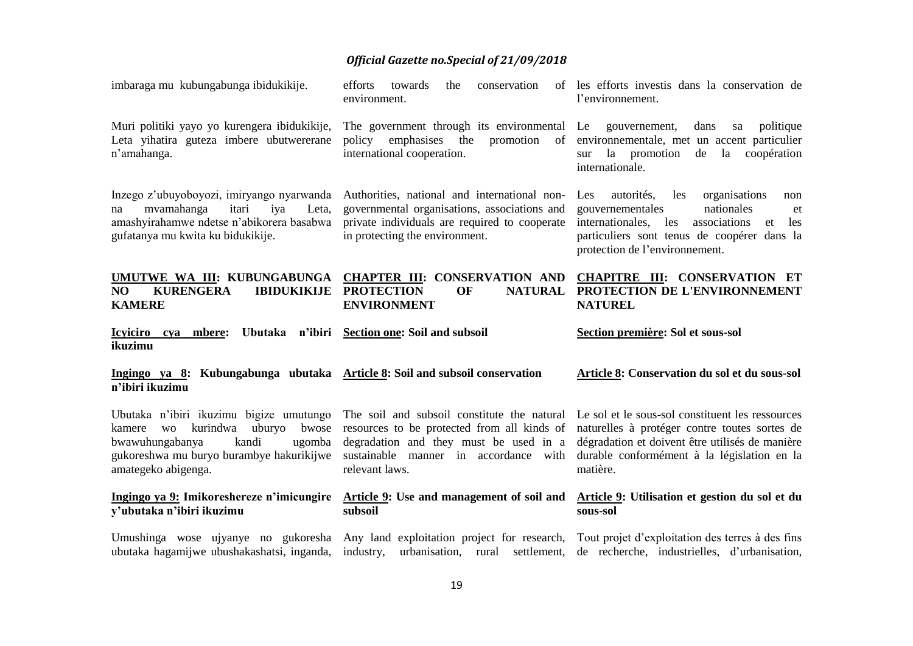| imbaraga mu kubungabunga ibidukikije.                                                                                                                                                                  | efforts<br>towards<br>the<br>conservation<br>environment.                                                                                                                                       | of les efforts investis dans la conservation de<br>l'environnement.                                                                                                                                                               |
|--------------------------------------------------------------------------------------------------------------------------------------------------------------------------------------------------------|-------------------------------------------------------------------------------------------------------------------------------------------------------------------------------------------------|-----------------------------------------------------------------------------------------------------------------------------------------------------------------------------------------------------------------------------------|
| Muri politiki yayo yo kurengera ibidukikije,<br>Leta yihatira guteza imbere ubutwererane<br>n'amahanga.                                                                                                | The government through its environmental Le gouvernement,<br>policy emphasises<br>the<br>promotion<br>of<br>international cooperation.                                                          | dans<br>politique<br>sa<br>environnementale, met un accent particulier<br>la<br>promotion<br>de<br>la<br>coopération<br>sur<br>internationale.                                                                                    |
| Inzego z'ubuyoboyozi, imiryango nyarwanda<br>mvamahanga<br>itari<br>iya<br>Leta,<br>na<br>amashyirahamwe ndetse n'abikorera basabwa<br>gufatanya mu kwita ku bidukikije.                               | Authorities, national and international non-<br>governmental organisations, associations and<br>private individuals are required to cooperate<br>in protecting the environment.                 | autorités,<br>organisations<br>Les<br>les<br>non<br>nationales<br>gouvernementales<br>et<br>internationales,<br>associations<br>les<br>les<br>et<br>particuliers sont tenus de coopérer dans la<br>protection de l'environnement. |
| UMUTWE WA III: KUBUNGABUNGA<br>NO<br><b>KURENGERA</b><br><b>IBIDUKIKIJE</b><br><b>KAMERE</b>                                                                                                           | <b>CHAPTER III: CONSERVATION AND</b><br><b>PROTECTION</b><br>OF<br><b>NATURAL</b><br><b>ENVIRONMENT</b>                                                                                         | <b>CHAPITRE III: CONSERVATION ET</b><br>PROTECTION DE L'ENVIRONNEMENT<br><b>NATUREL</b>                                                                                                                                           |
|                                                                                                                                                                                                        |                                                                                                                                                                                                 |                                                                                                                                                                                                                                   |
| Icyiciro cya mbere:<br>ikuzimu                                                                                                                                                                         | Ubutaka n'ibiri Section one: Soil and subsoil                                                                                                                                                   | Section première: Sol et sous-sol                                                                                                                                                                                                 |
| Ingingo ya 8: Kubungabunga ubutaka Article 8: Soil and subsoil conservation<br>n'ibiri ikuzimu                                                                                                         |                                                                                                                                                                                                 | Article 8: Conservation du sol et du sous-sol                                                                                                                                                                                     |
| Ubutaka n'ibiri ikuzimu bigize umutungo<br>kurindwa<br>uburyo<br>bwose<br>kamere<br><b>WO</b><br>bwawuhungabanya<br>kandi<br>ugomba<br>gukoreshwa mu buryo burambye hakurikijwe<br>amategeko abigenga. | The soil and subsoil constitute the natural<br>resources to be protected from all kinds of<br>degradation and they must be used in a<br>sustainable manner in accordance with<br>relevant laws. | Le sol et le sous-sol constituent les ressources<br>naturelles à protéger contre toutes sortes de<br>dégradation et doivent être utilisés de manière<br>durable conformément à la législation en la<br>matière.                   |
| Ingingo ya 9: Imikoreshereze n'imicungire<br>y'ubutaka n'ibiri ikuzimu                                                                                                                                 | Article 9: Use and management of soil and<br>subsoil                                                                                                                                            | Article 9: Utilisation et gestion du sol et du<br>sous-sol                                                                                                                                                                        |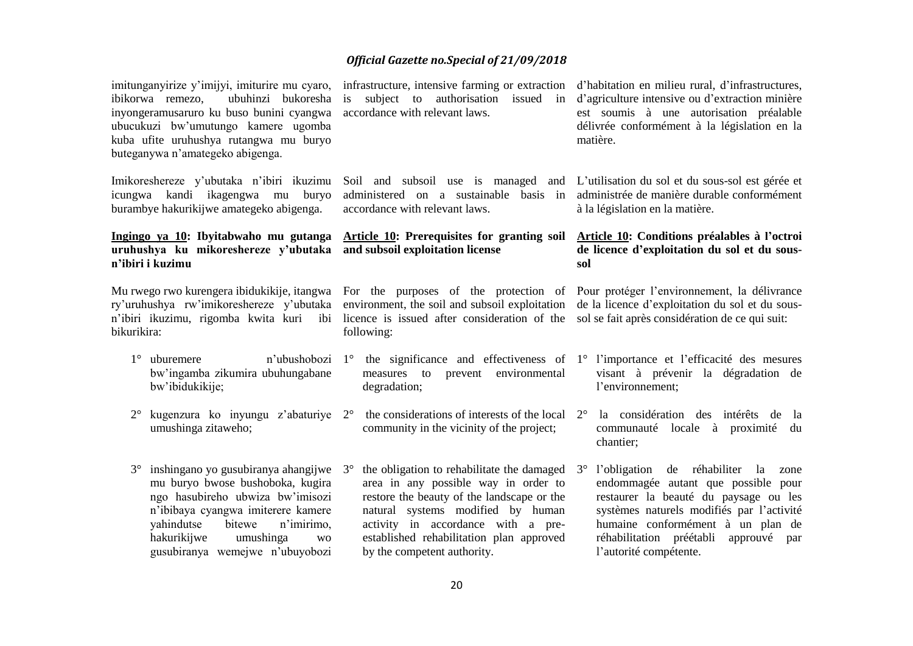| imitunganyirize y'imijyi, imiturire mu cyaro,<br>ibikorwa remezo,<br>ubuhinzi bukoresha<br>inyongeramusaruro ku buso bunini cyangwa<br>ubucukuzi bw'umutungo kamere ugomba<br>kuba ufite uruhushya rutangwa mu buryo<br>buteganywa n'amategeko abigenga. |                                                                                                                                                                                                                                                                     |                                                                                                                                                                                                    | infrastructure, intensive farming or extraction<br>subject to authorisation issued<br>in<br>accordance with relevant laws.                                                                                                                                                             | d'habitation en milieu rural, d'infrastructures,<br>d'agriculture intensive ou d'extraction minière<br>est soumis à une autorisation préalable<br>délivrée conformément à la législation en la<br>matière. |                                                                                                                                                                                                                                                                                         |  |
|----------------------------------------------------------------------------------------------------------------------------------------------------------------------------------------------------------------------------------------------------------|---------------------------------------------------------------------------------------------------------------------------------------------------------------------------------------------------------------------------------------------------------------------|----------------------------------------------------------------------------------------------------------------------------------------------------------------------------------------------------|----------------------------------------------------------------------------------------------------------------------------------------------------------------------------------------------------------------------------------------------------------------------------------------|------------------------------------------------------------------------------------------------------------------------------------------------------------------------------------------------------------|-----------------------------------------------------------------------------------------------------------------------------------------------------------------------------------------------------------------------------------------------------------------------------------------|--|
| Imikoreshereze y'ubutaka n'ibiri ikuzimu<br>icungwa kandi ikagengwa mu<br>buryo<br>burambye hakurikijwe amategeko abigenga.                                                                                                                              |                                                                                                                                                                                                                                                                     | Soil and subsoil use is managed and<br>administered on a sustainable<br>basis in<br>accordance with relevant laws.                                                                                 |                                                                                                                                                                                                                                                                                        | L'utilisation du sol et du sous-sol est gérée et<br>administrée de manière durable conformément<br>à la législation en la matière.                                                                         |                                                                                                                                                                                                                                                                                         |  |
| Ingingo ya 10: Ibyitabwaho mu gutanga<br>uruhushya ku mikoreshereze y'ubutaka<br>n'ibiri i kuzimu                                                                                                                                                        |                                                                                                                                                                                                                                                                     | <b>Article 10: Prerequisites for granting soil</b><br>and subsoil exploitation license                                                                                                             |                                                                                                                                                                                                                                                                                        | Article 10: Conditions préalables à l'octroi<br>de licence d'exploitation du sol et du sous-<br>sol                                                                                                        |                                                                                                                                                                                                                                                                                         |  |
| Mu rwego rwo kurengera ibidukikije, itangwa<br>ry'uruhushya rw'imikoreshereze y'ubutaka<br>n'ibiri ikuzimu, rigomba kwita kuri<br>ibi<br>bikurikira:                                                                                                     |                                                                                                                                                                                                                                                                     | For the purposes of the protection of Pour protéger l'environmement, la délivrance<br>environment, the soil and subsoil exploitation<br>licence is issued after consideration of the<br>following: |                                                                                                                                                                                                                                                                                        | de la licence d'exploitation du sol et du sous-<br>sol se fait après considération de ce qui suit:                                                                                                         |                                                                                                                                                                                                                                                                                         |  |
| $1^{\circ}$                                                                                                                                                                                                                                              | uburemere<br>n'ubushobozi<br>bw'ingamba zikumira ubuhungabane<br>bw'ibidukikije;                                                                                                                                                                                    |                                                                                                                                                                                                    | 1° the significance and effectiveness of 1° l'importance et l'efficacité des mesures<br>prevent environmental<br>measures to<br>degradation;                                                                                                                                           |                                                                                                                                                                                                            | visant à prévenir la dégradation de<br>l'environnement;                                                                                                                                                                                                                                 |  |
| $2^{\circ}$                                                                                                                                                                                                                                              | umushinga zitaweho;                                                                                                                                                                                                                                                 |                                                                                                                                                                                                    | kugenzura ko inyungu z'abaturiye $2^{\circ}$ the considerations of interests of the local<br>community in the vicinity of the project;                                                                                                                                                 | $2^{\circ}$                                                                                                                                                                                                | la considération des intérêts de<br>la<br>communauté locale à<br>proximité<br>du<br>chantier;                                                                                                                                                                                           |  |
| $3^\circ$                                                                                                                                                                                                                                                | inshingano yo gusubiranya ahangijwe<br>mu buryo bwose bushoboka, kugira<br>ngo hasubireho ubwiza bw'imisozi<br>n'ibibaya cyangwa imiterere kamere<br>yahindutse<br>bitewe<br>n'imirimo,<br>hakurikijwe<br>umushinga<br><b>WO</b><br>gusubiranya wemejwe n'ubuyobozi | $3^{\circ}$                                                                                                                                                                                        | the obligation to rehabilitate the damaged<br>area in any possible way in order to<br>restore the beauty of the landscape or the<br>natural systems modified by human<br>activity in accordance with a pre-<br>established rehabilitation plan approved<br>by the competent authority. | $3^{\circ}$                                                                                                                                                                                                | de réhabiliter<br>l'obligation<br>la<br>zone<br>endommagée autant que possible pour<br>restaurer la beauté du paysage ou les<br>systèmes naturels modifiés par l'activité<br>humaine conformément à un plan de<br>réhabilitation préétabli<br>approuvé<br>par<br>l'autorité compétente. |  |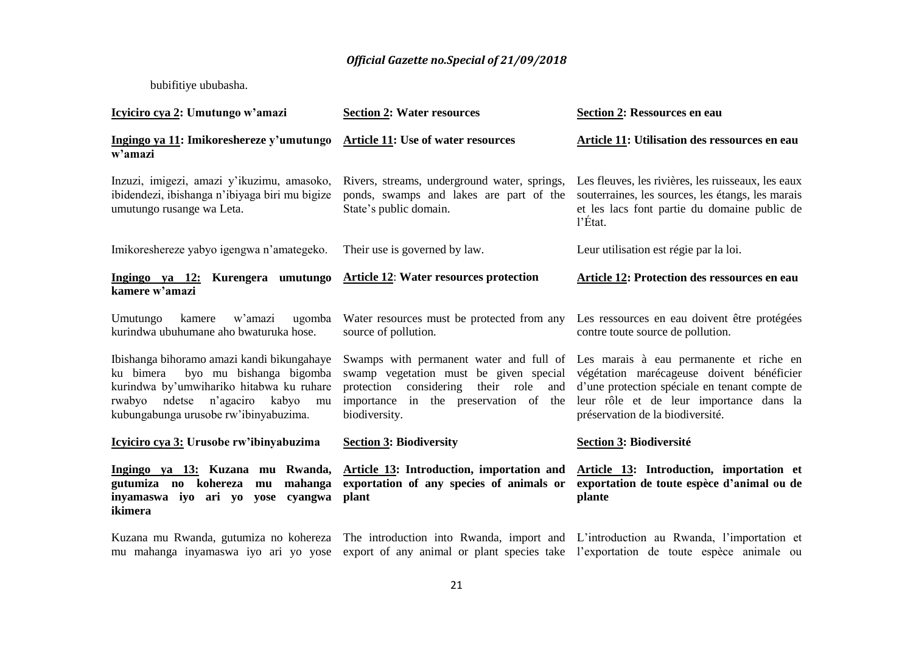#### bubifitiye ububasha.

| Icyiciro cya 2: Umutungo w'amazi                                                                                                                                                                                  | <b>Section 2: Water resources</b>                                                                                                                                                                                                                                                                                                                                                                               | <b>Section 2: Ressources en eau</b>                                                                                                                                  |  |  |
|-------------------------------------------------------------------------------------------------------------------------------------------------------------------------------------------------------------------|-----------------------------------------------------------------------------------------------------------------------------------------------------------------------------------------------------------------------------------------------------------------------------------------------------------------------------------------------------------------------------------------------------------------|----------------------------------------------------------------------------------------------------------------------------------------------------------------------|--|--|
| Ingingo ya 11: Imikoreshereze y'umutungo Article 11: Use of water resources<br>w'amazi                                                                                                                            |                                                                                                                                                                                                                                                                                                                                                                                                                 | Article 11: Utilisation des ressources en eau                                                                                                                        |  |  |
| Inzuzi, imigezi, amazi y'ikuzimu, amasoko,<br>ibidendezi, ibishanga n'ibiyaga biri mu bigize<br>umutungo rusange wa Leta.                                                                                         | Rivers, streams, underground water, springs,<br>ponds, swamps and lakes are part of the<br>State's public domain.                                                                                                                                                                                                                                                                                               | Les fleuves, les rivières, les ruisseaux, les eaux<br>souterraines, les sources, les étangs, les marais<br>et les lacs font partie du domaine public de<br>$l$ Etat. |  |  |
| Imikoreshereze yabyo igengwa n'amategeko.                                                                                                                                                                         | Their use is governed by law.                                                                                                                                                                                                                                                                                                                                                                                   | Leur utilisation est régie par la loi.                                                                                                                               |  |  |
| Ingingo ya 12: Kurengera umutungo<br>kamere w'amazi                                                                                                                                                               | <b>Article 12: Water resources protection</b>                                                                                                                                                                                                                                                                                                                                                                   | Article 12: Protection des ressources en eau                                                                                                                         |  |  |
| w'amazi<br>Umutungo<br>kamere<br>ugomba<br>kurindwa ubuhumane aho bwaturuka hose.                                                                                                                                 | Water resources must be protected from any<br>source of pollution.                                                                                                                                                                                                                                                                                                                                              | Les ressources en eau doivent être protégées<br>contre toute source de pollution.                                                                                    |  |  |
| Ibishanga bihoramo amazi kandi bikungahaye<br>byo mu bishanga bigomba<br>ku bimera<br>kurindwa by'umwihariko hitabwa ku ruhare<br>rwabyo ndetse n'agaciro<br>kabyo<br>mu<br>kubungabunga urusobe rw'ibinyabuzima. | Swamps with permanent water and full of Les marais à eau permanente et riche en<br>végétation marécageuse doivent bénéficier<br>swamp vegetation must be given special<br>d'une protection spéciale en tenant compte de<br>protection considering<br>their role<br>and<br>importance in the preservation of the<br>leur rôle et de leur importance dans la<br>biodiversity.<br>préservation de la biodiversité. |                                                                                                                                                                      |  |  |
| Icyiciro cya 3: Urusobe rw'ibinyabuzima                                                                                                                                                                           | <b>Section 3: Biodiversity</b>                                                                                                                                                                                                                                                                                                                                                                                  | <b>Section 3: Biodiversité</b>                                                                                                                                       |  |  |
| Ingingo ya 13: Kuzana mu Rwanda,<br>gutumiza no kohereza<br>mahanga<br>mu<br>inyamaswa iyo ari yo yose cyangwa<br>ikimera                                                                                         | Article 13: Introduction, importation and<br>exportation of any species of animals or<br>plant                                                                                                                                                                                                                                                                                                                  | Article 13: Introduction, importation et<br>exportation de toute espèce d'animal ou de<br>plante                                                                     |  |  |
| mu mahanga inyamaswa iyo ari yo yose                                                                                                                                                                              | Kuzana mu Rwanda, gutumiza no kohereza The introduction into Rwanda, import and L'introduction au Rwanda, l'importation et                                                                                                                                                                                                                                                                                      | export of any animal or plant species take l'exportation de toute espèce animale ou                                                                                  |  |  |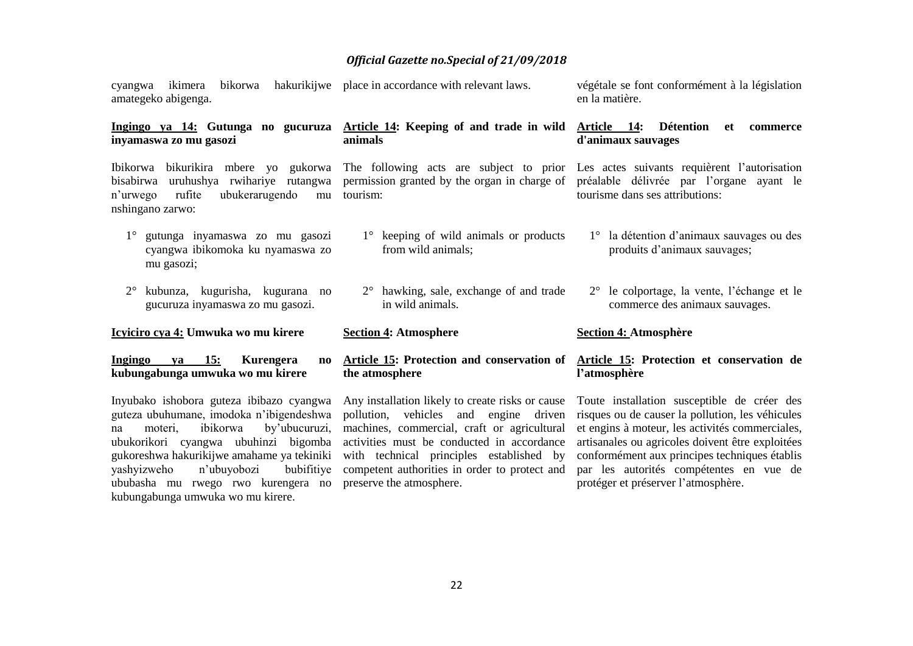|                     |  | cyangwa ikimera bikorwa hakurikijwe place in accordance with relevant laws. | végétale se font conformément à la législation |
|---------------------|--|-----------------------------------------------------------------------------|------------------------------------------------|
| amategeko abigenga. |  |                                                                             | en la matière.                                 |

**Ingingo ya 14: Gutunga no gucuruza inyamaswa zo mu gasozi Article 14: Keeping of and trade in wild Article 14: Détention et commerce animals d'animaux sauvages**

Ibikorwa bikurikira mbere yo gukorwa bisabirwa uruhushya rwihariye rutangwa n'urwego rufite ubukerarugendo nshingano zarwo: mu tourism:

1° gutunga inyamaswa zo mu gasozi cyangwa ibikomoka ku nyamaswa zo mu gasozi; 1° keeping of wild animals or products from wild animals; 1° la détention d'animaux sauvages ou des produits d'animaux sauvages;

in wild animals.

**Section 4: Atmosphere**

**the atmosphere**

2° hawking, sale, exchange of and trade

2° kubunza, kugurisha, kugurana no gucuruza inyamaswa zo mu gasozi.

**Icyiciro cya 4: Umwuka wo mu kirere**

**Ingingo ya 15: Kurengera no kubungabunga umwuka wo mu kirere** 

Inyubako ishobora guteza ibibazo cyangwa guteza ubuhumane, imodoka n'ibigendeshwa na moteri, ibikorwa by'ubucuruzi, ubukorikori cyangwa ubuhinzi bigomba gukoreshwa hakurikijwe amahame ya tekiniki yashyizweho n'ubuyobozi bubifitiye ububasha mu rwego rwo kurengera no preserve the atmosphere. kubungabunga umwuka wo mu kirere.

Any installation likely to create risks or cause pollution, vehicles and engine driven machines, commercial, craft or agricultural activities must be conducted in accordance with technical principles established by competent authorities in order to protect and

**Section 4: Atmosphère**

tourisme dans ses attributions:

The following acts are subject to prior Les actes suivants requièrent l'autorisation permission granted by the organ in charge of préalable délivrée par l'organe ayant le

**Article 15: Protection and conservation of Article 15: Protection et conservation de l'atmosphère**

2° le colportage, la vente, l'échange et le commerce des animaux sauvages.

Toute installation susceptible de créer des risques ou de causer la pollution, les véhicules et engins à moteur, les activités commerciales, artisanales ou agricoles doivent être exploitées conformément aux principes techniques établis par les autorités compétentes en vue de protéger et préserver l'atmosphère.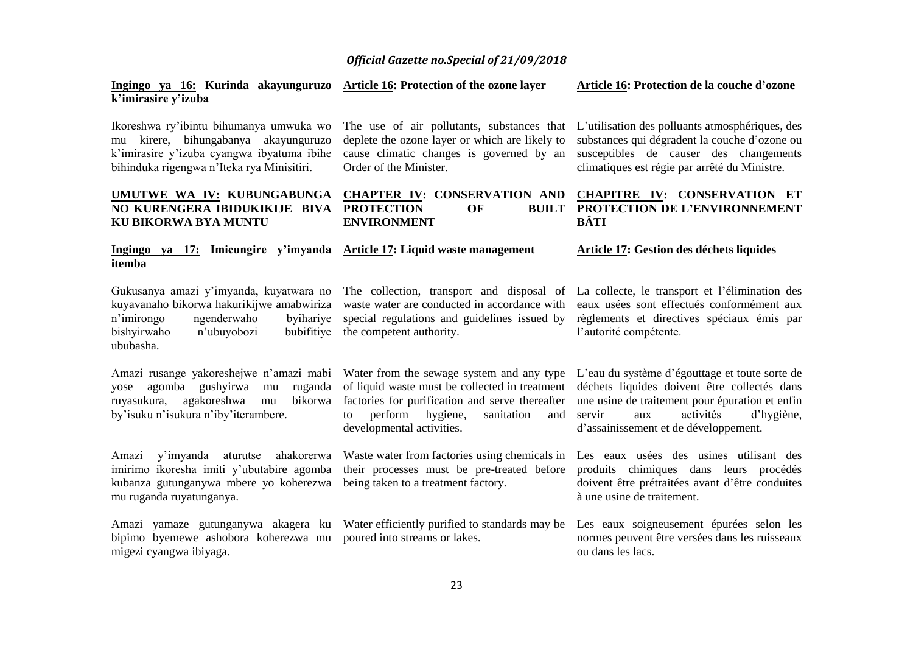**Ingingo ya 16: Kurinda akayunguruzo k'imirasire y'izuba Article 16: Protection of the ozone layer Article 16: Protection de la couche d'ozone**

| Ikoreshwa ry'ibintu bihumanya umwuka wo<br>mu kirere, bihungabanya akayunguruzo<br>k'imirasire y'izuba cyangwa ibyatuma ibihe<br>bihinduka rigengwa n'Iteka rya Minisitiri.             | The use of air pollutants, substances that<br>deplete the ozone layer or which are likely to<br>cause climatic changes is governed by an<br>Order of the Minister.                                                         | L'utilisation des polluants atmosphériques, des<br>substances qui dégradent la couche d'ozone ou<br>susceptibles de causer des changements<br>climatiques est régie par arrêté du Ministre.                                            |  |
|-----------------------------------------------------------------------------------------------------------------------------------------------------------------------------------------|----------------------------------------------------------------------------------------------------------------------------------------------------------------------------------------------------------------------------|----------------------------------------------------------------------------------------------------------------------------------------------------------------------------------------------------------------------------------------|--|
| UMUTWE WA IV: KUBUNGABUNGA<br>NO KURENGERA IBIDUKIKIJE BIVA<br>KU BIKORWA BYA MUNTU                                                                                                     | <b>CHAPTER IV: CONSERVATION AND</b><br><b>PROTECTION</b><br><b>OF</b><br><b>BUILT</b><br><b>ENVIRONMENT</b>                                                                                                                | <b>CHAPITRE IV: CONSERVATION ET</b><br>PROTECTION DE L'ENVIRONNEMENT<br><b>BÂTI</b>                                                                                                                                                    |  |
| Ingingo ya 17:<br>itemba                                                                                                                                                                | Imicungire y'imyanda Article 17: Liquid waste management                                                                                                                                                                   | Article 17: Gestion des déchets liquides                                                                                                                                                                                               |  |
| Gukusanya amazi y'imyanda, kuyatwara no<br>kuyavanaho bikorwa hakurikijwe amabwiriza<br>ngenderwaho<br>byihariye<br>n'imirongo<br>bishyirwaho<br>n'ubuyobozi<br>bubifitiye<br>ububasha. | The collection, transport and disposal of<br>waste water are conducted in accordance with<br>special regulations and guidelines issued by<br>the competent authority.                                                      | La collecte, le transport et l'élimination des<br>eaux usées sont effectués conformément aux<br>règlements et directives spéciaux émis par<br>l'autorité compétente.                                                                   |  |
| Amazi rusange yakoreshejwe n'amazi mabi<br>agomba gushyirwa<br>ruganda<br>vose<br>mu<br>agakoreshwa<br>bikorwa<br>ruyasukura,<br>mu<br>by'isuku n'isukura n'iby'iterambere.             | Water from the sewage system and any type<br>of liquid waste must be collected in treatment<br>factories for purification and serve thereafter<br>perform hygiene,<br>sanitation<br>and<br>to<br>developmental activities. | L'eau du système d'égouttage et toute sorte de<br>déchets liquides doivent être collectés dans<br>une usine de traitement pour épuration et enfin<br>servir<br>activités<br>d'hygiène,<br>aux<br>d'assainissement et de développement. |  |
| y'imyanda<br>ahakorerwa<br>aturutse<br>Amazi<br>imirimo ikoresha imiti y'ubutabire agomba<br>kubanza gutunganywa mbere yo koherezwa<br>mu ruganda ruyatunganya.                         | Waste water from factories using chemicals in<br>their processes must be pre-treated before<br>being taken to a treatment factory.                                                                                         | Les eaux usées des usines utilisant des<br>produits chimiques dans leurs procédés<br>doivent être prétraitées avant d'être conduites<br>à une usine de traitement.                                                                     |  |
| Amazi yamaze gutunganywa akagera ku<br>bipimo byemewe ashobora koherezwa mu<br>migezi cyangwa ibiyaga.                                                                                  | Water efficiently purified to standards may be<br>poured into streams or lakes.                                                                                                                                            | Les eaux soigneusement épurées selon les<br>normes peuvent être versées dans les ruisseaux<br>ou dans les lacs.                                                                                                                        |  |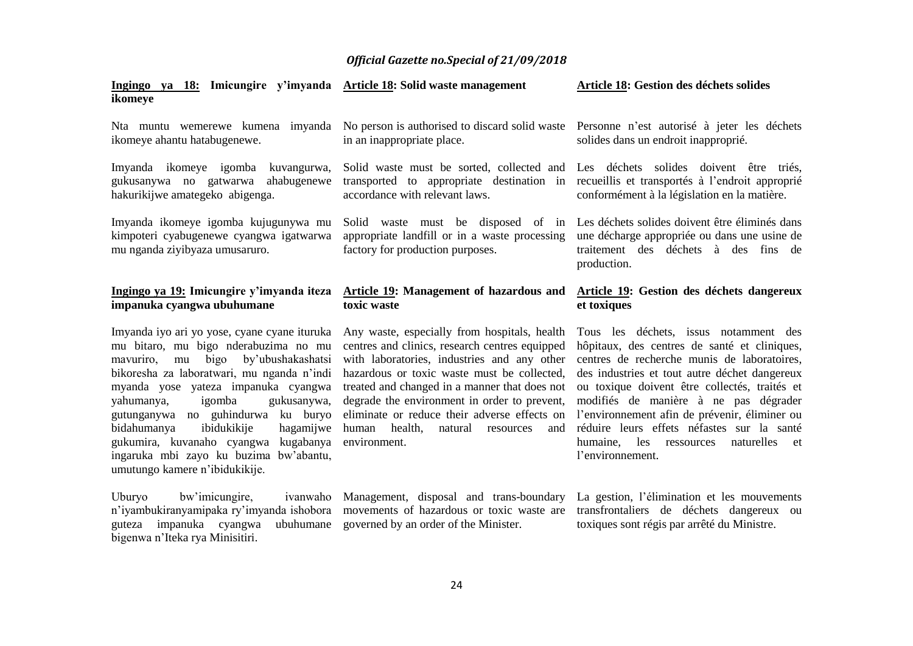| Ingingo ya 18: Imicungire y'imyanda Article 18: Solid waste management<br>ikomeye                                                                                                                                                                                                                   |                                                                                                                                                                                                                                                                                                                                               | Article 18: Gestion des déchets solides                                                                                                                                                                                                                                                                                          |
|-----------------------------------------------------------------------------------------------------------------------------------------------------------------------------------------------------------------------------------------------------------------------------------------------------|-----------------------------------------------------------------------------------------------------------------------------------------------------------------------------------------------------------------------------------------------------------------------------------------------------------------------------------------------|----------------------------------------------------------------------------------------------------------------------------------------------------------------------------------------------------------------------------------------------------------------------------------------------------------------------------------|
| Nta muntu wemerewe kumena imyanda<br>ikomeye ahantu hatabugenewe.                                                                                                                                                                                                                                   | No person is authorised to discard solid waste<br>in an inappropriate place.                                                                                                                                                                                                                                                                  | Personne n'est autorisé à jeter les déchets<br>solides dans un endroit inapproprié.                                                                                                                                                                                                                                              |
| Imyanda ikomeye igomba<br>kuvangurwa,<br>ahabugenewe<br>gukusanywa no gatwarwa<br>hakurikijwe amategeko abigenga.                                                                                                                                                                                   | accordance with relevant laws.                                                                                                                                                                                                                                                                                                                | Solid waste must be sorted, collected and Les déchets solides doivent être triés,<br>transported to appropriate destination in recueillis et transportes à l'endroit approprié<br>conformément à la législation en la matière.                                                                                                   |
| Imyanda ikomeye igomba kujugunywa mu<br>kimpoteri cyabugenewe cyangwa igatwarwa<br>mu nganda ziyibyaza umusaruro.                                                                                                                                                                                   | Solid waste must be disposed of in<br>appropriate landfill or in a waste processing<br>factory for production purposes.                                                                                                                                                                                                                       | Les déchets solides doivent être éliminés dans<br>une décharge appropriée ou dans une usine de<br>traitement des déchets à des fins de<br>production.                                                                                                                                                                            |
| Ingingo ya 19: Imicungire y'imyanda iteza<br>impanuka cyangwa ubuhumane                                                                                                                                                                                                                             | Article 19: Management of hazardous and<br>toxic waste                                                                                                                                                                                                                                                                                        | Article 19: Gestion des déchets dangereux<br>et toxiques                                                                                                                                                                                                                                                                         |
| Imyanda iyo ari yo yose, cyane cyane ituruka<br>mu bitaro, mu bigo nderabuzima no mu<br>bigo by'ubushakashatsi<br>mavuriro, mu<br>bikoresha za laboratwari, mu nganda n'indi<br>myanda yose yateza impanuka cyangwa<br>igomba<br>gukusanywa,<br>yahumanya,<br>no guhindurwa ku buryo<br>gutunganywa | Any waste, especially from hospitals, health<br>centres and clinics, research centres equipped<br>with laboratories, industries and any other<br>hazardous or toxic waste must be collected,<br>treated and changed in a manner that does not<br>degrade the environment in order to prevent,<br>eliminate or reduce their adverse effects on | Tous les déchets, issus notamment des<br>hôpitaux, des centres de santé et cliniques,<br>centres de recherche munis de laboratoires,<br>des industries et tout autre déchet dangereux<br>ou toxique doivent être collectés, traités et<br>modifiés de manière à ne pas dégrader<br>l'environnement afin de prévenir, éliminer ou |

bidahumanya ibidukikije gukumira, kuvanaho cyangwa kugabanya environment. ingaruka mbi zayo ku buzima bw'abantu, umutungo kamere n'ibidukikije. human health, natural resources and réduire leurs effets néfastes sur la santé

Uburyo bw'imicungire, guteza impanuka cyangwa ubuhumane governed by an order of the Minister. bigenwa n'Iteka rya Minisitiri.

n'iyambukiranyamipaka ry'imyanda ishobora movements of hazardous or toxic waste are transfrontaliers de déchets dangereux ou Management, disposal and trans-boundary La gestion, l'élimination et les mouvements toxiques sont régis par arrêté du Ministre.

humaine, les ressources naturelles et

l'environnement.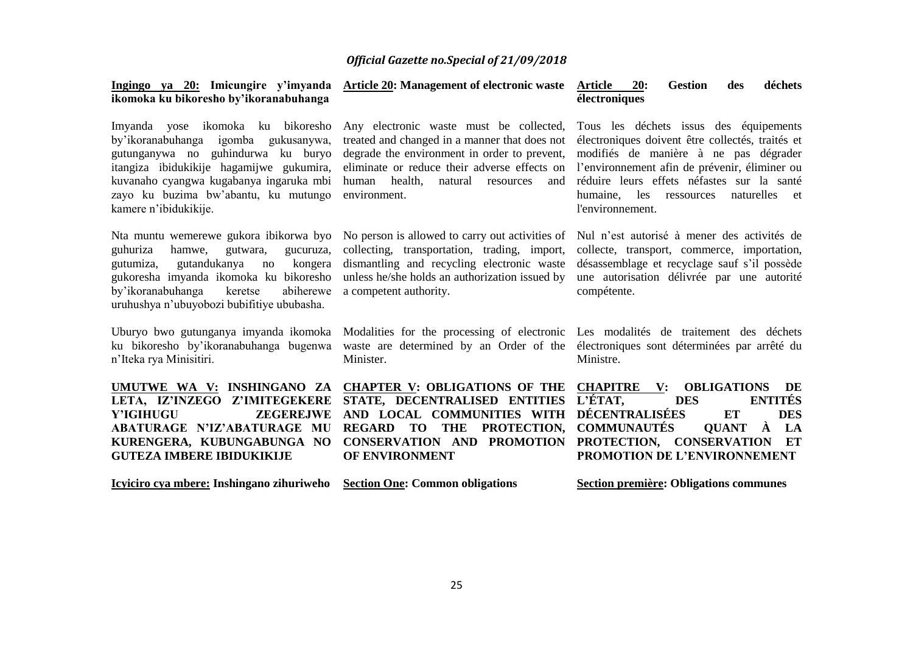| ikomoka ku bikoresho by'ikoranabuhanga                                                                                                                                                                                                                                   | Ingingo ya 20: Imicungire y'imyanda Article 20: Management of electronic waste                                                                                                                                                                           | déchets<br>Article<br><b>20:</b><br><b>Gestion</b><br>des<br>électroniques                                                                                                                                                                                                                                  |
|--------------------------------------------------------------------------------------------------------------------------------------------------------------------------------------------------------------------------------------------------------------------------|----------------------------------------------------------------------------------------------------------------------------------------------------------------------------------------------------------------------------------------------------------|-------------------------------------------------------------------------------------------------------------------------------------------------------------------------------------------------------------------------------------------------------------------------------------------------------------|
| Imyanda yose ikomoka ku bikoresho<br>by'ikoranabuhanga igomba gukusanywa,<br>gutunganywa no guhindurwa ku buryo<br>itangiza ibidukikije hagamijwe gukumira,<br>kuvanaho cyangwa kugabanya ingaruka mbi<br>zayo ku buzima bw'abantu, ku mutungo<br>kamere n'ibidukikije.  | Any electronic waste must be collected,<br>treated and changed in a manner that does not<br>degrade the environment in order to prevent,<br>eliminate or reduce their adverse effects on<br>human health,<br>natural<br>resources<br>and<br>environment. | Tous les déchets issus des équipements<br>électroniques doivent être collectés, traités et<br>modifiés de manière à ne pas dégrader<br>l'environnement afin de prévenir, éliminer ou<br>réduire leurs effets néfastes sur la santé<br>les<br>naturelles<br>humaine,<br>ressources<br>et<br>l'environnement. |
| Nta muntu wemerewe gukora ibikorwa byo<br>guhuriza<br>hamwe,<br>gutwara,<br>gucuruza,<br>gutandukanya<br>kongera<br>gutumiza,<br>no<br>gukoresha imyanda ikomoka ku bikoresho<br>by'ikoranabuhanga<br>keretse<br>abiherewe<br>uruhushya n'ubuyobozi bubifitiye ububasha. | No person is allowed to carry out activities of<br>collecting, transportation, trading, import,<br>dismantling and recycling electronic waste<br>unless he/she holds an authorization issued by<br>a competent authority.                                | Nul n'est autorisé à mener des activités de<br>collecte, transport, commerce, importation,<br>désassemblage et recyclage sauf s'il possède<br>une autorisation délivrée par une autorité<br>compétente.                                                                                                     |
| Uburyo bwo gutunganya imyanda ikomoka<br>ku bikoresho by'ikoranabuhanga bugenwa<br>n'Iteka rya Minisitiri.                                                                                                                                                               | waste are determined by an Order of the<br>Minister.                                                                                                                                                                                                     | Modalities for the processing of electronic Les modalités de traitement des déchets<br>électroniques sont déterminées par arrêté du<br>Ministre.                                                                                                                                                            |
| UMUTWE WA V: INSHINGANO ZA<br>LETA, IZ'INZEGO Z'IMITEGEKERE<br><b>ZEGEREJWE</b><br>Y'IGIHUGU<br><b>ABATURAGE N'IZ'ABATURAGE MU</b><br>KURENGERA, KUBUNGABUNGA NO<br><b>GUTEZA IMBERE IBIDUKIKIJE</b>                                                                     | <b>CHAPTER V: OBLIGATIONS OF THE</b><br>STATE, DECENTRALISED ENTITIES<br>AND LOCAL COMMUNITIES WITH<br><b>REGARD</b><br><b>TO</b><br><b>THE</b><br>PROTECTION.<br><b>CONSERVATION AND PROMOTION</b><br>OF ENVIRONMENT                                    | <b>CHAPITRE</b><br>$\mathbf{V}$ :<br><b>OBLIGATIONS</b><br>DE<br>L'ÉTAT,<br><b>ENTITÉS</b><br><b>DES</b><br><b>DÉCENTRALISÉES</b><br><b>ET</b><br><b>DES</b><br>À<br><b>COMMUNAUTÉS</b><br>LA<br><b>QUANT</b><br>PROTECTION, CONSERVATION<br>ET<br>PROMOTION DE L'ENVIRONNEMENT                             |
| Icyiciro cya mbere: Inshingano zihuriweho                                                                                                                                                                                                                                | <b>Section One: Common obligations</b>                                                                                                                                                                                                                   | <b>Section première: Obligations communes</b>                                                                                                                                                                                                                                                               |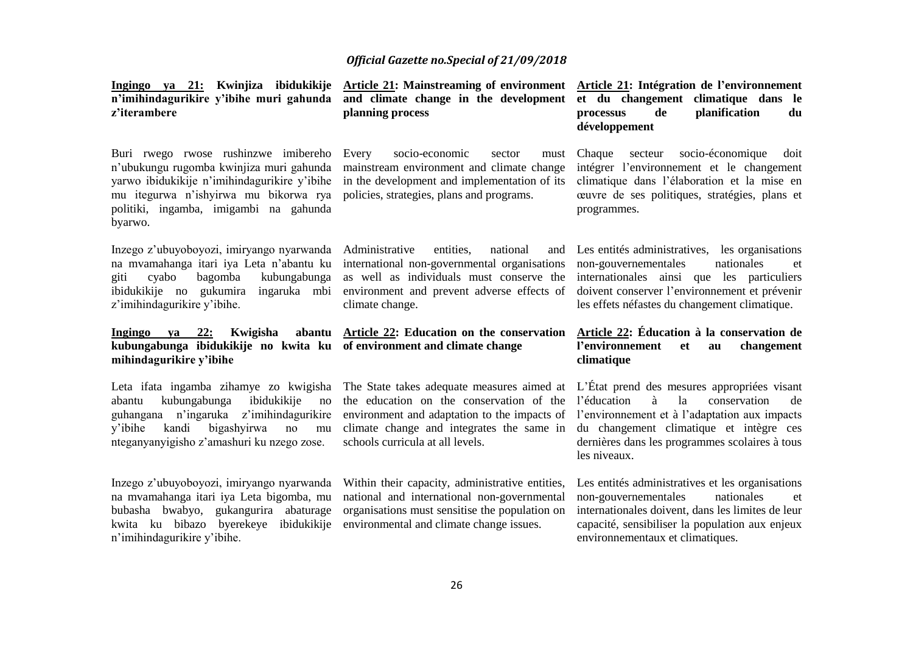| n'imihindagurikire y'ibihe muri gahunda<br>z'iterambere                                                                                                                                                                             | Ingingo ya 21: Kwinjiza ibidukikije Article 21: Mainstreaming of environment<br>and climate change in the development<br>planning process                                                                               | Article 21: Intégration de l'environnement<br>et du changement climatique dans le<br>planification<br>de<br>processus<br>du<br>développement                                                                                                              |
|-------------------------------------------------------------------------------------------------------------------------------------------------------------------------------------------------------------------------------------|-------------------------------------------------------------------------------------------------------------------------------------------------------------------------------------------------------------------------|-----------------------------------------------------------------------------------------------------------------------------------------------------------------------------------------------------------------------------------------------------------|
| Buri rwego rwose rushinzwe imibereho<br>n'ubukungu rugomba kwinjiza muri gahunda<br>yarwo ibidukikije n'imihindagurikire y'ibihe<br>mu itegurwa n'ishyirwa mu bikorwa rya<br>politiki, ingamba, imigambi na gahunda<br>byarwo.      | Every<br>socio-economic<br>sector<br>must<br>mainstream environment and climate change<br>in the development and implementation of its<br>policies, strategies, plans and programs.                                     | socio-économique<br>Chaque<br>secteur<br>doit<br>intégrer l'environnement et le changement<br>climatique dans l'élaboration et la mise en<br>ceuvre de ses politiques, stratégies, plans et<br>programmes.                                                |
| Inzego z'ubuyoboyozi, imiryango nyarwanda<br>na mvamahanga itari iya Leta n'abantu ku<br>giti<br>bagomba<br>kubungabunga<br>cyabo<br>ibidukikije no gukumira<br>ingaruka mbi<br>z'imihindagurikire y'ibihe.                         | Administrative<br>national<br>entities,<br>and<br>international non-governmental organisations<br>as well as individuals must conserve the<br>environment and prevent adverse effects of<br>climate change.             | Les entités administratives, les organisations<br>nationales<br>non-gouvernementales<br>et<br>internationales ainsi que les particuliers<br>doivent conserver l'environnement et prévenir<br>les effets néfastes du changement climatique.                |
|                                                                                                                                                                                                                                     |                                                                                                                                                                                                                         |                                                                                                                                                                                                                                                           |
| Ingingo<br>va 22:<br>Kwigisha<br>abantu<br>kubungabunga ibidukikije no kwita ku<br>mihindagurikire y'ibihe                                                                                                                          | Article 22: Education on the conservation<br>of environment and climate change                                                                                                                                          | Article 22: Éducation à la conservation de<br>l'environnement<br>changement<br><b>et</b><br>au<br>climatique                                                                                                                                              |
| Leta ifata ingamba zihamye zo kwigisha<br>kubungabunga<br>ibidukikije<br>abantu<br>no<br>n'ingaruka<br>z'imihindagurikire<br>guhangana<br>bigashyirwa<br>y'ibihe<br>kandi<br>no<br>mu<br>nteganyanyigisho z'amashuri ku nzego zose. | The State takes adequate measures aimed at<br>the education on the conservation of the<br>environment and adaptation to the impacts of<br>climate change and integrates the same in<br>schools curricula at all levels. | L'État prend des mesures appropriées visant<br>l'éducation<br>à<br>conservation<br>1a<br>de<br>l'environnement et à l'adaptation aux impacts<br>du changement climatique et intègre ces<br>dernières dans les programmes scolaires à tous<br>les niveaux. |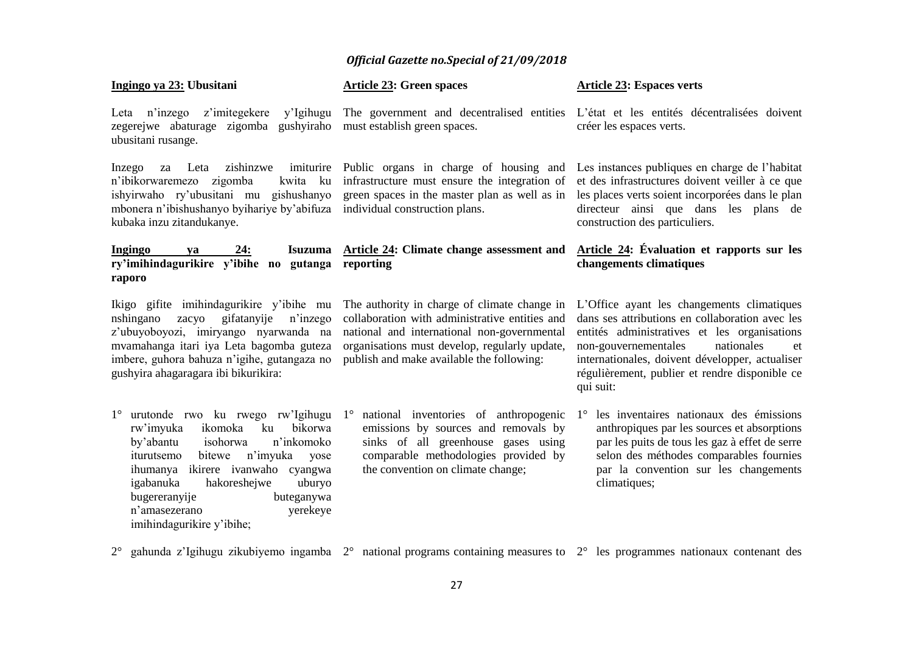| Ingingo ya 23: Ubusitani                                                                                                                                                                                                                                                                                     | <b>Article 23: Green spaces</b>                                                                                                                                                                                                             | <b>Article 23: Espaces verts</b>                                                                                                                                                                                                                                                                            |  |  |
|--------------------------------------------------------------------------------------------------------------------------------------------------------------------------------------------------------------------------------------------------------------------------------------------------------------|---------------------------------------------------------------------------------------------------------------------------------------------------------------------------------------------------------------------------------------------|-------------------------------------------------------------------------------------------------------------------------------------------------------------------------------------------------------------------------------------------------------------------------------------------------------------|--|--|
| Leta n'inzego<br>z'imitegekere<br>y'Igihugu<br>zegerejwe abaturage zigomba gushyiraho<br>ubusitani rusange.                                                                                                                                                                                                  | must establish green spaces.                                                                                                                                                                                                                | The government and decentralised entities L'état et les entités décentralisées doivent<br>créer les espaces verts.                                                                                                                                                                                          |  |  |
| zishinzwe<br>Inzego<br>za Leta<br>zigomba<br>n'ibikorwaremezo<br>mbonera n'ibishushanyo byihariye by'abifuza individual construction plans.<br>kubaka inzu zitandukanye.                                                                                                                                     | imiturire Public organs in charge of housing and<br>kwita ku infrastructure must ensure the integration of<br>ishyirwaho ry'ubusitani mu gishushanyo green spaces in the master plan as well as in                                          | Les instances publiques en charge de l'habitat<br>et des infrastructures doivent veiller à ce que<br>les places verts soient incorporées dans le plan<br>directeur ainsi que dans les plans de<br>construction des particuliers.                                                                            |  |  |
| <b>Ingingo</b><br>24:<br>va<br>ry'imihindagurikire y'ibihe no gutanga reporting<br>raporo                                                                                                                                                                                                                    | Isuzuma Article 24: Climate change assessment and                                                                                                                                                                                           | Article 24: Évaluation et rapports sur les<br>changements climatiques                                                                                                                                                                                                                                       |  |  |
| Ikigo gifite imihindagurikire y'ibihe mu<br>gifatanyije<br>nshingano<br>zacyo<br>n'inzego<br>z'ubuyoboyozi, imiryango nyarwanda na<br>mvamahanga itari iya Leta bagomba guteza<br>imbere, guhora bahuza n'igihe, gutangaza no<br>gushyira ahagaragara ibi bikurikira:                                        | The authority in charge of climate change in<br>collaboration with administrative entities and<br>national and international non-governmental<br>organisations must develop, regularly update,<br>publish and make available the following: | L'Office ayant les changements climatiques<br>dans ses attributions en collaboration avec les<br>entités administratives et les organisations<br>non-gouvernementales<br>nationales<br>et<br>internationales, doivent développer, actualiser<br>régulièrement, publier et rendre disponible ce<br>qui suit: |  |  |
| $1^{\circ}$<br>ikomoka<br>ku<br>bikorwa<br>rw'imyuka<br>by'abantu<br>n'inkomoko<br>isohorwa<br>n'imyuka<br>iturutsemo<br>bitewe<br>yose<br>ihumanya ikirere ivanwaho cyangwa<br>igabanuka<br>hakoreshejwe<br>uburyo<br>bugereranyije<br>buteganywa<br>n'amasezerano<br>yerekeye<br>imihindagurikire y'ibihe; | urutonde rwo ku rwego rw'Igihugu 1° national inventories of anthropogenic<br>emissions by sources and removals by<br>sinks of all greenhouse gases using<br>comparable methodologies provided by<br>the convention on climate change;       | les inventaires nationaux des émissions<br>$1^{\circ}$<br>anthropiques par les sources et absorptions<br>par les puits de tous les gaz à effet de serre<br>selon des méthodes comparables fournies<br>par la convention sur les changements<br>climatiques;                                                 |  |  |

2° gahunda z'Igihugu zikubiyemo ingamba 2° national programs containing measures to 2° les programmes nationaux contenant des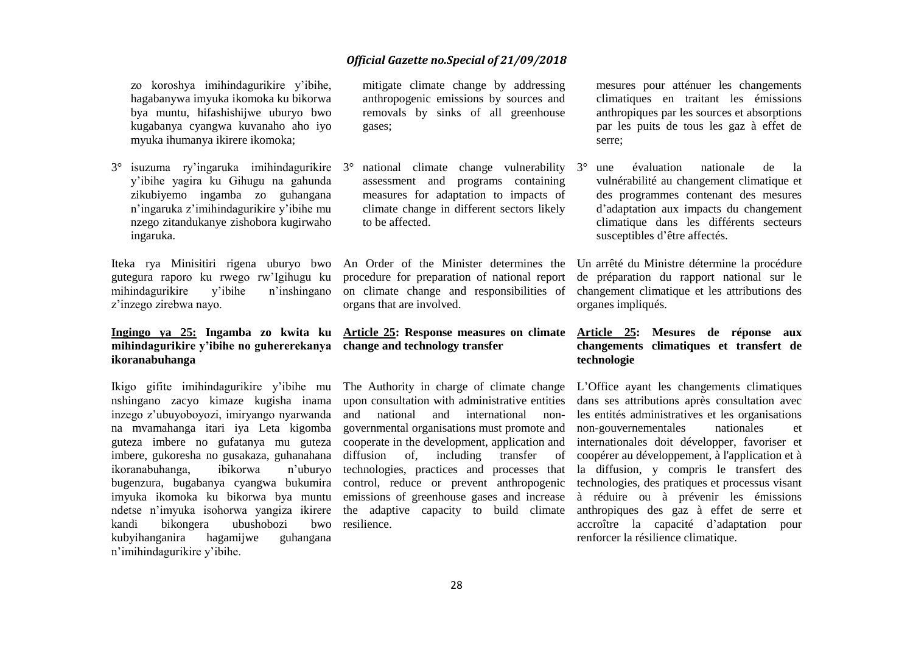zo koroshya imihindagurikire y'ibihe, hagabanywa imyuka ikomoka ku bikorwa bya muntu, hifashishijwe uburyo bwo kugabanya cyangwa kuvanaho aho iyo myuka ihumanya ikirere ikomoka;

3° isuzuma ry'ingaruka imihindagurikire y'ibihe yagira ku Gihugu na gahunda zikubiyemo ingamba zo guhangana n'ingaruka z'imihindagurikire y'ibihe mu nzego zitandukanye zishobora kugirwaho ingaruka.

Iteka rya Minisitiri rigena uburyo bwo gutegura raporo ku rwego rw'Igihugu ku mihindagurikire y'ibihe n'inshingano z'inzego zirebwa nayo.

### **mihindagurikire y'ibihe no guhererekanya change and technology transfer ikoranabuhanga**

nshingano zacyo kimaze kugisha inama inzego z'ubuyoboyozi, imiryango nyarwanda na mvamahanga itari iya Leta kigomba ikoranabuhanga, ibikorwa n'uburyo kandi bikongera ubushobozi kubyihanganira hagamijwe guhangana n'imihindagurikire y'ibihe.

mitigate climate change by addressing anthropogenic emissions by sources and removals by sinks of all greenhouse gases;

3° national climate change vulnerability assessment and programs containing measures for adaptation to impacts of climate change in different sectors likely to be affected.

procedure for preparation of national report organs that are involved.

# **Ingingo ya 25: Ingamba zo kwita ku Article 25: Response measures on climate Article 25: Mesures de réponse aux**

guteza imbere no gufatanya mu guteza cooperate in the development, application and imbere, gukoresha no gusakaza, guhanahana diffusion of, including transfer of imyuka ikomoka ku bikorwa bya muntu emissions of greenhouse gases and increase ndetse n'imyuka isohorwa yangiza ikirere the adaptive capacity to build climate and national and international nongovernmental organisations must promote and bwo resilience.

mesures pour atténuer les changements climatiques en traitant les émissions anthropiques par les sources et absorptions par les puits de tous les gaz à effet de serre;

3° une évaluation nationale de la vulnérabilité au changement climatique et des programmes contenant des mesures d'adaptation aux impacts du changement climatique dans les différents secteurs susceptibles d'être affectés.

An Order of the Minister determines the Un arrêté du Ministre détermine la procédure on climate change and responsibilities of changement climatique et les attributions des de préparation du rapport national sur le organes impliqués.

### **changements climatiques et transfert de technologie**

Ikigo gifite imihindagurikire y'ibihe mu The Authority in charge of climate change L'Office ayant les changements climatiques bugenzura, bugabanya cyangwa bukumira control, reduce or prevent anthropogenic technologies, des pratiques et processus visant upon consultation with administrative entities dans ses attributions après consultation avec technologies, practices and processes that la diffusion, y compris le transfert des les entités administratives et les organisations non-gouvernementales nationales et internationales doit développer, favoriser et coopérer au développement, à l'application et à à réduire ou à prévenir les émissions anthropiques des gaz à effet de serre et accroître la capacité d'adaptation pour renforcer la résilience climatique.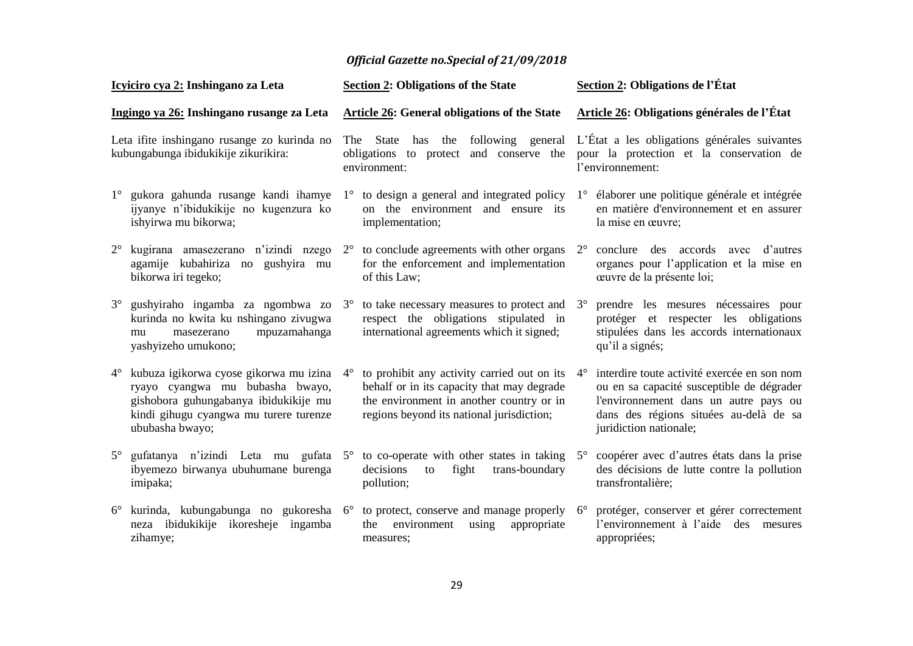| Icyiciro cya 2: Inshingano za Leta                                                  |                                                                                                                                                                                 |                                                                                                            | <b>Section 2: Obligations of the State</b>                                                                                                                                         |             | Section 2: Obligations de l'État                                                                                                                                                                      |  |  |
|-------------------------------------------------------------------------------------|---------------------------------------------------------------------------------------------------------------------------------------------------------------------------------|------------------------------------------------------------------------------------------------------------|------------------------------------------------------------------------------------------------------------------------------------------------------------------------------------|-------------|-------------------------------------------------------------------------------------------------------------------------------------------------------------------------------------------------------|--|--|
| Ingingo ya 26: Inshingano rusange za Leta                                           |                                                                                                                                                                                 | <b>Article 26: General obligations of the State</b>                                                        |                                                                                                                                                                                    |             | Article 26: Obligations générales de l'État                                                                                                                                                           |  |  |
| Leta ifite inshingano rusange zo kurinda no<br>kubungabunga ibidukikije zikurikira: |                                                                                                                                                                                 | following general<br>has the<br>The<br>State<br>and conserve the<br>obligations to protect<br>environment: |                                                                                                                                                                                    |             | L'État a les obligations générales suivantes<br>pour la protection et la conservation de<br>l'environnement:                                                                                          |  |  |
| $1^{\circ}$                                                                         | gukora gahunda rusange kandi ihamye<br>ijyanye n'ibidukikije no kugenzura ko<br>ishyirwa mu bikorwa;                                                                            |                                                                                                            | $1^\circ$ to design a general and integrated policy<br>on the environment and ensure its<br>implementation;                                                                        | $1^{\circ}$ | élaborer une politique générale et intégrée<br>en matière d'environnement et en assurer<br>la mise en œuvre;                                                                                          |  |  |
| $2^{\circ}$                                                                         | agamije kubahiriza no gushyira mu<br>bikorwa iri tegeko;                                                                                                                        |                                                                                                            | kugirana amasezerano n'izindi nzego $2^{\circ}$ to conclude agreements with other organs $2^{\circ}$<br>for the enforcement and implementation<br>of this Law;                     |             | conclure des accords avec d'autres<br>organes pour l'application et la mise en<br>œuvre de la présente loi;                                                                                           |  |  |
| $3^\circ$                                                                           | kurinda no kwita ku nshingano zivugwa<br>mpuzamahanga<br>masezerano<br>mu<br>yashyizeho umukono;                                                                                |                                                                                                            | gushyiraho ingamba za ngombwa zo $3^{\circ}$ to take necessary measures to protect and<br>respect the obligations stipulated in<br>international agreements which it signed;       | $3^\circ$   | prendre les mesures nécessaires pour<br>protéger et respecter les obligations<br>stipulées dans les accords internationaux<br>qu'il a signés;                                                         |  |  |
| $4^{\circ}$                                                                         | kubuza igikorwa cyose gikorwa mu izina<br>ryayo cyangwa mu bubasha bwayo,<br>gishobora guhungabanya ibidukikije mu<br>kindi gihugu cyangwa mu turere turenze<br>ububasha bwayo; | $4^{\circ}$                                                                                                | to prohibit any activity carried out on its<br>behalf or in its capacity that may degrade<br>the environment in another country or in<br>regions beyond its national jurisdiction; | $4^{\circ}$ | interdire toute activité exercée en son nom<br>ou en sa capacité susceptible de dégrader<br>l'environnement dans un autre pays ou<br>dans des régions situées au-delà de sa<br>juridiction nationale; |  |  |
| $5^{\circ}$                                                                         | ibyemezo birwanya ubuhumane burenga<br>imipaka;                                                                                                                                 |                                                                                                            | gufatanya n'izindi Leta mu gufata $5^\circ$ to co-operate with other states in taking<br>decisions<br>trans-boundary<br>fight<br>to<br>pollution;                                  | $5^{\circ}$ | coopérer avec d'autres états dans la prise<br>des décisions de lutte contre la pollution<br>transfrontalière;                                                                                         |  |  |
| $6^{\circ}$                                                                         | neza ibidukikije ikoresheje ingamba<br>zihamye;                                                                                                                                 |                                                                                                            | kurinda, kubungabunga no gukoresha 6° to protect, conserve and manage properly 6°<br>environment<br>the<br>using<br>appropriate<br>measures;                                       |             | protéger, conserver et gérer correctement<br>l'environnement à l'aide des mesures<br>appropriées;                                                                                                     |  |  |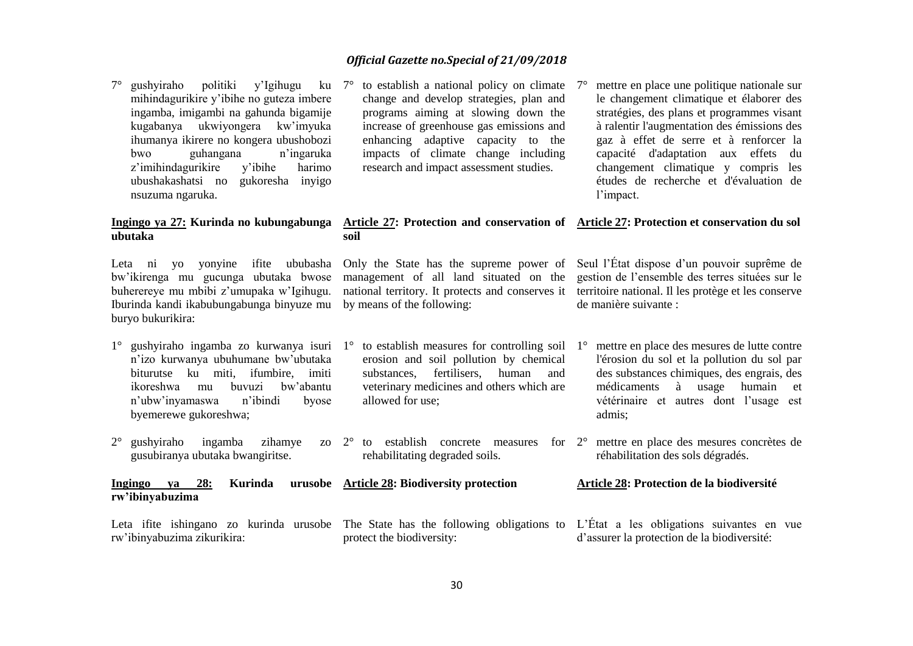7° gushyiraho politiki y'Igihugu ku mihindagurikire y'ibihe no guteza imbere ingamba, imigambi na gahunda bigamije kugabanya ukwiyongera kw'imyuka ihumanya ikirere no kongera ubushobozi bwo guhangana n'ingaruka z'imihindagurikire v'ibihe harimo ubushakashatsi no gukoresha inyigo nsuzuma ngaruka.

# **ubutaka**

Leta ni yo yonyine ifite ububasha bw'ikirenga mu gucunga ubutaka bwose buherereye mu mbibi z'umupaka w'Igihugu. Iburinda kandi ikabubungabunga binyuze mu buryo bukurikira:

n'izo kurwanya ubuhumane bw'ubutaka biturutse ku miti, ifumbire, imiti ikoreshwa mu buvuzi bw'abantu n'ubw'inyamaswa n'ibindi byose byemerewe gukoreshwa;

**rw'ibinyabuzima** 

 $2^{\circ}$  gushyiraho ingamba zihamye gusubiranya ubutaka bwangiritse.

**Ingingo ya 28: Kurinda urusobe Article 28: Biodiversity protection**

to establish a national policy on climate  $7^\circ$ change and develop strategies, plan and programs aiming at slowing down the increase of greenhouse gas emissions and enhancing adaptive capacity to the impacts of climate change including research and impact assessment studies.

# l'impact.

#### **Ingingo ya 27: Kurinda no kubungabunga Article 27: Protection and conservation of Article 27: Protection et conservation du sol soil**

by means of the following:

1° gushyiraho ingamba zo kurwanya isuri 1° to establish measures for controlling soil erosion and soil pollution by chemical substances, fertilisers, human and veterinary medicines and others which are allowed for use;

rehabilitating degraded soils.

### le changement climatique et élaborer des stratégies, des plans et programmes visant à ralentir l'augmentation des émissions des gaz à effet de serre et à renforcer la capacité d'adaptation aux effets du changement climatique y compris les études de recherche et d'évaluation de

mettre en place une politique nationale sur

Only the State has the supreme power of Seul l'État dispose d'un pouvoir suprême de management of all land situated on the gestion de l'ensemble des terres situées sur le national territory. It protects and conserves it territoire national. Il les protège et les conserve de manière suivante :

- 1° mettre en place des mesures de lutte contre l'érosion du sol et la pollution du sol par des substances chimiques, des engrais, des médicaments à usage humain et vétérinaire et autres dont l'usage est admis;
- $2^{\circ}$  to establish concrete measures for  $2^{\circ}$  mettre en place des mesures concrètes de réhabilitation des sols dégradés.

#### **Article 28: Protection de la biodiversité**

Leta ifite ishingano zo kurinda urusobe The State has the following obligations to L'État a les obligations suivantes en vue rw'ibinyabuzima zikurikira: protect the biodiversity: d'assurer la protection de la biodiversité: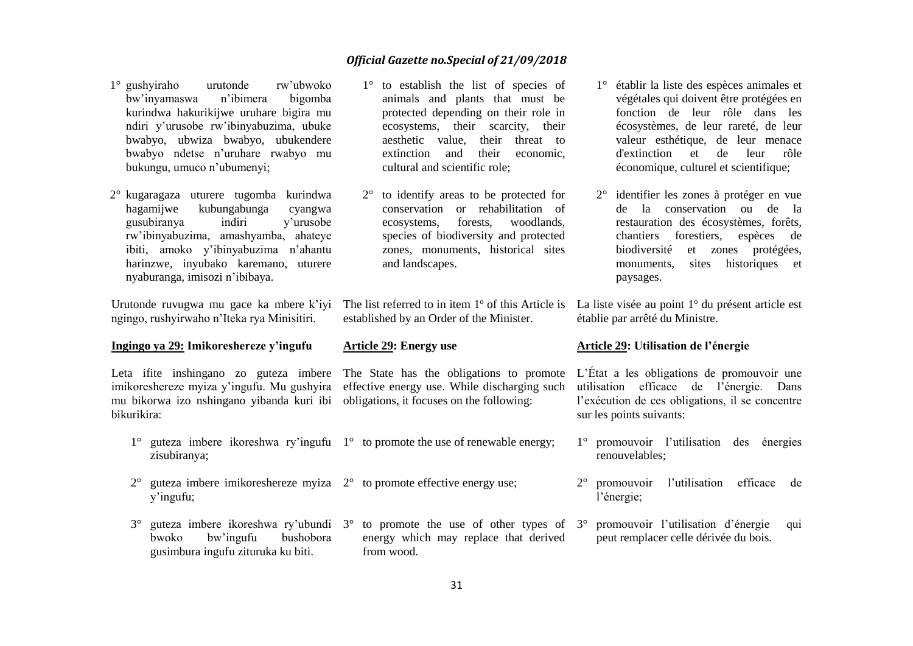- 1° gushyiraho urutonde rw'ubwoko bw'inyamaswa n'ibimera bigomba kurindwa hakurikijwe uruhare bigira mu ndiri y'urusobe rw'ibinyabuzima, ubuke bwabyo, ubwiza bwabyo, ubukendere bwabyo ndetse n'uruhare rwabyo mu bukungu, umuco n'ubumenyi;
- 2° kugaragaza uturere tugomba kurindwa hagamijwe kubungabunga cyangwa gusubiranya indiri y'urusobe rw'ibinyabuzima, amashyamba, ahateye ibiti, amoko y'ibinyabuzima n'ahantu harinzwe, inyubako karemano, uturere nyaburanga, imisozi n'ibibaya.

Urutonde ruvugwa mu gace ka mbere k'iyi ngingo, rushyirwaho n'Iteka rya Minisitiri.

#### **Ingingo ya 29: Imikoreshereze y'ingufu**

Leta ifite inshingano zo guteza imbere mu bikorwa izo nshingano yibanda kuri ibi obligations, it focuses on the following: bikurikira:

- 1° guteza imbere ikoreshwa ry'ingufu 1° to promote the use of renewable energy; zisubiranya;
- $2^{\circ}$  guteza imbere imikoreshereze myiza  $2^{\circ}$  to promote effective energy use; y'ingufu;
- 3° guteza imbere ikoreshwa ry'ubundi 3° to promote the use of other types of 3° promouvoir l'utilisation d'énergie qui bwoko bw'ingufu bushobora gusimbura ingufu zituruka ku biti. energy which may replace that derived from wood.
- 1° to establish the list of species of animals and plants that must be protected depending on their role in ecosystems, their scarcity, their aesthetic value, their threat to extinction and their economic, cultural and scientific role;
- 2° to identify areas to be protected for conservation or rehabilitation of ecosystems, forests, woodlands, species of biodiversity and protected zones, monuments, historical sites and landscapes.

established by an Order of the Minister.

#### **Article 29: Energy use**

imikoreshereze myiza y'ingufu. Mu gushyira effective energy use. While discharging such

- 1° établir la liste des espèces animales et végétales qui doivent être protégées en fonction de leur rôle dans les écosystèmes, de leur rareté, de leur valeur esthétique, de leur menace d'extinction et de leur rôle économique, culturel et scientifique;
- 2° identifier les zones à protéger en vue de la conservation ou de la restauration des écosystèmes, forêts, chantiers forestiers, espèces de biodiversité et zones protégées, monuments, sites historiques et paysages.

The list referred to in item 1<sup>°</sup> of this Article is La liste visée au point 1<sup>°</sup> du présent article est établie par arrêté du Ministre.

#### **Article 29: Utilisation de l'énergie**

The State has the obligations to promote L'État a les obligations de promouvoir une utilisation efficace de l'énergie. Dans l'exécution de ces obligations, il se concentre sur les points suivants:

- 1° promouvoir l'utilisation des énergies renouvelables;
- 2° promouvoir l'utilisation efficace de l'énergie;
- peut remplacer celle dérivée du bois.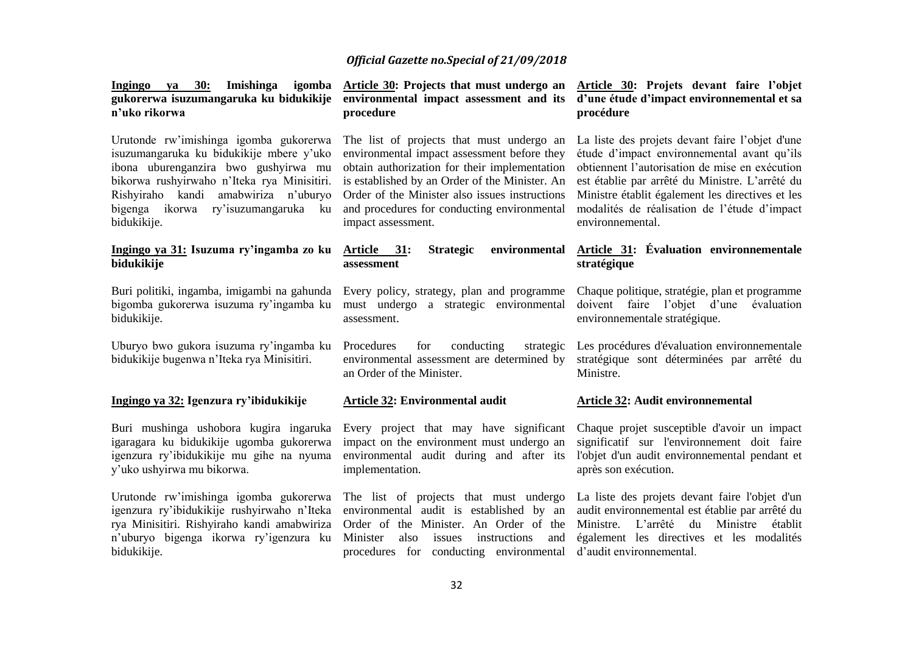| 30:<br>Imishinga<br>igomba<br>Ingingo ya<br>gukorerwa isuzumangaruka ku bidukikije<br>n'uko rikorwa                                                                                                                                                                        | Article 30: Projects that must undergo an<br>environmental impact assessment and its<br>procedure                                                                                                                                                                                                                  | Article 30: Projets devant faire l'objet<br>d'une étude d'impact environnemental et sa<br>procédure                                                                                                                                                                                                                         |
|----------------------------------------------------------------------------------------------------------------------------------------------------------------------------------------------------------------------------------------------------------------------------|--------------------------------------------------------------------------------------------------------------------------------------------------------------------------------------------------------------------------------------------------------------------------------------------------------------------|-----------------------------------------------------------------------------------------------------------------------------------------------------------------------------------------------------------------------------------------------------------------------------------------------------------------------------|
| Urutonde rw'imishinga igomba gukorerwa<br>isuzumangaruka ku bidukikije mbere y'uko<br>ibona uburenganzira bwo gushyirwa mu<br>bikorwa rushyirwaho n'Iteka rya Minisitiri.<br>Rishyiraho kandi amabwiriza n'uburyo<br>bigenga ikorwa<br>ry'isuzumangaruka ku<br>bidukikije. | The list of projects that must undergo an<br>environmental impact assessment before they<br>obtain authorization for their implementation<br>is established by an Order of the Minister. An<br>Order of the Minister also issues instructions<br>and procedures for conducting environmental<br>impact assessment. | La liste des projets devant faire l'objet d'une<br>étude d'impact environnemental avant qu'ils<br>obtiennent l'autorisation de mise en exécution<br>est établie par arrêté du Ministre. L'arrêté du<br>Ministre établit également les directives et les<br>modalités de réalisation de l'étude d'impact<br>environnemental. |
| Ingingo ya 31: Isuzuma ry'ingamba zo ku<br>bidukikije                                                                                                                                                                                                                      | Article 31:<br><b>Strategic</b><br>environmental<br>assessment                                                                                                                                                                                                                                                     | Article 31: Évaluation environnementale<br>stratégique                                                                                                                                                                                                                                                                      |
| Buri politiki, ingamba, imigambi na gahunda<br>bigomba gukorerwa isuzuma ry'ingamba ku<br>bidukikije.                                                                                                                                                                      | Every policy, strategy, plan and programme<br>must undergo a strategic environmental<br>assessment.                                                                                                                                                                                                                | Chaque politique, stratégie, plan et programme<br>doivent faire l'objet d'une<br>évaluation<br>environnementale stratégique.                                                                                                                                                                                                |
| Uburyo bwo gukora isuzuma ry'ingamba ku<br>bidukikije bugenwa n'Iteka rya Minisitiri.                                                                                                                                                                                      | Procedures<br>for<br>conducting<br>strategic<br>environmental assessment are determined by<br>an Order of the Minister.                                                                                                                                                                                            | Les procédures d'évaluation environnementale<br>stratégique sont déterminées par arrêté du<br>Ministre.                                                                                                                                                                                                                     |
| Ingingo ya 32: Igenzura ry'ibidukikije                                                                                                                                                                                                                                     | Article 32: Environmental audit                                                                                                                                                                                                                                                                                    | Article 32: Audit environmemental                                                                                                                                                                                                                                                                                           |
| Buri mushinga ushobora kugira ingaruka<br>igaragara ku bidukikije ugomba gukorerwa<br>igenzura ry'ibidukikije mu gihe na nyuma<br>y'uko ushyirwa mu bikorwa.                                                                                                               | Every project that may have significant<br>impact on the environment must undergo an<br>environmental audit during and after its<br>implementation.                                                                                                                                                                | Chaque projet susceptible d'avoir un impact<br>significatif sur l'environnement doit faire<br>l'objet d'un audit environnemental pendant et<br>après son exécution.                                                                                                                                                         |
| Urutonde rw'imishinga igomba gukorerwa<br>igenzura ry'ibidukikije rushyirwaho n'Iteka<br>rya Minisitiri. Rishyiraho kandi amabwiriza<br>n'uburyo bigenga ikorwa ry'igenzura ku<br>bidukikije.                                                                              | The list of projects that must undergo<br>environmental audit is established by an<br>Order of the Minister. An Order of the<br>Minister<br>issues<br>also<br>instructions<br>and<br>procedures for conducting environmental                                                                                       | La liste des projets devant faire l'objet d'un<br>audit environnemental est établie par arrêté du<br>L'arrêté<br>du<br>Ministre<br>établit<br>Ministre.<br>également les directives et les modalités<br>d'audit environnemental.                                                                                            |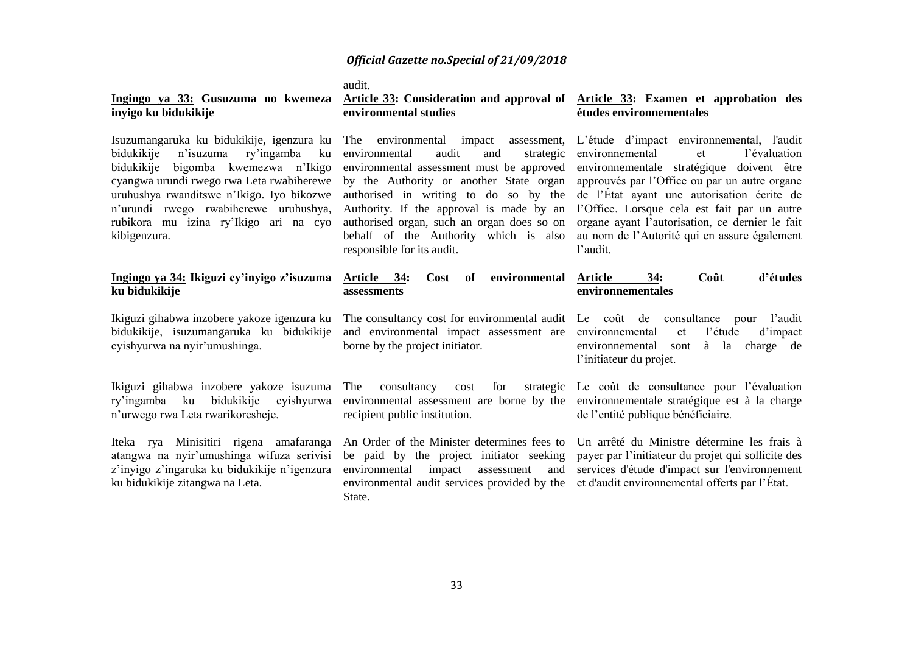audit.

#### **Ingingo ya 33: Gusuzuma no kwemeza inyigo ku bidukikije**

Isuzumangaruka ku bidukikije, igenzura ku bidukikije n'isuzuma ry'ingamba ku bidukikije bigomba kwemezwa n'Ikigo cyangwa urundi rwego rwa Leta rwabiherewe uruhushya rwanditswe n'Ikigo. Iyo bikozwe n'urundi rwego rwabiherewe uruhushya, kibigenzura.

#### **Ingingo ya 34: Ikiguzi cy'inyigo z'isuzuma ku bidukikije**

Ikiguzi gihabwa inzobere yakoze igenzura ku bidukikije, isuzumangaruka ku bidukikije cyishyurwa na nyir'umushinga.

Ikiguzi gihabwa inzobere yakoze isuzuma ry'ingamba ku bidukikije cyishyurwa n'urwego rwa Leta rwarikoresheje.

Iteka rya Minisitiri rigena amafaranga atangwa na nyir'umushinga wifuza serivisi z'inyigo z'ingaruka ku bidukikije n'igenzura ku bidukikije zitangwa na Leta.

#### **Article 33: Consideration and approval of Article 33: Examen et approbation des environmental studies**

environmental audit and environmental assessment must be approved by the Authority or another State organ responsible for its audit.

#### **Article 34: Cost of environmental assessments**

and environmental impact assessment are environnemental et l'étude d'impact borne by the project initiator.

The consultancy cost for strategic Le coût de consultance pour l'évaluation environmental assessment are borne by the environnementale stratégique est à la charge recipient public institution.

An Order of the Minister determines fees to Un arrêté du Ministre détermine les frais à be paid by the project initiator seeking payer par l'initiateur du projet qui sollicite des environmental impact assessment and services d'étude d'impact sur l'environnement environmental audit services provided by the et d'audit environnemental offerts par l'État.State.

# **études environnementales**

rubikora mu izina ry'Ikigo ari na cyo authorised organ, such an organ does so on organe ayant l'autorisation, ce dernier le fait The environmental impact assessment, L'étude d'impact environnemental, l'audit authorised in writing to do so by the de l'État ayant une autorisation écrite de Authority. If the approval is made by an l'Office. Lorsque cela est fait par un autre behalf of the Authority which is also au nom de l'Autorité qui en assure également strategic environnemental et l'évaluation environnementale stratégique doivent être approuvés par l'Office ou par un autre organe l'audit.

#### **Article 34: Coût d'études environnementales**

The consultancy cost for environmental audit Le coût de consultance pour l'audit environnemental sont à la charge de l'initiateur du projet.

de l'entité publique bénéficiaire.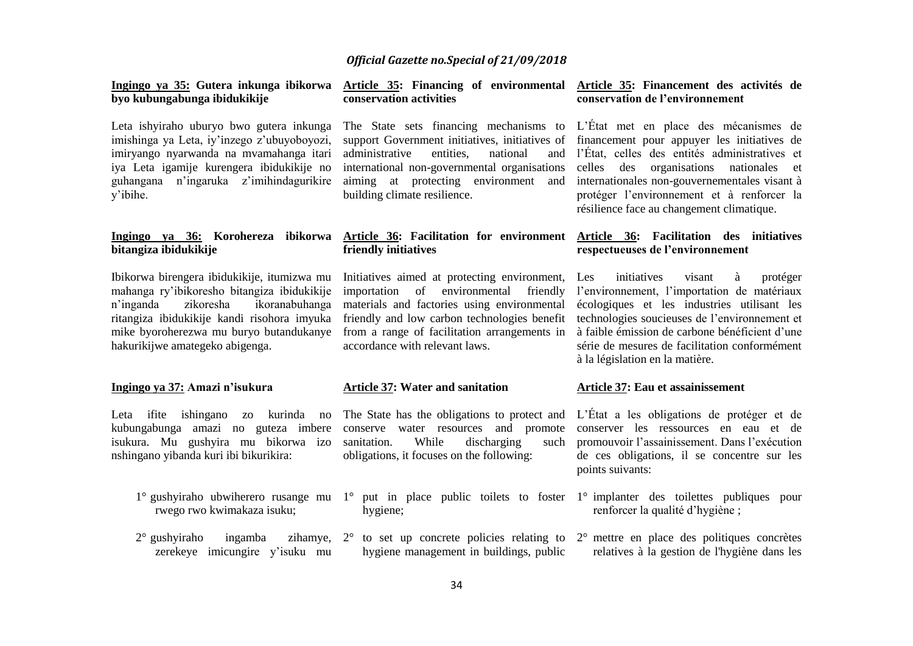#### **Ingingo ya 35: Gutera inkunga ibikorwa byo kubungabunga ibidukikije**

Leta ishyiraho uburyo bwo gutera inkunga imishinga ya Leta, iy'inzego z'ubuyoboyozi, imiryango nyarwanda na mvamahanga itari iya Leta igamije kurengera ibidukikije no guhangana n'ingaruka z'imihindagurikire y'ibihe.

# **bitangiza ibidukikije**

Ibikorwa birengera ibidukikije, itumizwa mu mahanga ry'ibikoresho bitangiza ibidukikije n'inganda zikoresha ikoranabuhanga ritangiza ibidukikije kandi risohora imyuka mike byoroherezwa mu buryo butandukanye hakurikijwe amategeko abigenga.

#### **Ingingo ya 37: Amazi n'isukura**

Leta ifite ishingano zo kurinda no kubungabunga amazi no guteza imbere isukura. Mu gushyira mu bikorwa izo nshingano yibanda kuri ibi bikurikira:

- rwego rwo kwimakaza isuku;
- $2^{\circ}$  gushyiraho ingamba zerekeye imicungire y'isuku mu

## **conservation activities**

The State sets financing mechanisms to L'État met en place des mécanismes de support Government initiatives, initiatives of financement pour appuyer les initiatives de administrative entities, national international non-governmental organisations aiming at protecting environment and internationales non-gouvernementales visant à building climate resilience.

#### **Ingingo ya 36: Korohereza ibikorwa Article 36: Facilitation for environment Article 36: Facilitation des initiatives friendly initiatives**

Initiatives aimed at protecting environment, Les importation of environmental friendly materials and factories using environmental accordance with relevant laws.

#### **Article 37: Water and sanitation**

sanitation. While discharging such obligations, it focuses on the following:

hygiene;

#### **Article 35: Financing of environmental Article 35: Financement des activités de conservation de l'environnement**

and l'État, celles des entités administratives et celles des organisations nationales et protéger l'environnement et à renforcer la résilience face au changement climatique.

# **respectueuses de l'environnement**

friendly and low carbon technologies benefit technologies soucieuses de l'environnement et from a range of facilitation arrangements in à faible émission de carbone bénéficient d'une initiatives visant à protéger l'environnement, l'importation de matériaux écologiques et les industries utilisant les série de mesures de facilitation conformément à la législation en la matière.

#### **Article 37: Eau et assainissement**

The State has the obligations to protect and L'État a les obligations de protéger et de conserve water resources and promote conserver les ressources en eau et de promouvoir l'assainissement. Dans l'exécution de ces obligations, il se concentre sur les points suivants:

- 1° gushyiraho ubwiherero rusange mu 1° put in place public toilets to foster 1° implanter des toilettes publiques pour renforcer la qualité d'hygiène ;
	- $2^{\circ}$  to set up concrete policies relating to  $2^{\circ}$  mettre en place des politiques concrètes hygiene management in buildings, public relatives à la gestion de l'hygiène dans les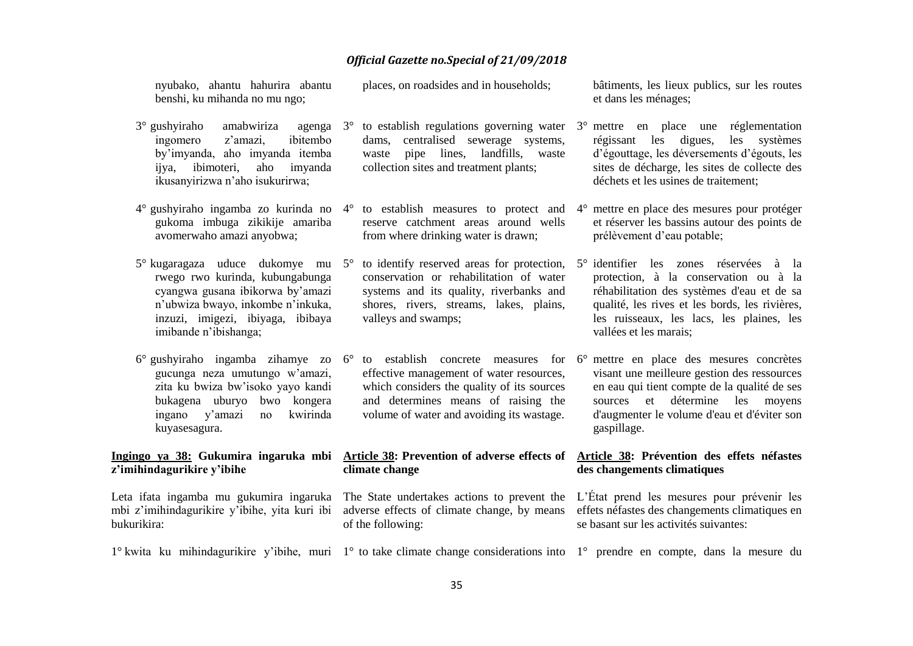| nyubako, ahantu hahurira abantu<br>benshi, ku mihanda no mu ngo;                                                                                                                                            |  | places, on roadsides and in households;                                                                                                                                    |  | bâtiments, les lieux publics, sur les routes<br>et dans les ménages;                                                                                                                                                                                                                              |
|-------------------------------------------------------------------------------------------------------------------------------------------------------------------------------------------------------------|--|----------------------------------------------------------------------------------------------------------------------------------------------------------------------------|--|---------------------------------------------------------------------------------------------------------------------------------------------------------------------------------------------------------------------------------------------------------------------------------------------------|
| $3^\circ$ gushyiraho<br>amabwiriza<br>agenga $3^\circ$<br>ingomero<br>ibitembo<br>z'amazi,<br>by'imyanda, aho imyanda itemba<br>ibimoteri,<br>imyanda<br>aho<br>ijya,<br>ikusanyirizwa n'aho isukurirwa;    |  | centralised sewerage systems,<br>dams,<br>pipe lines, landfills,<br>waste<br>waste<br>collection sites and treatment plants;                                               |  | to establish regulations governing water $3^\circ$ mettre en place une réglementation<br>régissant les digues,<br>les<br>systèmes<br>d'égouttage, les déversements d'égouts, les<br>sites de décharge, les sites de collecte des<br>déchets et les usines de traitement;                          |
| $4^{\circ}$ gushyiraho ingamba zo kurinda no $4^{\circ}$<br>gukoma imbuga zikikije amariba<br>avomerwaho amazi anyobwa;                                                                                     |  | reserve catchment areas around wells<br>from where drinking water is drawn;                                                                                                |  | to establish measures to protect and $4^\circ$ mettre en place des mesures pour protéger<br>et réserver les bassins autour des points de<br>prélèvement d'eau potable;                                                                                                                            |
| 5° kugaragaza uduce dukomye mu 5°<br>rwego rwo kurinda, kubungabunga<br>cyangwa gusana ibikorwa by'amazi<br>n'ubwiza bwayo, inkombe n'inkuka,<br>inzuzi, imigezi, ibiyaga, ibibaya<br>imibande n'ibishanga; |  | conservation or rehabilitation of water<br>systems and its quality, riverbanks and<br>shores, rivers, streams, lakes, plains,<br>valleys and swamps;                       |  | to identify reserved areas for protection, 5° identifier les zones réservées à la<br>protection, à la conservation ou à la<br>réhabilitation des systèmes d'eau et de sa<br>qualité, les rives et les bords, les rivières,<br>les ruisseaux, les lacs, les plaines, les<br>vallées et les marais; |
| 6° gushyiraho ingamba zihamye zo 6°<br>gucunga neza umutungo w'amazi,<br>zita ku bwiza bw'isoko yayo kandi<br>bukagena uburyo<br>bwo kongera<br>ingano y'amazi<br>kwirinda<br>no<br>kuyasesagura.           |  | effective management of water resources,<br>which considers the quality of its sources<br>and determines means of raising the<br>volume of water and avoiding its wastage. |  | to establish concrete measures for 6° mettre en place des mesures concrètes<br>visant une meilleure gestion des ressources<br>en eau qui tient compte de la qualité de ses<br>détermine<br>les<br>sources<br>et<br>moyens<br>d'augmenter le volume d'eau et d'éviter son<br>gaspillage.           |
| Ingingo ya 38: Gukumira ingaruka mbi<br>z'imihindagurikire y'ibihe                                                                                                                                          |  | Article 38: Prevention of adverse effects of<br>climate change                                                                                                             |  | Article 38: Prévention des effets néfastes<br>des changements climatiques                                                                                                                                                                                                                         |
| mbi z'imihindagurikire y'ibihe, yita kuri ibi<br>bukurikira:                                                                                                                                                |  | Leta ifata ingamba mu gukumira ingaruka The State undertakes actions to prevent the<br>adverse effects of climate change, by means<br>of the following:                    |  | L'État prend les mesures pour prévenir les<br>effets néfastes des changements climatiques en<br>se basant sur les activités suivantes:                                                                                                                                                            |
| 1° kwita ku mihindagurikire y'ibihe, muri 1° to take climate change considerations into 1° prendre en compte, dans la mesure du                                                                             |  |                                                                                                                                                                            |  |                                                                                                                                                                                                                                                                                                   |
|                                                                                                                                                                                                             |  |                                                                                                                                                                            |  |                                                                                                                                                                                                                                                                                                   |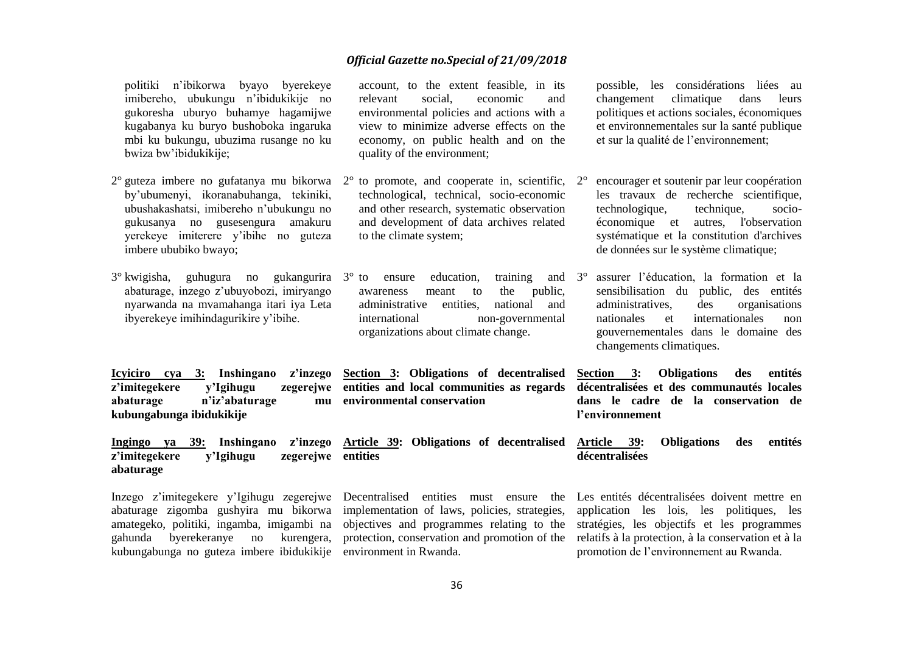quality of the environment;

to the climate system;

account, to the extent feasible, in its relevant social, economic and environmental policies and actions with a view to minimize adverse effects on the economy, on public health and on the

technological, technical, socio-economic and other research, systematic observation and development of data archives related

awareness meant to the public, administrative entities, national and international non-governmental

organizations about climate change.

**Section 3: Obligations of decentralised** 

politiki n'ibikorwa byayo byerekeye imibereho, ubukungu n'ibidukikije no gukoresha uburyo buhamye hagamijwe kugabanya ku buryo bushoboka ingaruka mbi ku bukungu, ubuzima rusange no ku bwiza bw'ibidukikije;

- by'ubumenyi, ikoranabuhanga, tekiniki, ubushakashatsi, imibereho n'ubukungu no gukusanya no gusesengura amakuru yerekeye imiterere y'ibihe no guteza imbere ububiko bwayo;
- 3° kwigisha, guhugura no gukangurira abaturage, inzego z'ubuyobozi, imiryango nyarwanda na mvamahanga itari iya Leta ibyerekeye imihindagurikire y'ibihe.

**Icyiciro cya 3: Inshingano z'inzego**  z'imitegekere y'Igihugu abaturage n'iz'abaturage **kubungabunga ibidukikije environmental conservation**

**Ingingo ya 39: Inshingano z'inzego Article 39: Obligations of decentralised Article 39: Obligations des entités**  z'imitegekere v'Igihugu **entities**

**abaturage** Inzego z'imitegekere y'Igihugu zegerejwe Decentralised entities must ensure the Les entités décentralisées doivent mettre en abaturage zigomba gushyira mu bikorwa implementation of laws, policies, strategies, amategeko, politiki, ingamba, imigambi na objectives and programmes relating to the stratégies, les objectifs et les programmes gahunda byerekeranye no kurengera, protection, conservation and promotion of the relatifs à la protection, à la conservation et à la

kubungabunga no guteza imbere ibidukikije environment in Rwanda.

possible, les considérations liées au changement climatique dans leurs politiques et actions sociales, économiques et environnementales sur la santé publique et sur la qualité de l'environnement;

- 2° guteza imbere no gufatanya mu bikorwa 2° to promote, and cooperate in, scientific, 2° encourager et soutenir par leur coopération les travaux de recherche scientifique, technologique, technique, socioéconomique et autres, l'observation systématique et la constitution d'archives de données sur le système climatique;
	- ensure education, training and  $3^\circ$ 3° assurer l'éducation, la formation et la sensibilisation du public, des entités administratives, des organisations nationales et internationales non gouvernementales dans le domaine des changements climatiques.

**entities and local communities as regards décentralisées et des communautés locales Section 3: Obligations des entités dans le cadre de la conservation de l'environnement** 

**décentralisées**

application les lois, les politiques, les promotion de l'environnement au Rwanda.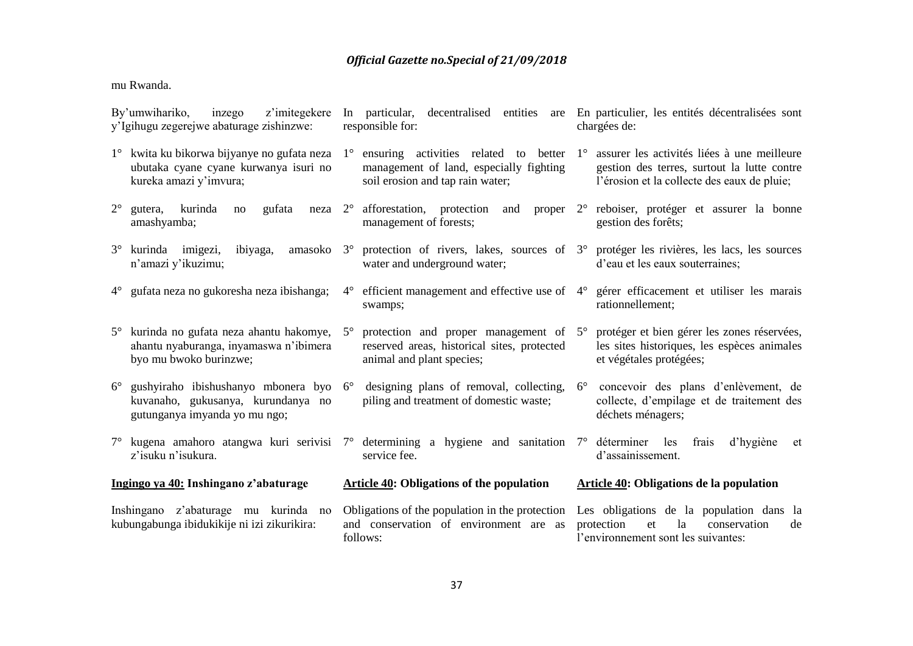#### mu Rwanda.

| By'umwihariko,<br>inzego<br>z'imitegekere<br>y'Igihugu zegerejwe abaturage zishinzwe: |                                                                                                                                                         | responsible for: |                                                                                                                                              | In particular, decentralised entities are En particulier, les entités décentralisées sont<br>chargées de: |                                                                                                                                             |
|---------------------------------------------------------------------------------------|---------------------------------------------------------------------------------------------------------------------------------------------------------|------------------|----------------------------------------------------------------------------------------------------------------------------------------------|-----------------------------------------------------------------------------------------------------------|---------------------------------------------------------------------------------------------------------------------------------------------|
|                                                                                       | 1° kwita ku bikorwa bijyanye no gufata neza 1° ensuring activities related to better<br>ubutaka cyane cyane kurwanya isuri no<br>kureka amazi y'imvura; |                  | management of land, especially fighting<br>soil erosion and tap rain water;                                                                  | $1^{\circ}$                                                                                               | assurer les activités liées à une meilleure<br>gestion des terres, surtout la lutte contre<br>l'érosion et la collecte des eaux de pluie;   |
| $2^{\circ}$                                                                           | kurinda<br>gutera,<br>gufata<br>neza<br>no<br>amashyamba;                                                                                               |                  | $2^{\circ}$ afforestation, protection<br>and<br>management of forests;                                                                       |                                                                                                           | proper 2° reboiser, protéger et assurer la bonne<br>gestion des forêts;                                                                     |
| $3^\circ$                                                                             | kurinda imigezi,<br>ibiyaga,<br>amasoko<br>n'amazi y'ikuzimu;                                                                                           |                  | 3° protection of rivers, lakes, sources of 3° protéger les rivières, les lacs, les sources<br>water and underground water;                   |                                                                                                           | d'eau et les eaux souterraines;                                                                                                             |
|                                                                                       | 4° gufata neza no gukoresha neza ibishanga;                                                                                                             |                  | $4^{\circ}$ efficient management and effective use of $4^{\circ}$<br>swamps;                                                                 |                                                                                                           | gérer efficacement et utiliser les marais<br>rationnellement;                                                                               |
|                                                                                       | 5° kurinda no gufata neza ahantu hakomye,<br>ahantu nyaburanga, inyamaswa n'ibimera<br>byo mu bwoko burinzwe;                                           | $5^{\circ}$      | protection and proper management of $5^{\circ}$<br>reserved areas, historical sites, protected<br>animal and plant species;                  |                                                                                                           | protéger et bien gérer les zones réservées,<br>les sites historiques, les espèces animales<br>et végétales protégées;                       |
| $6^{\circ}$                                                                           | gushyiraho ibishushanyo mbonera byo 6°<br>kuvanaho, gukusanya, kurundanya no<br>gutunganya imyanda yo mu ngo;                                           |                  | designing plans of removal, collecting,<br>piling and treatment of domestic waste;                                                           | $6^{\circ}$                                                                                               | concevoir des plans d'enlèvement, de<br>collecte, d'empilage et de traitement des<br>déchets ménagers;                                      |
|                                                                                       | z'isuku n'isukura.                                                                                                                                      |                  | $7^{\circ}$ kugena amahoro atangwa kuri serivisi $7^{\circ}$ determining a hygiene and sanitation $7^{\circ}$ déterminer les<br>service fee. |                                                                                                           | frais<br>d'hygiène<br>et<br>d'assainissement.                                                                                               |
|                                                                                       | Ingingo ya 40: Inshingano z'abaturage                                                                                                                   |                  | <b>Article 40: Obligations of the population</b>                                                                                             |                                                                                                           | <b>Article 40: Obligations de la population</b>                                                                                             |
|                                                                                       | Inshingano z'abaturage mu kurinda no<br>kubungabunga ibidukikije ni izi zikurikira:                                                                     |                  | Obligations of the population in the protection<br>and conservation of environment are as<br>follows:                                        |                                                                                                           | Les obligations de la population dans la<br>protection<br><sup>1</sup> a<br>conservation<br>et<br>de<br>l'environnement sont les suivantes: |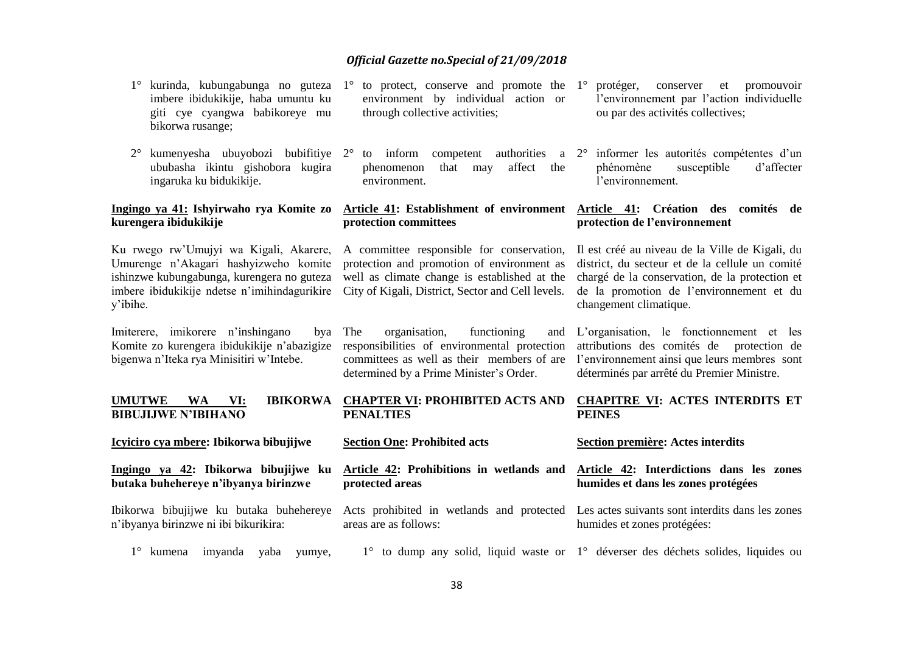| kurinda, kubungabunga no guteza<br>imbere ibidukikije, haba umuntu ku<br>giti cye cyangwa babikoreye mu<br>bikorwa rusange;                                                               | $1^{\circ}$<br>to protect, conserve and promote the<br>environment by individual action or<br>through collective activities;                                                                 | $1^{\circ}$<br>protéger,<br>et<br>conserver<br>promouvoir<br>l'environnement par l'action individuelle<br>ou par des activités collectives;                                                                                |
|-------------------------------------------------------------------------------------------------------------------------------------------------------------------------------------------|----------------------------------------------------------------------------------------------------------------------------------------------------------------------------------------------|----------------------------------------------------------------------------------------------------------------------------------------------------------------------------------------------------------------------------|
| $2^{\circ}$<br>kumenyesha ubuyobozi bubifitiye 2°<br>ububasha ikintu gishobora kugira<br>ingaruka ku bidukikije.                                                                          | to inform<br>competent<br>phenomenon<br>affect the<br>that<br>may<br>environment.                                                                                                            | authorities a 2° informer les autorités compétentes d'un<br>susceptible<br>phénomène<br>d'affecter<br>l'environnement.                                                                                                     |
| Ingingo ya 41: Ishyirwaho rya Komite zo<br>kurengera ibidukikije                                                                                                                          | Article 41: Establishment of environment<br>protection committees                                                                                                                            | Article 41: Création des comités de<br>protection de l'environnement                                                                                                                                                       |
| Ku rwego rw'Umujyi wa Kigali, Akarere,<br>Umurenge n'Akagari hashyizweho komite<br>ishinzwe kubungabunga, kurengera no guteza<br>imbere ibidukikije ndetse n'imihindagurikire<br>y'ibihe. | A committee responsible for conservation,<br>protection and promotion of environment as<br>well as climate change is established at the<br>City of Kigali, District, Sector and Cell levels. | Il est créé au niveau de la Ville de Kigali, du<br>district, du secteur et de la cellule un comité<br>chargé de la conservation, de la protection et<br>de la promotion de l'environnement et du<br>changement climatique. |
| Imiterere, imikorere n'inshingano<br>bya<br>Komite zo kurengera ibidukikije n'abazigize<br>bigenwa n'Iteka rya Minisitiri w'Intebe.                                                       | The<br>functioning<br>organisation,<br>and<br>responsibilities of environmental protection<br>committees as well as their members of are<br>determined by a Prime Minister's Order.          | L'organisation, le fonctionnement et les<br>attributions des comités de<br>protection de<br>l'environnement ainsi que leurs membres sont<br>déterminés par arrêté du Premier Ministre.                                     |
| <b>IBIKORWA</b><br><b>UMUTWE</b><br><b>WA</b><br>VI:<br><b>BIBUJIJWE N'IBIHANO</b>                                                                                                        | <b>CHAPTER VI: PROHIBITED ACTS AND</b><br><b>PENALTIES</b>                                                                                                                                   | <b>CHAPITRE VI: ACTES INTERDITS ET</b><br><b>PEINES</b>                                                                                                                                                                    |
| Icyiciro cya mbere: Ibikorwa bibujijwe                                                                                                                                                    | <b>Section One: Prohibited acts</b>                                                                                                                                                          | Section première: Actes interdits                                                                                                                                                                                          |
| Ingingo ya 42: Ibikorwa bibujijwe ku<br>butaka buhehereye n'ibyanya birinzwe                                                                                                              | Article 42: Prohibitions in wetlands and<br>protected areas                                                                                                                                  | Article 42: Interdictions dans les zones<br>humides et dans les zones protégées                                                                                                                                            |
| Ibikorwa bibujijwe ku butaka buhehereye<br>n'ibyanya birinzwe ni ibi bikurikira:                                                                                                          | areas are as follows:                                                                                                                                                                        | Acts prohibited in wetlands and protected Les actes suivants sont interdits dans les zones<br>humides et zones protégées:                                                                                                  |
|                                                                                                                                                                                           |                                                                                                                                                                                              |                                                                                                                                                                                                                            |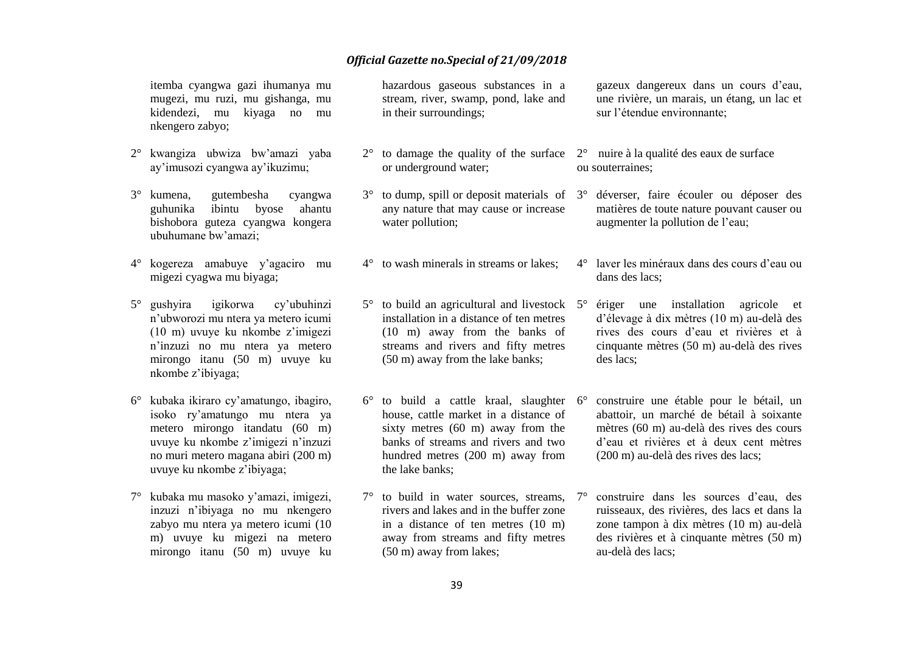itemba cyangwa gazi ihumanya mu mugezi, mu ruzi, mu gishanga, mu kidendezi, mu kiyaga no mu nkengero zabyo;

- 2° kwangiza ubwiza bw'amazi yaba ay'imusozi cyangwa ay'ikuzimu;
- 3° kumena, gutembesha cyangwa guhunika ibintu byose ahantu bishobora guteza cyangwa kongera ubuhumane bw'amazi;
- 4° kogereza amabuye y'agaciro mu migezi cyagwa mu biyaga;
- 5° gushyira igikorwa cy'ubuhinzi n'ubworozi mu ntera ya metero icumi (10 m) uvuye ku nkombe z'imigezi n'inzuzi no mu ntera ya metero mirongo itanu (50 m) uvuye ku nkombe z'ibiyaga;
- 6° kubaka ikiraro cy'amatungo, ibagiro, isoko ry'amatungo mu ntera ya metero mirongo itandatu (60 m) uvuye ku nkombe z'imigezi n'inzuzi no muri metero magana abiri (200 m) uvuye ku nkombe z'ibiyaga;
- 7° kubaka mu masoko y'amazi, imigezi, inzuzi n'ibiyaga no mu nkengero zabyo mu ntera ya metero icumi (10 m) uvuye ku migezi na metero mirongo itanu (50 m) uvuye ku

hazardous gaseous substances in a stream, river, swamp, pond, lake and in their surroundings;

- $2^{\circ}$  to damage the quality of the surface  $2^{\circ}$  nuire à la qualité des eaux de surface or underground water;
- $3^{\circ}$  to dump, spill or deposit materials of  $3^{\circ}$ any nature that may cause or increase water pollution;
- 4° to wash minerals in streams or lakes;

 $5^\circ$  to build an agricultural and livestock  $5^\circ$ installation in a distance of ten metres (10 m) away from the banks of streams and rivers and fifty metres (50 m) away from the lake banks;

- $6^\circ$  to build a cattle kraal, slaughter  $6^\circ$ house, cattle market in a distance of sixty metres (60 m) away from the banks of streams and rivers and two hundred metres (200 m) away from the lake banks;
- $7^\circ$  to build in water sources, streams,  $7^\circ$ rivers and lakes and in the buffer zone in a distance of ten metres (10 m) away from streams and fifty metres (50 m) away from lakes;

gazeux dangereux dans un cours d'eau, une rivière, un marais, un étang, un lac et sur l'étendue environnante;

- ou souterraines;
- déverser, faire écouler ou déposer des matières de toute nature pouvant causer ou augmenter la pollution de l'eau;
- 4° laver les minéraux dans des cours d'eau ou dans des lacs;
- 5° ériger une installation agricole et d'élevage à dix mètres (10 m) au-delà des rives des cours d'eau et rivières et à cinquante mètres (50 m) au-delà des rives des lacs;
- 6° construire une étable pour le bétail, un abattoir, un marché de bétail à soixante mètres (60 m) au-delà des rives des cours d'eau et rivières et à deux cent mètres (200 m) au-delà des rives des lacs;
- 7° construire dans les sources d'eau, des ruisseaux, des rivières, des lacs et dans la zone tampon à dix mètres (10 m) au-delà des rivières et à cinquante mètres (50 m) au-delà des lacs;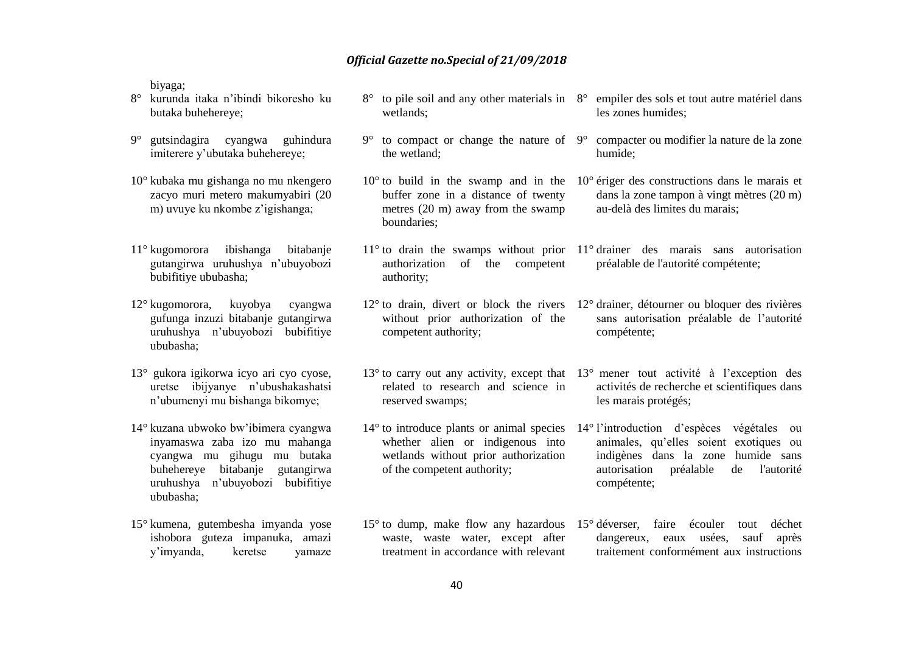biyaga;

- 8° kurunda itaka n'ibindi bikoresho ku butaka buhehereye;
- 9° gutsindagira cyangwa guhindura imiterere y'ubutaka buhehereye;
- 10° kubaka mu gishanga no mu nkengero zacyo muri metero makumyabiri (20 m) uvuye ku nkombe z'igishanga;
- 11° kugomorora ibishanga bitabanje gutangirwa uruhushya n'ubuyobozi bubifitiye ububasha;
- 12° kugomorora, kuyobya cyangwa gufunga inzuzi bitabanje gutangirwa uruhushya n'ubuyobozi bubifitiye ububasha;
- 13° gukora igikorwa icyo ari cyo cyose, uretse ibijyanye n'ubushakashatsi n'ubumenyi mu bishanga bikomye;
- 14° kuzana ubwoko bw'ibimera cyangwa inyamaswa zaba izo mu mahanga cyangwa mu gihugu mu butaka buhehereye bitabanje gutangirwa uruhushya n'ubuyobozi bubifitiye ububasha;
- 15° kumena, gutembesha imyanda yose ishobora guteza impanuka, amazi y'imyanda, keretse yamaze
- 8° to pile soil and any other materials in 8° empiler des sols et tout autre matériel dans wetlands; les zones humides;
- 9° to compact or change the nature of 9° compacter ou modifier la nature de la zone the wetland; humide;
- buffer zone in a distance of twenty metres (20 m) away from the swamp boundaries;
- 11° to drain the swamps without prior 11° drainer des marais sans autorisation authorization of the competent authority; préalable de l'autorité compétente;

12° to drain, divert or block the rivers 12° drainer, détourner ou bloquer des rivières without prior authorization of the competent authority; compétente;

- related to research and science in reserved swamps;
- whether alien or indigenous into wetlands without prior authorization of the competent authority;
- waste, waste water, except after treatment in accordance with relevant
- 
- 10° to build in the swamp and in the 10° ériger des constructions dans le marais et dans la zone tampon à vingt mètres (20 m) au-delà des limites du marais;
	-
	- sans autorisation préalable de l'autorité
- 13° to carry out any activity, except that 13° mener tout activité à l'exception des activités de recherche et scientifiques dans les marais protégés;
- 14° to introduce plants or animal species 14° l'introduction d'espèces végétales ou animales, qu'elles soient exotiques ou indigènes dans la zone humide sans autorisation préalable de l'autorité compétente;
- 15° to dump, make flow any hazardous 15° déverser, faire écouler tout déchet dangereux, eaux usées, sauf après traitement conformément aux instructions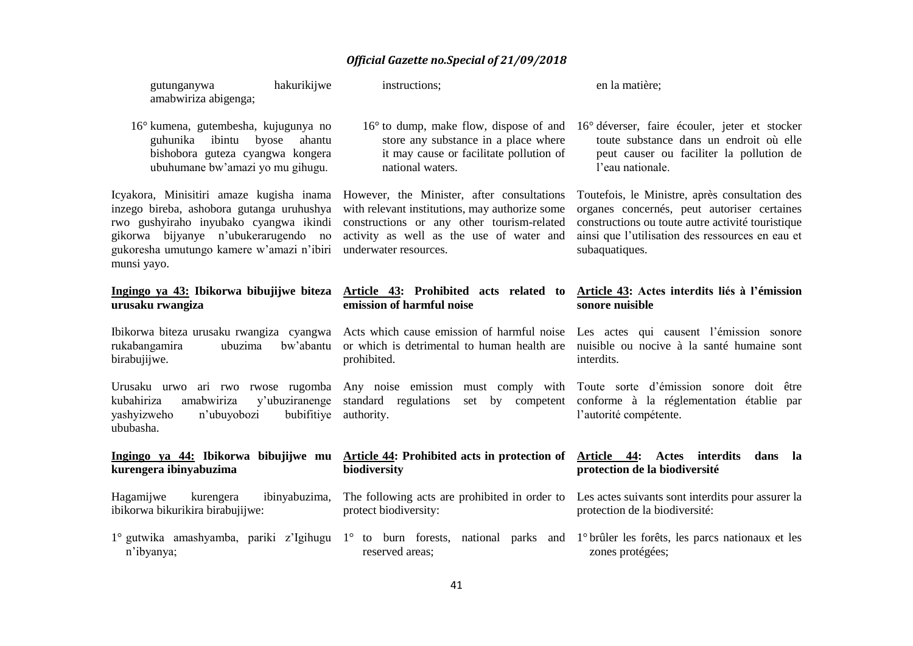| hakurikijwe<br>gutunganywa<br>amabwiriza abigenga;                                                                                                                                                                                  | instructions;                                                                                                                                                                                                   | en la matière;                                                                                                                                                                                                           |
|-------------------------------------------------------------------------------------------------------------------------------------------------------------------------------------------------------------------------------------|-----------------------------------------------------------------------------------------------------------------------------------------------------------------------------------------------------------------|--------------------------------------------------------------------------------------------------------------------------------------------------------------------------------------------------------------------------|
| 16° kumena, gutembesha, kujugunya no<br>guhunika<br>ibintu<br>byose<br>ahantu<br>bishobora guteza cyangwa kongera<br>ubuhumane bw'amazi yo mu gihugu.                                                                               | $16^{\circ}$ to dump, make flow, dispose of and<br>store any substance in a place where<br>it may cause or facilitate pollution of<br>national waters.                                                          | 16° déverser, faire écouler, jeter et stocker<br>toute substance dans un endroit où elle<br>peut causer ou faciliter la pollution de<br>l'eau nationale.                                                                 |
| Icyakora, Minisitiri amaze kugisha inama<br>inzego bireba, ashobora gutanga uruhushya<br>rwo gushyiraho inyubako cyangwa ikindi<br>gikorwa bijyanye n'ubukerarugendo no<br>gukoresha umutungo kamere w'amazi n'ibiri<br>munsi yayo. | However, the Minister, after consultations<br>with relevant institutions, may authorize some<br>constructions or any other tourism-related<br>activity as well as the use of water and<br>underwater resources. | Toutefois, le Ministre, après consultation des<br>organes concernés, peut autoriser certaines<br>constructions ou toute autre activité touristique<br>ainsi que l'utilisation des ressources en eau et<br>subaquatiques. |
| Ingingo ya 43: Ibikorwa bibujijwe biteza<br>urusaku rwangiza                                                                                                                                                                        | Article 43: Prohibited acts related to<br>emission of harmful noise                                                                                                                                             | Article 43: Actes interdits liés à l'émission<br>sonore nuisible                                                                                                                                                         |
| Ibikorwa biteza urusaku rwangiza cyangwa<br>rukabangamira<br>ubuzima<br>bw'abantu<br>birabujijwe.                                                                                                                                   | Acts which cause emission of harmful noise<br>or which is detrimental to human health are<br>prohibited.                                                                                                        | Les actes qui causent l'émission sonore<br>nuisible ou nocive à la santé humaine sont<br>interdits.                                                                                                                      |
| amabwiriza<br>kubahiriza<br>y'ubuziranenge<br>bubifitiye<br>yashyizweho<br>n'ubuyobozi<br>ububasha.                                                                                                                                 | Urusaku urwo ari rwo rwose rugomba Any noise emission must comply with Toute sorte d'émission sonore doit être<br>standard regulations<br>set by competent<br>authority.                                        | conforme à la réglementation établie par<br>l'autorité compétente.                                                                                                                                                       |
| Ingingo ya 44: Ibikorwa bibujijwe mu<br>kurengera ibinyabuzima                                                                                                                                                                      | Article 44: Prohibited acts in protection of<br>biodiversity                                                                                                                                                    | Article 44:<br>interdits<br>Actes<br>dans<br>la<br>protection de la biodiversité                                                                                                                                         |
| Hagamijwe<br>ibinyabuzima,<br>kurengera<br>ibikorwa bikurikira birabujijwe:                                                                                                                                                         | The following acts are prohibited in order to<br>protect biodiversity:                                                                                                                                          | Les actes suivants sont interdits pour assurer la<br>protection de la biodiversité:                                                                                                                                      |
| n'ibyanya;                                                                                                                                                                                                                          | 1° gutwika amashyamba, pariki z'Igihugu 1° to burn forests, national parks and 1° brûler les forêts, les parcs nationaux et les<br>reserved areas;                                                              | zones protégées;                                                                                                                                                                                                         |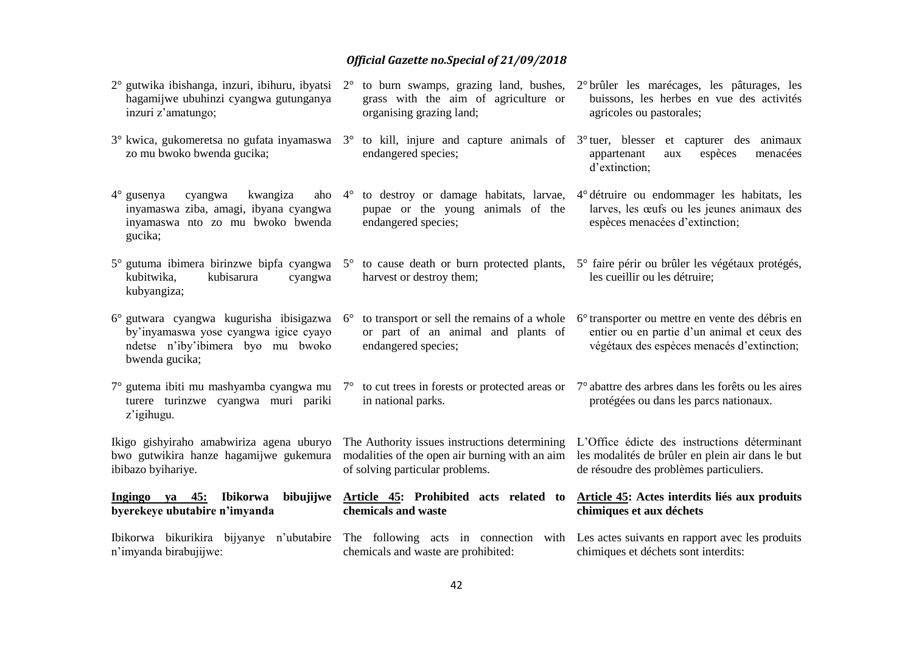| $2^{\circ}$ gutwika ibishanga, inzuri, ibihuru, ibyatsi $2^{\circ}$<br>hagamijwe ubuhinzi cyangwa gutunganya<br>inzuri z'amatungo;                           | to burn swamps, grazing land, bushes,<br>grass with the aim of agriculture or<br>organising grazing land;                                                                                    | 2 <sup>°</sup> brûler les marécages, les pâturages, les<br>buissons, les herbes en vue des activités<br>agricoles ou pastorales;                         |
|--------------------------------------------------------------------------------------------------------------------------------------------------------------|----------------------------------------------------------------------------------------------------------------------------------------------------------------------------------------------|----------------------------------------------------------------------------------------------------------------------------------------------------------|
| zo mu bwoko bwenda gucika;                                                                                                                                   | $3^{\circ}$ kwica, gukomeretsa no gufata inyamaswa $3^{\circ}$ to kill, injure and capture animals of $3^{\circ}$ tuer, blesser et capturer des animaux<br>endangered species;               | menacées<br>appartenant<br>espèces<br>aux<br>d'extinction;                                                                                               |
| $4^\circ$ gusenya<br>cyangwa<br>kwangiza<br>aho<br>inyamaswa ziba, amagi, ibyana cyangwa<br>inyamaswa nto zo mu bwoko bwenda<br>gucika;                      | to destroy or damage habitats, larvae,<br>$4^{\circ}$<br>pupae or the young animals of the<br>endangered species;                                                                            | 4° détruire ou endommager les habitats, les<br>larves, les œufs ou les jeunes animaux des<br>espèces menacées d'extinction;                              |
| kubisarura<br>kubitwika,<br>cyangwa<br>kubyangiza;                                                                                                           | 5° gutuma ibimera birinzwe bipfa cyangwa 5° to cause death or burn protected plants, 5° faire périr ou brûler les végétaux protégés,<br>harvest or destroy them;                             | les cueillir ou les détruire;                                                                                                                            |
| $6^{\circ}$ gutwara cyangwa kugurisha ibisigazwa $6^{\circ}$<br>by'inyamaswa yose cyangwa igice cyayo<br>ndetse n'iby'ibimera byo mu bwoko<br>bwenda gucika; | to transport or sell the remains of a whole<br>or part of an animal and plants of<br>endangered species;                                                                                     | 6 <sup>°</sup> transporter ou mettre en vente des débris en<br>entier ou en partie d'un animal et ceux des<br>végétaux des espèces menacés d'extinction; |
| turere turinzwe cyangwa muri pariki<br>z'igihugu.                                                                                                            | $7^{\circ}$ gutema ibiti mu mashyamba cyangwa mu $7^{\circ}$ to cut trees in forests or protected areas or $7^{\circ}$ abattre des arbres dans les forêts ou les aires<br>in national parks. | protégées ou dans les parcs nationaux.                                                                                                                   |
| Ikigo gishyiraho amabwiriza agena uburyo<br>bwo gutwikira hanze hagamijwe gukemura<br>ibibazo byihariye.                                                     | The Authority issues instructions determining<br>modalities of the open air burning with an aim<br>of solving particular problems.                                                           | L'Office édicte des instructions déterminant<br>les modalités de brûler en plein air dans le but<br>de résoudre des problèmes particuliers.              |
| Ibikorwa<br>Ingingo ya 45:<br>byerekeye ubutabire n'imyanda                                                                                                  | bibujijwe Article 45: Prohibited acts related to<br>chemicals and waste                                                                                                                      | Article 45: Actes interdits liés aux produits<br>chimiques et aux déchets                                                                                |
| n'imyanda birabujijwe:                                                                                                                                       | Ibikorwa bikurikira bijyanye n'ubutabire The following acts in connection with Les actes suivants en rapport avec les produits<br>chemicals and waste are prohibited:                        | chimiques et déchets sont interdits:                                                                                                                     |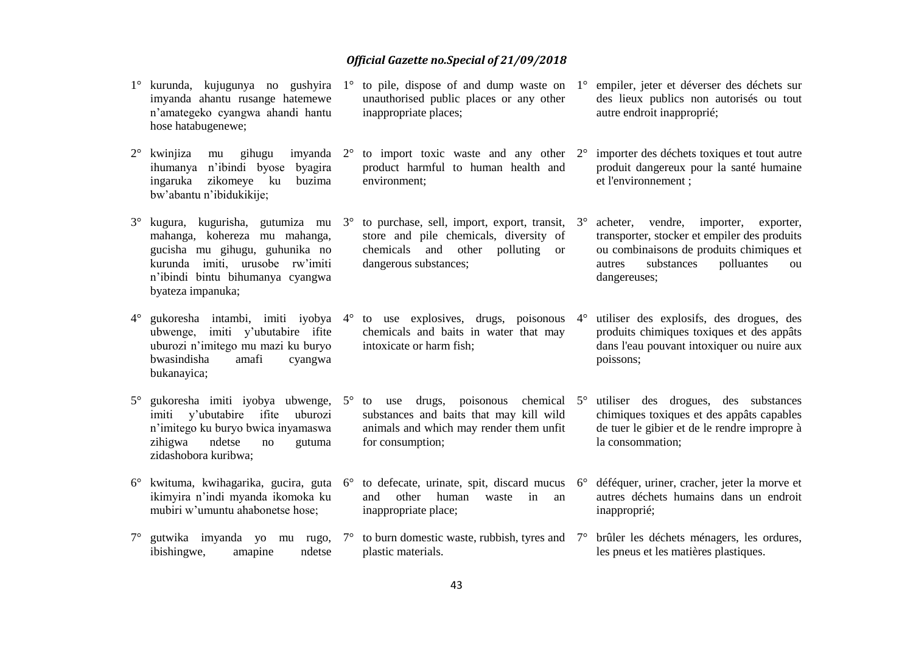|             | 1° kurunda, kujugunya no gushyira<br>imyanda ahantu rusange hatemewe<br>n'amategeko cyangwa ahandi hantu<br>hose hatabugenewe;                                                                   | $1^{\circ}$ | to pile, dispose of and dump waste on $1^\circ$<br>unauthorised public places or any other<br>inappropriate places;                                             | empiler, jeter et déverser des déchets sur<br>des lieux publics non autorisés ou tout<br>autre endroit inapproprié;                                                                             |
|-------------|--------------------------------------------------------------------------------------------------------------------------------------------------------------------------------------------------|-------------|-----------------------------------------------------------------------------------------------------------------------------------------------------------------|-------------------------------------------------------------------------------------------------------------------------------------------------------------------------------------------------|
| $2^{\circ}$ | kwinjiza<br>gihugu<br>imyanda $2^{\circ}$<br>mu<br>ihumanya n'ibindi byose<br>byagira<br>zikomeye ku<br>ingaruka<br>buzima<br>bw'abantu n'ibidukikije;                                           |             | to import toxic waste and any other $2^{\circ}$<br>product harmful to human health and<br>environment;                                                          | importer des déchets toxiques et tout autre<br>produit dangereux pour la santé humaine<br>et l'environnement ;                                                                                  |
| $3^\circ$   | kugura, kugurisha, gutumiza mu 3°<br>mahanga, kohereza mu mahanga,<br>gucisha mu gihugu, guhunika no<br>kurunda imiti, urusobe rw'imiti<br>n'ibindi bintu bihumanya cyangwa<br>byateza impanuka; |             | to purchase, sell, import, export, transit, $3^\circ$<br>store and pile chemicals, diversity of<br>chemicals and other<br>polluting or<br>dangerous substances; | acheter, vendre, importer,<br>exporter,<br>transporter, stocker et empiler des produits<br>ou combinaisons de produits chimiques et<br>substances<br>polluantes<br>autres<br>ou<br>dangereuses; |
| $4^{\circ}$ | gukoresha intambi, imiti iyobya 4°<br>ubwenge, imiti y'ubutabire ifite<br>uburozi n'imitego mu mazi ku buryo<br>bwasindisha<br>amafi<br>cyangwa<br>bukanayica;                                   |             | to use explosives, drugs, poisonous $4^{\circ}$<br>chemicals and baits in water that may<br>intoxicate or harm fish;                                            | utiliser des explosifs, des drogues, des<br>produits chimiques toxiques et des appâts<br>dans l'eau pouvant intoxiquer ou nuire aux<br>poissons;                                                |
| $5^{\circ}$ | gukoresha imiti iyobya ubwenge,<br>y'ubutabire ifite<br>uburozi<br>imiti<br>n'imitego ku buryo bwica inyamaswa<br>ndetse<br>zihigwa<br>no<br>gutuma<br>zidashobora kuribwa;                      | $5^{\circ}$ | drugs, poisonous chemical $5^\circ$<br>to use<br>substances and baits that may kill wild<br>animals and which may render them unfit<br>for consumption;         | utiliser des drogues, des substances<br>chimiques toxiques et des appâts capables<br>de tuer le gibier et de le rendre impropre à<br>la consommation;                                           |
| $6^{\circ}$ | kwituma, kwihagarika, gucira, guta<br>ikimyira n'indi myanda ikomoka ku<br>mubiri w'umuntu ahabonetse hose;                                                                                      | $6^{\circ}$ | to defecate, urinate, spit, discard mucus $6^\circ$<br>other<br>human<br>and<br>waste<br>$\mathbf{in}$<br>an<br>inappropriate place;                            | déféquer, uriner, cracher, jeter la morve et<br>autres déchets humains dans un endroit<br>inapproprié;                                                                                          |

7° gutwika imyanda yo mu rugo, 7° to burn domestic waste, rubbish, tyres and 7° brûler les déchets ménagers, les ordures, les pneus et les matières plastiques.

plastic materials.

ibishingwe, amapine ndetse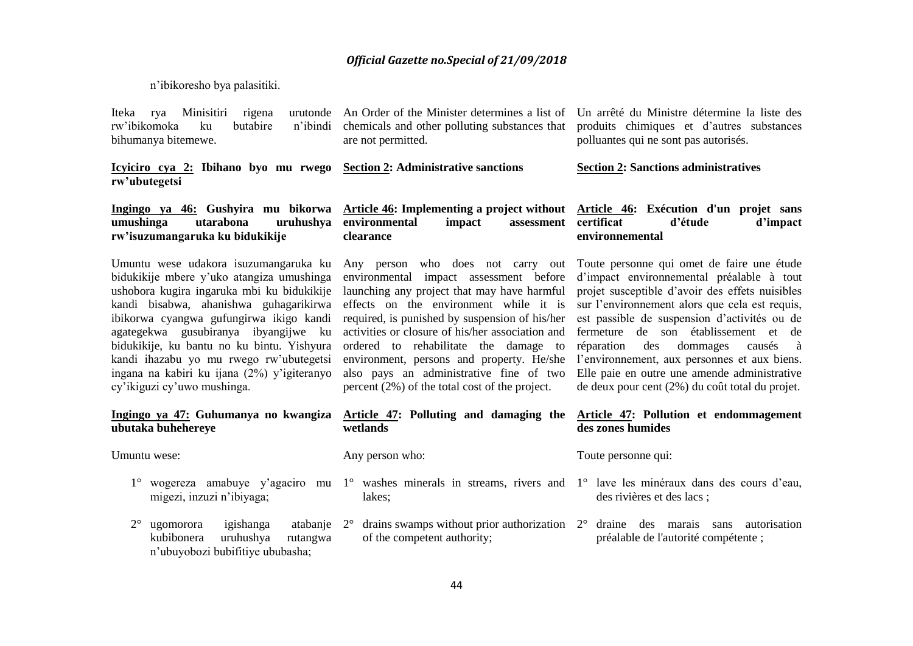n'ibikoresho bya palasitiki.

Iteka rya Minisitiri rigena rw'ibikomoka ku butabire n'ibindi bihumanya bitemewe.

**Icyiciro cya 2: Ibihano byo mu rwego rw'ubutegetsi Section 2: Administrative sanctions**

An Order of the Minister determines a list of Un arrêté du Ministre détermine la liste des chemicals and other polluting substances that are not permitted.

produits chimiques et d'autres substances polluantes qui ne sont pas autorisés.

**Section 2: Sanctions administratives**

### **Ingingo ya 46: Gushyira mu bikorwa rw'isuzumangaruka ku bidukikije**

Umuntu wese udakora isuzumangaruka ku bidukikije mbere y'uko atangiza umushinga ushobora kugira ingaruka mbi ku bidukikije kandi bisabwa, ahanishwa guhagarikirwa ibikorwa cyangwa gufungirwa ikigo kandi agategekwa gusubiranya ibyangijwe ku bidukikije, ku bantu no ku bintu. Yishyura kandi ihazabu yo mu rwego rw'ubutegetsi ingana na kabiri ku ijana (2%) y'igiteranyo cy'ikiguzi cy'uwo mushinga.

#### **Ingingo ya 47: Guhumanya no kwangiza ubutaka buhehereye**

Umuntu wese:

- migezi, inzuzi n'ibiyaga;
- 2° ugomorora igishanga atabanje kubibonera uruhushya rutangwa n'ubuyobozi bubifitiye ububasha;

#### **umushinga utarabona uruhushya environmental impact assessment Article 46: Implementing a project without Article 46: Exécution d'un projet sans clearance c** assessment certificat d'étude d'impact **environnemental**

Any person who does not carry out Toute personne qui omet de faire une étude environmental impact assessment before d'impact environnemental préalable à tout launching any project that may have harmful projet susceptible d'avoir des effets nuisibles effects on the environment while it is required, is punished by suspension of his/her activities or closure of his/her association and fermeture de son établissement et de ordered to rehabilitate the damage to environment, persons and property. He/she l'environnement, aux personnes et aux biens. also pays an administrative fine of two Elle paie en outre une amende administrative percent (2%) of the total cost of the project.

#### **Article 47: Polluting and damaging the Article 47: Pollution et endommagement wetlands**

Any person who:

#### Toute personne qui:

**des zones humides**

- 1° wogereza amabuye y'agaciro mu 1° washes minerals in streams, rivers and 1° lave les minéraux dans des cours d'eau, lakes;
	- of the competent authority;
- 
- des rivières et des lacs ;

sur l'environnement alors que cela est requis, est passible de suspension d'activités ou de

réparation des dommages causés à

de deux pour cent (2%) du coût total du projet.

2° drains swamps without prior authorization 2° draine des marais sans autorisation préalable de l'autorité compétente ;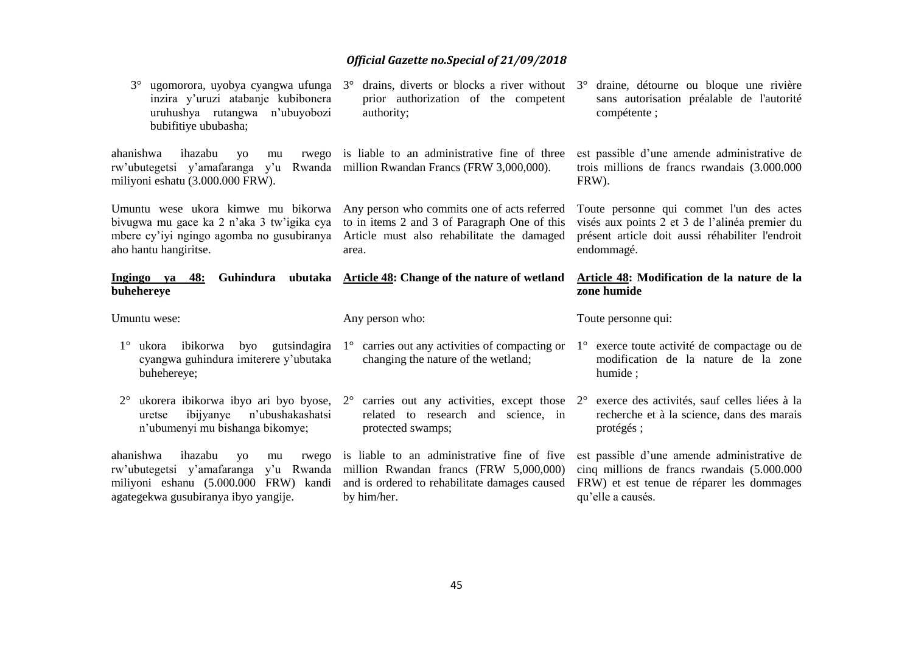| $3^\circ$<br>ugomorora, uyobya cyangwa ufunga<br>inzira y'uruzi atabanje kubibonera<br>uruhushya rutangwa n'ubuyobozi<br>bubifitiye ububasha;                         | drains, diverts or blocks a river without<br>$3^\circ$<br>prior authorization of the competent<br>authority;                                       | draine, détourne ou bloque une rivière<br>$3^\circ$<br>sans autorisation préalable de l'autorité<br>compétente;                                                          |
|-----------------------------------------------------------------------------------------------------------------------------------------------------------------------|----------------------------------------------------------------------------------------------------------------------------------------------------|--------------------------------------------------------------------------------------------------------------------------------------------------------------------------|
| ahanishwa<br>ihazabu<br>rwego<br><b>VO</b><br>mu<br>rw'ubutegetsi y'amafaranga y'u Rwanda million Rwandan Francs (FRW 3,000,000).<br>miliyoni eshatu (3.000.000 FRW). | is liable to an administrative fine of three                                                                                                       | est passible d'une amende administrative de<br>trois millions de francs rwandais (3.000.000<br>FRW).                                                                     |
| Umuntu wese ukora kimwe mu bikorwa<br>bivugwa mu gace ka 2 n'aka 3 tw'igika cya<br>mbere cy'iyi ngingo agomba no gusubiranya<br>aho hantu hangiritse.                 | Any person who commits one of acts referred<br>to in items 2 and 3 of Paragraph One of this<br>Article must also rehabilitate the damaged<br>area. | Toute personne qui commet l'un des actes<br>visés aux points 2 et 3 de l'alinéa premier du<br>présent article doit aussi réhabiliter l'endroit<br>endommagé.             |
| Ingingo ya<br>48:<br>buhehereye                                                                                                                                       | Guhindura ubutaka Article 48: Change of the nature of wetland                                                                                      | Article 48: Modification de la nature de la<br>zone humide                                                                                                               |
|                                                                                                                                                                       |                                                                                                                                                    |                                                                                                                                                                          |
| Umuntu wese:                                                                                                                                                          | Any person who:                                                                                                                                    | Toute personne qui:                                                                                                                                                      |
| $1^\circ$ ukora ibikorwa<br>byo gutsindagira<br>cyangwa guhindura imiterere y'ubutaka<br>buhehereye;                                                                  | $1^\circ$ carries out any activities of compacting or<br>changing the nature of the wetland;                                                       | $1^\circ$ exerce toute activité de compactage ou de<br>modification de la nature de la zone<br>humide;                                                                   |
| ukorera ibikorwa ibyo ari byo byose,<br>$2^{\circ}$<br>n'ubushakashatsi<br>ibijyanye<br>uretse<br>n'ubumenyi mu bishanga bikomye;                                     | related to research and science, in<br>protected swamps;                                                                                           | $2^{\circ}$ carries out any activities, except those $2^{\circ}$ exerce des activités, sauf celles liées à la<br>recherche et à la science, dans des marais<br>protégés; |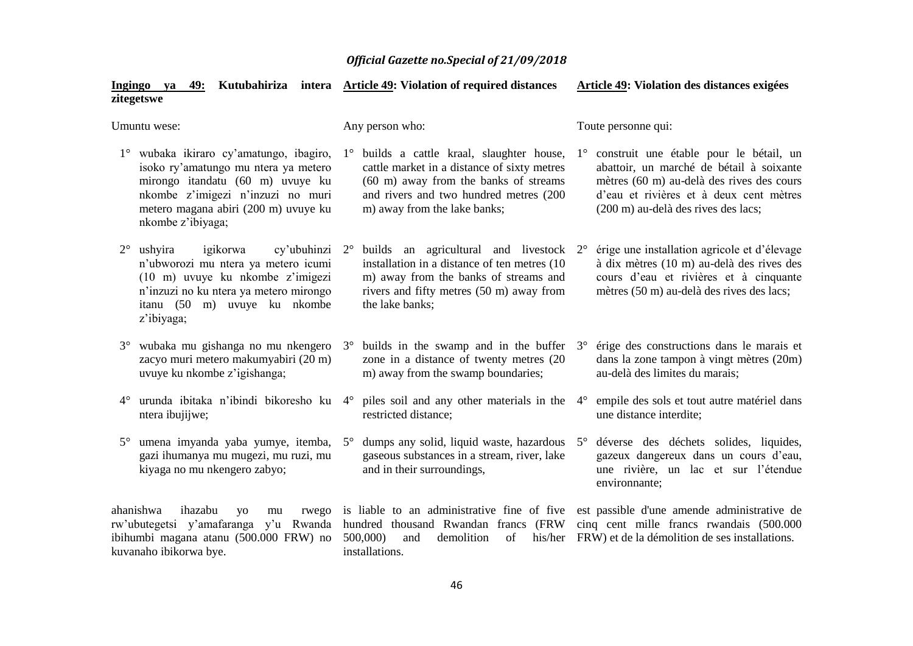| Ingingo ya<br>zitegetswe                                                                                                                                                                                              | 49: Kutubahiriza intera Article 49: Violation of required distances                                                                                                                                                      | Article 49: Violation des distances exigées                                                                                                                                                                                       |
|-----------------------------------------------------------------------------------------------------------------------------------------------------------------------------------------------------------------------|--------------------------------------------------------------------------------------------------------------------------------------------------------------------------------------------------------------------------|-----------------------------------------------------------------------------------------------------------------------------------------------------------------------------------------------------------------------------------|
| Umuntu wese:                                                                                                                                                                                                          | Any person who:                                                                                                                                                                                                          | Toute personne qui:                                                                                                                                                                                                               |
| 1° wubaka ikiraro cy'amatungo, ibagiro,<br>isoko ry'amatungo mu ntera ya metero<br>mirongo itandatu (60 m) uvuye ku<br>nkombe z'imigezi n'inzuzi no muri<br>metero magana abiri (200 m) uvuye ku<br>nkombe z'ibiyaga; | builds a cattle kraal, slaughter house,<br>$1^{\circ}$<br>cattle market in a distance of sixty metres<br>(60 m) away from the banks of streams<br>and rivers and two hundred metres (200<br>m) away from the lake banks; | construit une étable pour le bétail, un<br>$1^{\circ}$<br>abattoir, un marché de bétail à soixante<br>mètres (60 m) au-delà des rives des cours<br>d'eau et rivières et à deux cent mètres<br>(200 m) au-delà des rives des lacs; |
| $2^{\circ}$<br>ushyira<br>igikorwa<br>cy'ubuhinzi<br>n'ubworozi mu ntera ya metero icumi<br>(10 m) uvuye ku nkombe z'imigezi<br>n'inzuzi no ku ntera ya metero mirongo<br>itanu (50 m) uvuye ku nkombe<br>z'ibiyaga;  | builds an agricultural and livestock 2°<br>$2^{\circ}$<br>installation in a distance of ten metres (10)<br>m) away from the banks of streams and<br>rivers and fifty metres (50 m) away from<br>the lake banks;          | érige une installation agricole et d'élevage<br>à dix mètres (10 m) au-delà des rives des<br>cours d'eau et rivières et à cinquante<br>mètres (50 m) au-delà des rives des lacs;                                                  |
| wubaka mu gishanga no mu nkengero<br>$3^\circ$<br>zacyo muri metero makumyabiri (20 m)<br>uvuye ku nkombe z'igishanga;                                                                                                | $3^{\circ}$ builds in the swamp and in the buffer $3^{\circ}$<br>zone in a distance of twenty metres (20<br>m) away from the swamp boundaries;                                                                           | érige des constructions dans le marais et<br>dans la zone tampon à vingt mètres (20m)<br>au-delà des limites du marais;                                                                                                           |
| urunda ibitaka n'ibindi bikoresho ku<br>$4^{\circ}$<br>ntera ibujijwe;                                                                                                                                                | piles soil and any other materials in the<br>$4^\circ$<br>restricted distance;                                                                                                                                           | empile des sols et tout autre matériel dans<br>$4^\circ$<br>une distance interdite;                                                                                                                                               |
| umena imyanda yaba yumye, itemba,<br>$5^\circ$<br>gazi ihumanya mu mugezi, mu ruzi, mu<br>kiyaga no mu nkengero zabyo;                                                                                                | dumps any solid, liquid waste, hazardous 5°<br>$5^{\circ}$<br>gaseous substances in a stream, river, lake<br>and in their surroundings,                                                                                  | déverse des déchets solides, liquides,<br>gazeux dangereux dans un cours d'eau,<br>une rivière, un lac et sur l'étendue<br>environnante;                                                                                          |
| ahanishwa<br>ihazabu<br>rwego<br><b>VO</b><br>mu<br>rw'ubutegetsi y'amafaranga y'u Rwanda<br>ibihumbi magana atanu (500.000 FRW) no<br>kuvanaho ibikorwa bye.                                                         | hundred thousand Rwandan francs (FRW<br>500,000)<br>and<br>demolition<br>of<br>his/her<br>installations.                                                                                                                 | is liable to an administrative fine of five est passible d'une amende administrative de<br>cinq cent mille francs rwandais (500.000<br>FRW) et de la démolition de ses installations.                                             |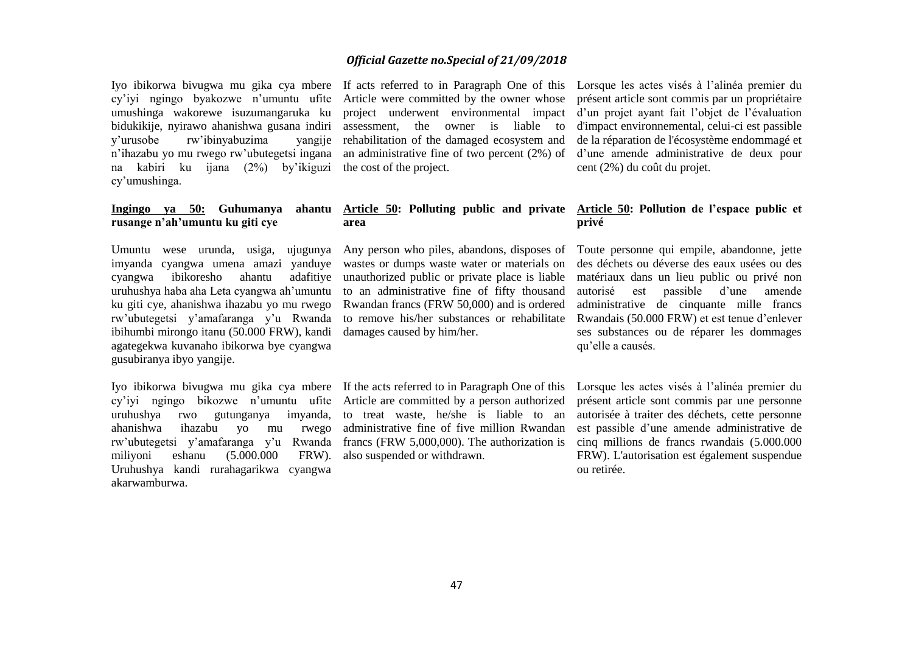Iyo ibikorwa bivugwa mu gika cya mbere cy'iyi ngingo byakozwe n'umuntu ufite umushinga wakorewe isuzumangaruka ku bidukikije, nyirawo ahanishwa gusana indiri y'urusobe rw'ibinyabuzima yangije n'ihazabu yo mu rwego rw'ubutegetsi ingana na kabiri ku ijana (2%) by'ikiguzi cy'umushinga.

#### **Ingingo ya 50: Guhumanya ahantu rusange n'ah'umuntu ku giti cye**

imyanda cyangwa umena amazi yanduye cyangwa ibikoresho ahantu adafitiye uruhushya haba aha Leta cyangwa ah'umuntu ku giti cye, ahanishwa ihazabu yo mu rwego rw'ubutegetsi y'amafaranga y'u Rwanda ibihumbi mirongo itanu (50.000 FRW), kandi agategekwa kuvanaho ibikorwa bye cyangwa gusubiranya ibyo yangije.

Iyo ibikorwa bivugwa mu gika cya mbere If the acts referred to in Paragraph One of this uruhushya rwo gutunganya imyanda, ahanishwa ihazabu yo mu rwego rw'ubutegetsi y'amafaranga y'u Rwanda miliyoni eshanu (5.000.000 FRW). Uruhushya kandi rurahagarikwa cyangwa akarwamburwa.

If acts referred to in Paragraph One of this Lorsque les actes visés à l'alinéa premier du Article were committed by the owner whose project underwent environmental impact assessment, the owner is liable to rehabilitation of the damaged ecosystem and the cost of the project.

#### **Article 50: Polluting public and private Article 50: Pollution de l'espace public et area**

wastes or dumps waste water or materials on unauthorized public or private place is liable to an administrative fine of fifty thousand Rwandan francs (FRW 50,000) and is ordered to remove his/her substances or rehabilitate damages caused by him/her.

cy'iyi ngingo bikozwe n'umuntu ufite Article are committed by a person authorized to treat waste, he/she is liable to an administrative fine of five million Rwandan francs (FRW 5,000,000). The authorization is also suspended or withdrawn.

an administrative fine of two percent (2%) of d'une amende administrative de deux pour présent article sont commis par un propriétaire d'un projet ayant fait l'objet de l'évaluation d'impact environnemental, celui-ci est passible de la réparation de l'écosystème endommagé et cent (2%) du coût du projet.

# **privé**

Umuntu wese urunda, usiga, ujugunya Any person who piles, abandons, disposes of Toute personne qui empile, abandonne, jette des déchets ou déverse des eaux usées ou des matériaux dans un lieu public ou privé non autorisé est passible d'une amende administrative de cinquante mille francs Rwandais (50.000 FRW) et est tenue d'enlever ses substances ou de réparer les dommages qu'elle a causés.

> Lorsque les actes visés à l'alinéa premier du présent article sont commis par une personne autorisée à traiter des déchets, cette personne est passible d'une amende administrative de cinq millions de francs rwandais (5.000.000 FRW). L'autorisation est également suspendue ou retirée.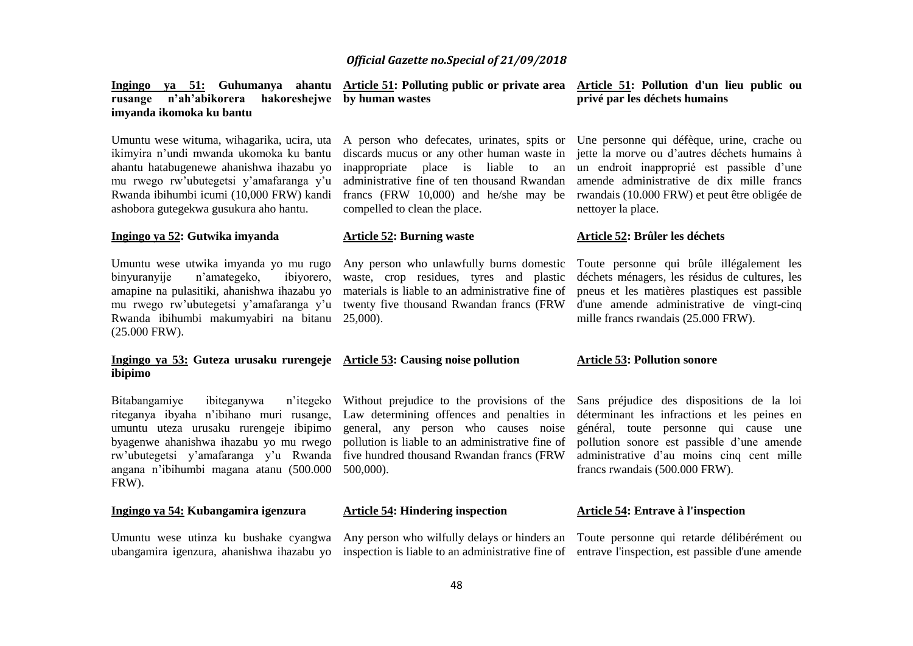administrative fine of ten thousand Rwandan

waste, crop residues, tyres and plastic materials is liable to an administrative fine of twenty five thousand Rwandan francs (FRW

compelled to clean the place.

**Article 52: Burning waste** 

**Ingingo ya 51: Guhumanya ahantu Article 51: Polluting public or private area Article 51: Pollution d'un lieu public ou rusange n'ah'abikorera imyanda ikomoka ku bantu by human wastes** 

ikimyira n'undi mwanda ukomoka ku bantu ahantu hatabugenewe ahanishwa ihazabu yo mu rwego rw'ubutegetsi y'amafaranga y'u Rwanda ibihumbi icumi (10,000 FRW) kandi ashobora gutegekwa gusukura aho hantu.

#### **Ingingo ya 52: Gutwika imyanda**

Umuntu wese utwika imyanda yo mu rugo binyuranyije n'amategeko, ibiyorero, amapine na pulasitiki, ahanishwa ihazabu yo mu rwego rw'ubutegetsi y'amafaranga y'u Rwanda ibihumbi makumyabiri na bitanu 25,000). (25.000 FRW).

#### **Ingingo ya 53: Guteza urusaku rurengeje Article 53: Causing noise pollution ibipimo**

Bitabangamiye ibiteganywa umuntu uteza urusaku rurengeje ibipimo angana n'ibihumbi magana atanu (500.000 500,000). FRW).

#### **Ingingo ya 54: Kubangamira igenzura**

Umuntu wese utinza ku bushake cyangwa

riteganya ibyaha n'ibihano muri rusange, Law determining offences and penalties in byagenwe ahanishwa ihazabu yo mu rwego pollution is liable to an administrative fine of rw'ubutegetsi y'amafaranga y'u Rwanda five hundred thousand Rwandan francs (FRW n'itegeko Without prejudice to the provisions of the general, any person who causes noise

#### **Article 54: Hindering inspection**

ubangamira igenzura, ahanishwa ihazabu yo inspection is liable to an administrative fine of entrave l'inspection, est passible d'une amende Any person who wilfully delays or hinders an Toute personne qui retarde délibérément ou

# **privé par les déchets humains**

Umuntu wese wituma, wihagarika, ucira, uta A person who defecates, urinates, spits or Une personne qui défèque, urine, crache ou discards mucus or any other human waste in jette la morve ou d'autres déchets humains à inappropriate place is liable to an un endroit inapproprié est passible d'une francs (FRW 10,000) and he/she may be rwandais (10.000 FRW) et peut être obligée de amende administrative de dix mille francs nettoyer la place.

#### **Article 52: Brûler les déchets**

Any person who unlawfully burns domestic Toute personne qui brûle illégalement les déchets ménagers, les résidus de cultures, les pneus et les matières plastiques est passible d'une amende administrative de vingt-cinq mille francs rwandais (25.000 FRW).

#### **Article 53: Pollution sonore**

Sans préjudice des dispositions de la loi déterminant les infractions et les peines en général, toute personne qui cause une pollution sonore est passible d'une amende administrative d'au moins cinq cent mille francs rwandais (500.000 FRW).

#### **Article 54: Entrave à l'inspection**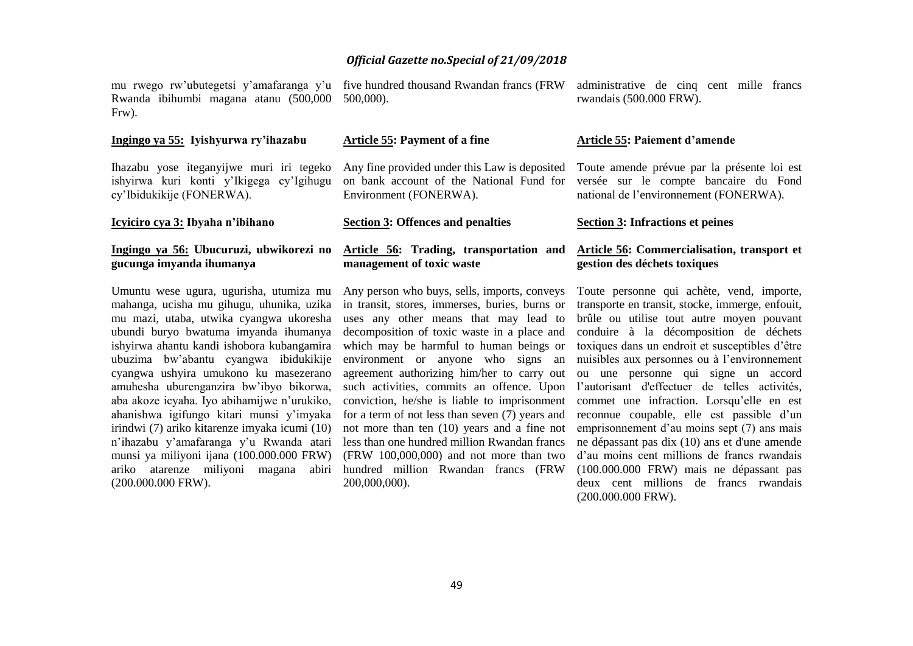mu rwego rw'ubutegetsi y'amafaranga y'u five hundred thousand Rwandan francs (FRW Rwanda ibihumbi magana atanu (500,000 500,000). Frw).

#### **Ingingo ya 55: Iyishyurwa ry'ihazabu**

**Icyiciro cya 3: Ibyaha n'ibihano** 

Ihazabu yose iteganyijwe muri iri tegeko ishyirwa kuri konti y'Ikigega cy'Igihugu cy'Ibidukikije (FONERWA).

**Article 55: Payment of a fine**

Environment (FONERWA).

**Section 3: Offences and penalties**

#### **Ingingo ya 56: Ubucuruzi, ubwikorezi no gucunga imyanda ihumanya**

Umuntu wese ugura, ugurisha, utumiza mu mahanga, ucisha mu gihugu, uhunika, uzika mu mazi, utaba, utwika cyangwa ukoresha ubundi buryo bwatuma imyanda ihumanya ishyirwa ahantu kandi ishobora kubangamira ubuzima bw'abantu cyangwa ibidukikije cyangwa ushyira umukono ku masezerano amuhesha uburenganzira bw'ibyo bikorwa, aba akoze icyaha. Iyo abihamijwe n'urukiko, ahanishwa igifungo kitari munsi y'imyaka irindwi (7) ariko kitarenze imyaka icumi (10) n'ihazabu y'amafaranga y'u Rwanda atari munsi ya miliyoni ijana (100.000.000 FRW) ariko atarenze miliyoni magana abiri (200.000.000 FRW).

# **management of toxic waste**

decomposition of toxic waste in a place and which may be harmful to human beings or environment or anyone who signs an for a term of not less than seven (7) years and not more than ten (10) years and a fine not less than one hundred million Rwandan francs (FRW 100,000,000) and not more than two hundred million Rwandan francs (FRW 200,000,000).

administrative de cinq cent mille francs rwandais (500.000 FRW).

#### **Article 55: Paiement d'amende**

Any fine provided under this Law is deposited Toute amende prévue par la présente loi est on bank account of the National Fund for versée sur le compte bancaire du Fond national de l'environnement (FONERWA).

**Section 3: Infractions et peines**

#### **Article 56: Trading, transportation and Article 56: Commercialisation, transport et gestion des déchets toxiques**

Any person who buys, sells, imports, conveys Toute personne qui achète, vend, importe, in transit, stores, immerses, buries, burns or transporte en transit, stocke, immerge, enfouit, uses any other means that may lead to brûle ou utilise tout autre moyen pouvant agreement authorizing him/her to carry out ou une personne qui signe un accord such activities, commits an offence. Upon l'autorisant d'effectuer de telles activités, conviction, he/she is liable to imprisonment commet une infraction. Lorsqu'elle en est conduire à la décomposition de déchets toxiques dans un endroit et susceptibles d'être nuisibles aux personnes ou à l'environnement reconnue coupable, elle est passible d'un emprisonnement d'au moins sept (7) ans mais ne dépassant pas dix (10) ans et d'une amende d'au moins cent millions de francs rwandais (100.000.000 FRW) mais ne dépassant pas deux cent millions de francs rwandais (200.000.000 FRW).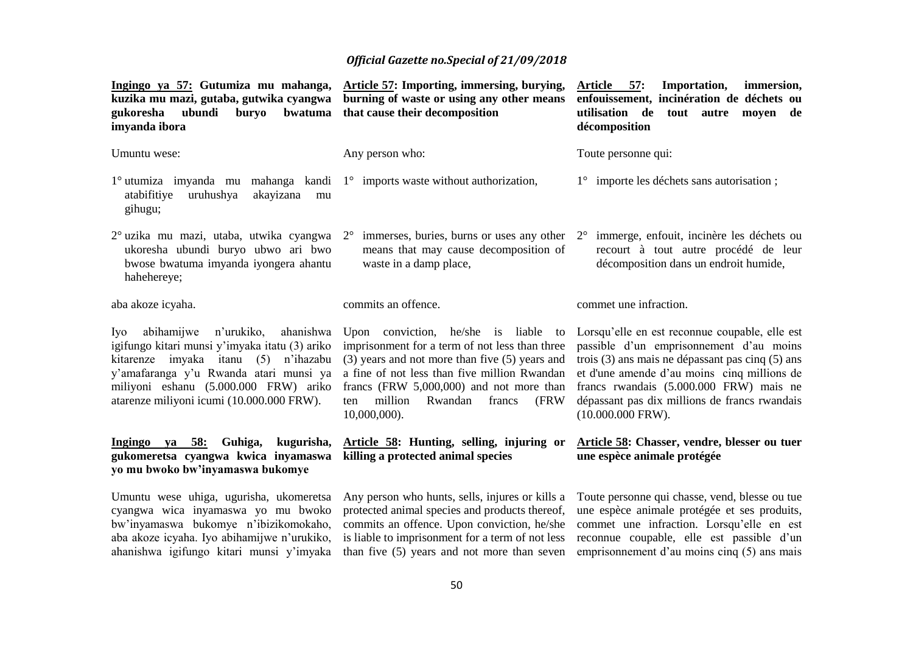| Ingingo ya 57: Gutumiza mu mahanga,<br>kuzika mu mazi, gutaba, gutwika cyangwa<br>gukoresha<br>ubundi<br>bwatuma<br>buryo<br>imyanda ibora                                                                                                                          | Article 57: Importing, immersing, burying,<br>burning of waste or using any other means<br>that cause their decomposition                                                                                                                                                                                     | Article 57:<br><b>Importation,</b><br>immersion,<br>enfouissement, incinération de déchets ou<br>utilisation de<br>tout autre moyen<br>de<br>décomposition                                                                                                                                                      |
|---------------------------------------------------------------------------------------------------------------------------------------------------------------------------------------------------------------------------------------------------------------------|---------------------------------------------------------------------------------------------------------------------------------------------------------------------------------------------------------------------------------------------------------------------------------------------------------------|-----------------------------------------------------------------------------------------------------------------------------------------------------------------------------------------------------------------------------------------------------------------------------------------------------------------|
| Umuntu wese:                                                                                                                                                                                                                                                        | Any person who:                                                                                                                                                                                                                                                                                               | Toute personne qui:                                                                                                                                                                                                                                                                                             |
| $1^{\circ}$ utumiza imyanda mu mahanga kandi $1^{\circ}$ imports waste without authorization,<br>atabifitiye<br>uruhushya<br>akayizana<br>mu<br>gihugu;                                                                                                             |                                                                                                                                                                                                                                                                                                               | 1° importe les déchets sans autorisation;                                                                                                                                                                                                                                                                       |
| 2° uzika mu mazi, utaba, utwika cyangwa<br>ukoresha ubundi buryo ubwo ari bwo<br>bwose bwatuma imyanda iyongera ahantu<br>hahehereye;                                                                                                                               | $2^{\circ}$ immerses, buries, burns or uses any other $2^{\circ}$<br>means that may cause decomposition of<br>waste in a damp place,                                                                                                                                                                          | immerge, enfouit, incinère les déchets ou<br>recourt à tout autre procédé de leur<br>décomposition dans un endroit humide,                                                                                                                                                                                      |
| aba akoze icyaha.                                                                                                                                                                                                                                                   | commits an offence.                                                                                                                                                                                                                                                                                           | commet une infraction.                                                                                                                                                                                                                                                                                          |
| abihamijwe n'urukiko,<br>ahanishwa<br>Iyo<br>igifungo kitari munsi y'imyaka itatu (3) ariko<br>kitarenze imyaka itanu (5) n'ihazabu<br>y'amafaranga y'u Rwanda atari munsi ya<br>miliyoni eshanu (5.000.000 FRW) ariko<br>atarenze miliyoni icumi (10.000.000 FRW). | Upon conviction, he/she is liable to<br>imprisonment for a term of not less than three<br>$(3)$ years and not more than five $(5)$ years and<br>a fine of not less than five million Rwandan<br>francs (FRW $5,000,000$ ) and not more than<br>million<br>Rwandan<br>francs<br>(FRW<br>ten<br>$10,000,000$ ). | Lorsqu'elle en est reconnue coupable, elle est<br>passible d'un emprisonnement d'au moins<br>trois (3) ans mais ne dépassant pas cinq (5) ans<br>et d'une amende d'au moins cinq millions de<br>francs rwandais (5.000.000 FRW) mais ne<br>dépassant pas dix millions de francs rwandais<br>$(10.000.000$ FRW). |
| Ingingo ya 58:<br>Guhiga,<br>kugurisha,<br>gukomeretsa cyangwa kwica inyamaswa<br>yo mu bwoko bw'inyamaswa bukomye                                                                                                                                                  | Article 58: Hunting, selling, injuring or<br>killing a protected animal species                                                                                                                                                                                                                               | Article 58: Chasser, vendre, blesser ou tuer<br>une espèce animale protégée                                                                                                                                                                                                                                     |
| Umuntu wese uhiga, ugurisha, ukomeretsa<br>cyangwa wica inyamaswa yo mu bwoko<br>bw'inyamaswa bukomye n'ibizikomokaho,<br>aba akoze icyaha. Iyo abihamijwe n'urukiko,<br>ahanishwa igifungo kitari munsi y'imyaka                                                   | Any person who hunts, sells, injures or kills a<br>protected animal species and products thereof,<br>commits an offence. Upon conviction, he/she<br>is liable to imprisonment for a term of not less<br>than five (5) years and not more than seven                                                           | Toute personne qui chasse, vend, blesse ou tue<br>une espèce animale protégée et ses produits,<br>commet une infraction. Lorsqu'elle en est<br>reconnue coupable, elle est passible d'un<br>emprisonmement d'au moins cinq (5) ans mais                                                                         |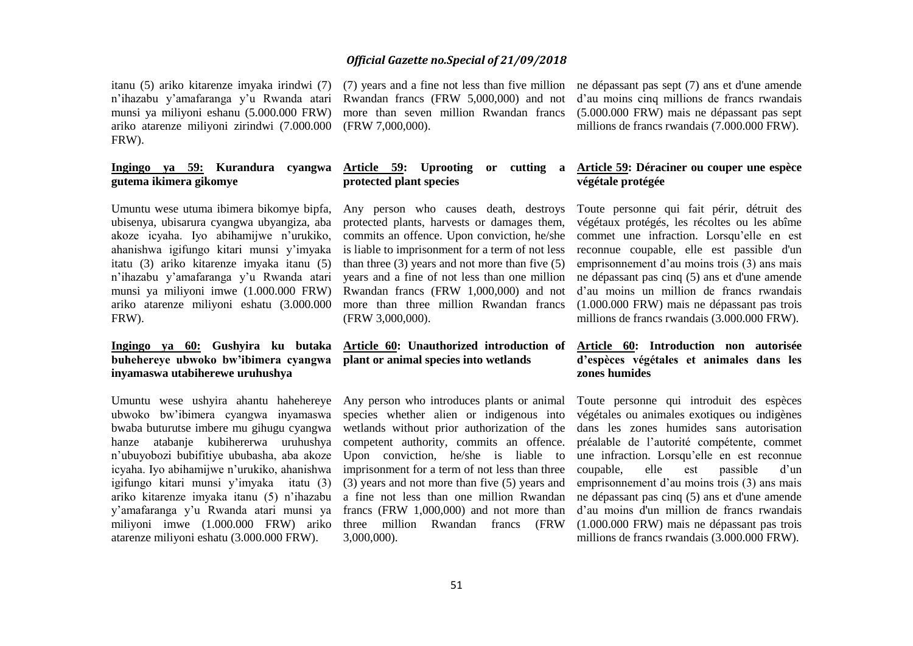itanu (5) ariko kitarenze imyaka irindwi (7) n'ihazabu y'amafaranga y'u Rwanda atari munsi ya miliyoni eshanu (5.000.000 FRW) ariko atarenze miliyoni zirindwi (7.000.000 FRW).

#### **Ingingo ya 59: Kurandura cyangwa gutema ikimera gikomye**

Umuntu wese utuma ibimera bikomye bipfa, ubisenya, ubisarura cyangwa ubyangiza, aba akoze icyaha. Iyo abihamijwe n'urukiko, ahanishwa igifungo kitari munsi y'imyaka itatu (3) ariko kitarenze imyaka itanu (5) n'ihazabu y'amafaranga y'u Rwanda atari munsi ya miliyoni imwe (1.000.000 FRW) ariko atarenze miliyoni eshatu (3.000.000 FRW).

#### **Ingingo ya 60: Gushyira ku butaka buhehereye ubwoko bw'ibimera cyangwa inyamaswa utabiherewe uruhushya**

Umuntu wese ushyira ahantu hahehereye ubwoko bw'ibimera cyangwa inyamaswa bwaba buturutse imbere mu gihugu cyangwa hanze atabanje kubihererwa uruhushya n'ubuyobozi bubifitiye ububasha, aba akoze icyaha. Iyo abihamijwe n'urukiko, ahanishwa igifungo kitari munsi y'imyaka itatu (3) ariko kitarenze imyaka itanu (5) n'ihazabu y'amafaranga y'u Rwanda atari munsi ya miliyoni imwe (1.000.000 FRW) ariko atarenze miliyoni eshatu (3.000.000 FRW).

Rwandan francs (FRW 5,000,000) and not (FRW 7,000,000).

# **protected plant species**

protected plants, harvests or damages them, commits an offence. Upon conviction, he/she is liable to imprisonment for a term of not less than three  $(3)$  years and not more than five  $(5)$ years and a fine of not less than one million Rwandan francs (FRW 1,000,000) and not (FRW 3,000,000).

#### **Article 60: Unauthorized introduction of plant or animal species into wetlands**

Any person who introduces plants or animal species whether alien or indigenous into wetlands without prior authorization of the competent authority, commits an offence. Upon conviction, he/she is liable to imprisonment for a term of not less than three (3) years and not more than five (5) years and a fine not less than one million Rwandan francs (FRW 1,000,000) and not more than three million Rwandan francs (FRW 3,000,000).

(7) years and a fine not less than five million ne dépassant pas sept (7) ans et d'une amende more than seven million Rwandan francs (5.000.000 FRW) mais ne dépassant pas sept d'au moins cinq millions de francs rwandais millions de francs rwandais (7.000.000 FRW).

#### **Article 59: Uprooting or cutting a Article 59: Déraciner ou couper une espèce végétale protégée**

Any person who causes death, destroys Toute personne qui fait périr, détruit des more than three million Rwandan francs (1.000.000 FRW) mais ne dépassant pas trois végétaux protégés, les récoltes ou les abîme commet une infraction. Lorsqu'elle en est reconnue coupable, elle est passible d'un emprisonnement d'au moins trois (3) ans mais ne dépassant pas cinq (5) ans et d'une amende d'au moins un million de francs rwandais millions de francs rwandais (3.000.000 FRW).

#### **Article 60: Introduction non autorisée d'espèces végétales et animales dans les zones humides**

Toute personne qui introduit des espèces végétales ou animales exotiques ou indigènes dans les zones humides sans autorisation préalable de l'autorité compétente, commet une infraction. Lorsqu'elle en est reconnue coupable, elle est passible d'un emprisonnement d'au moins trois (3) ans mais ne dépassant pas cinq (5) ans et d'une amende d'au moins d'un million de francs rwandais (1.000.000 FRW) mais ne dépassant pas trois millions de francs rwandais (3.000.000 FRW).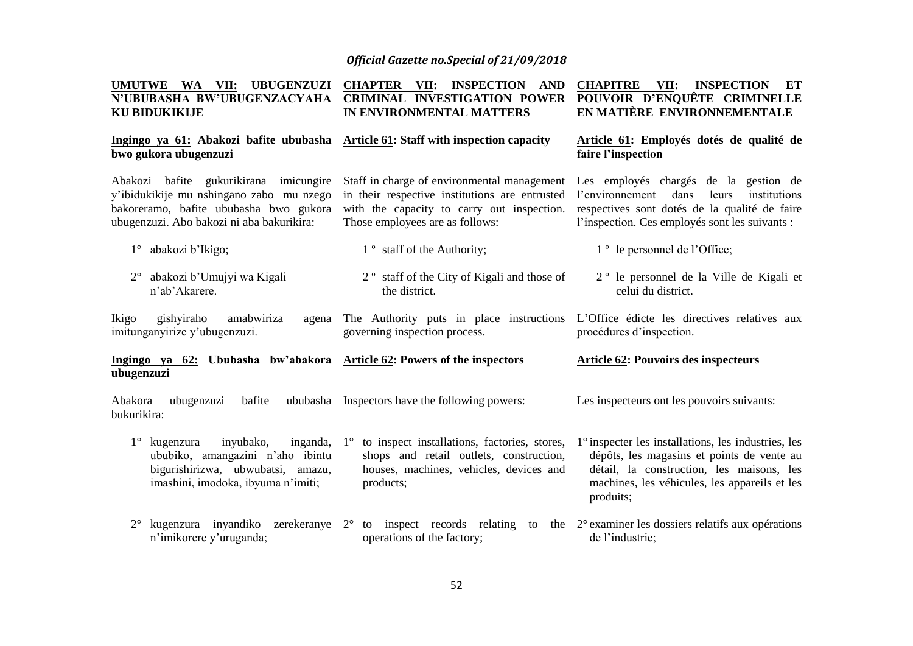| UMUTWE WA VII: UBUGENZUZI<br>N'UBUBASHA BW'UBUGENZACYAHA<br><b>KU BIDUKIKIJE</b>                                                                                          | <b>CHAPTER VII:</b><br><b>INSPECTION AND</b><br><b>CRIMINAL INVESTIGATION POWER</b><br>IN ENVIRONMENTAL MATTERS                                                                | <b>CHAPITRE</b><br>VII:<br><b>INSPECTION</b><br>ET<br>POUVOIR D'ENQUÊTE CRIMINELLE<br>EN MATIÈRE ENVIRONNEMENTALE                                                                                                   |
|---------------------------------------------------------------------------------------------------------------------------------------------------------------------------|--------------------------------------------------------------------------------------------------------------------------------------------------------------------------------|---------------------------------------------------------------------------------------------------------------------------------------------------------------------------------------------------------------------|
| Ingingo ya 61: Abakozi bafite ububasha Article 61: Staff with inspection capacity<br>bwo gukora ubugenzuzi                                                                |                                                                                                                                                                                | Article 61: Employés dotés de qualité de<br>faire l'inspection                                                                                                                                                      |
| Abakozi bafite gukurikirana imicungire<br>y'ibidukikije mu nshingano zabo mu nzego<br>bakoreramo, bafite ububasha bwo gukora<br>ubugenzuzi. Abo bakozi ni aba bakurikira: | Staff in charge of environmental management<br>in their respective institutions are entrusted<br>with the capacity to carry out inspection.<br>Those employees are as follows: | Les employés chargés de la gestion de<br>l'environnement<br>dans<br>leurs<br>institutions<br>respectives sont dotés de la qualité de faire<br>l'inspection. Ces employés sont les suivants :                        |
| abakozi b'Ikigo;<br>$1^{\circ}$                                                                                                                                           | 1 <sup>°</sup> staff of the Authority;                                                                                                                                         | 1 <sup>°</sup> le personnel de l'Office;                                                                                                                                                                            |
| abakozi b'Umujyi wa Kigali<br>$2^{\circ}$<br>n'ab'Akarere.                                                                                                                | 2 <sup>°</sup> staff of the City of Kigali and those of<br>the district.                                                                                                       | 2 <sup>°</sup> le personnel de la Ville de Kigali et<br>celui du district.                                                                                                                                          |
| gishyiraho<br>amabwiriza<br>Ikigo<br>agena<br>imitunganyirize y'ubugenzuzi.                                                                                               | The Authority puts in place instructions<br>governing inspection process.                                                                                                      | L'Office édicte les directives relatives aux<br>procédures d'inspection.                                                                                                                                            |
| Ingingo ya 62: Ububasha bw'abakora Article 62: Powers of the inspectors<br>ubugenzuzi                                                                                     |                                                                                                                                                                                | <b>Article 62: Pouvoirs des inspecteurs</b>                                                                                                                                                                         |
| Abakora<br>ubugenzuzi<br>bafite<br>bukurikira:                                                                                                                            | ububasha Inspectors have the following powers:                                                                                                                                 | Les inspecteurs ont les pouvoirs suivants:                                                                                                                                                                          |
| kugenzura<br>inyubako,<br>inganda,<br>ububiko, amangazini n'aho ibintu<br>bigurishirizwa, ubwubatsi, amazu,<br>imashini, imodoka, ibyuma n'imiti;                         | to inspect installations, factories, stores,<br>$1^{\circ}$<br>shops and retail outlets, construction,<br>houses, machines, vehicles, devices and<br>products;                 | $1^\circ$ inspecter les installations, les industries, les<br>dépôts, les magasins et points de vente au<br>détail, la construction, les maisons, les<br>machines, les véhicules, les appareils et les<br>produits; |
| kugenzura inyandiko<br>zerekeranye<br>$2^{\circ}$<br>n'imikorere y'uruganda;                                                                                              | to inspect records relating<br>$2^{\circ}$<br>operations of the factory;                                                                                                       | to the $2^{\circ}$ examiner les dossiers relatifs aux opérations<br>de l'industrie;                                                                                                                                 |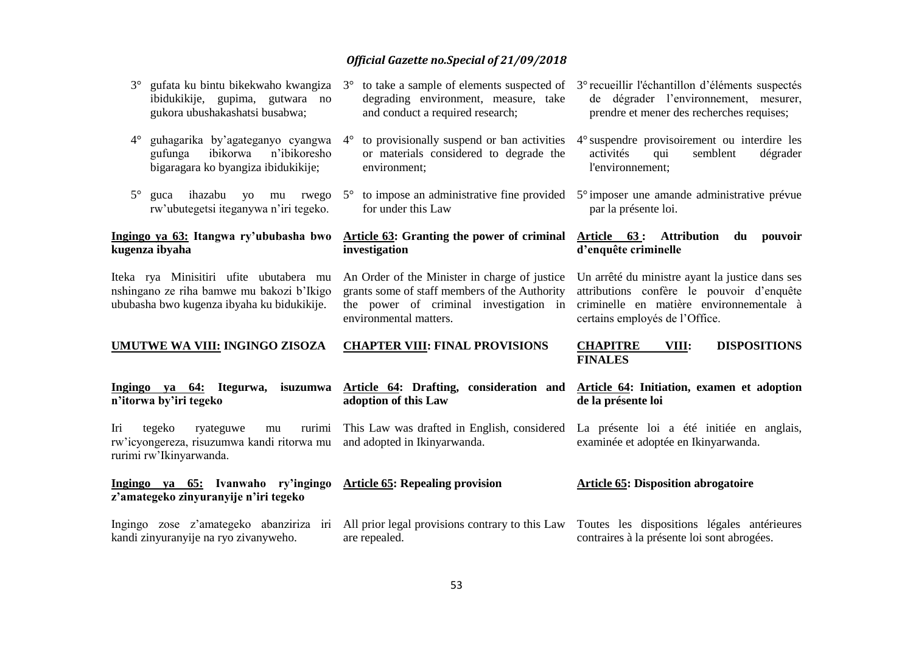| gufata ku bintu bikekwaho kwangiza<br>$3^\circ$<br>ibidukikije, gupima, gutwara no<br>gukora ubushakashatsi busabwa;               | $3^{\circ}$ to take a sample of elements suspected of $3^{\circ}$ recueillir l'échantillon d'éléments suspectés<br>degrading environment, measure, take<br>and conduct a required research; | de dégrader l'environnement, mesurer,<br>prendre et mener des recherches requises;                                                       |
|------------------------------------------------------------------------------------------------------------------------------------|---------------------------------------------------------------------------------------------------------------------------------------------------------------------------------------------|------------------------------------------------------------------------------------------------------------------------------------------|
| guhagarika by'agateganyo cyangwa<br>$4^\circ$<br>ibikorwa<br>n'ibikoresho<br>gufunga<br>bigaragara ko byangiza ibidukikije;        | to provisionally suspend or ban activities<br>$4^{\circ}$<br>or materials considered to degrade the<br>environment;                                                                         | 4° suspendre provisoirement ou interdire les<br>activités<br>semblent<br>qui<br>dégrader<br>l'environnement;                             |
| $5^\circ$<br>ihazabu<br>yo mu rwego<br>guca<br>rw'ubutegetsi iteganywa n'iri tegeko.                                               | for under this Law                                                                                                                                                                          | $5^{\circ}$ to impose an administrative fine provided $5^{\circ}$ imposer une amande administrative prévue<br>par la présente loi.       |
| Ingingo ya 63: Itangwa ry'ububasha bwo<br>kugenza ibyaha                                                                           | Article 63: Granting the power of criminal Article 63: Attribution<br>investigation                                                                                                         | du<br>pouvoir<br>d'enquête criminelle                                                                                                    |
| Iteka rya Minisitiri ufite ubutabera mu<br>nshingano ze riha bamwe mu bakozi b'Ikigo<br>ububasha bwo kugenza ibyaha ku bidukikije. | An Order of the Minister in charge of justice<br>grants some of staff members of the Authority<br>the power of criminal investigation in                                                    | Un arrêté du ministre ayant la justice dans ses<br>attributions confère le pouvoir d'enquête<br>criminelle en matière environnementale à |
|                                                                                                                                    | environmental matters.                                                                                                                                                                      | certains employés de l'Office.                                                                                                           |
| UMUTWE WA VIII: INGINGO ZISOZA                                                                                                     | <b>CHAPTER VIII: FINAL PROVISIONS</b>                                                                                                                                                       | <b>DISPOSITIONS</b><br><b>CHAPITRE</b><br>VIII:<br><b>FINALES</b>                                                                        |
| Ingingo ya 64: Itegurwa,<br>isuzumwa<br>n'itorwa by'iri tegeko                                                                     | adoption of this Law                                                                                                                                                                        | Article 64: Drafting, consideration and Article 64: Initiation, examen et adoption<br>de la présente loi                                 |
| Iri<br>tegeko<br>ryateguwe<br>rurimi<br>mu<br>rw'icyongereza, risuzumwa kandi ritorwa mu<br>rurimi rw'Ikinyarwanda.                | This Law was drafted in English, considered<br>and adopted in Ikinyarwanda.                                                                                                                 | La présente loi a été initiée en anglais,<br>examinée et adoptée en Ikinyarwanda.                                                        |
| Ingingo ya 65: Ivanwaho ry'ingingo<br>z'amategeko zinyuranyije n'iri tegeko                                                        | <b>Article 65: Repealing provision</b>                                                                                                                                                      | <b>Article 65: Disposition abrogatoire</b>                                                                                               |